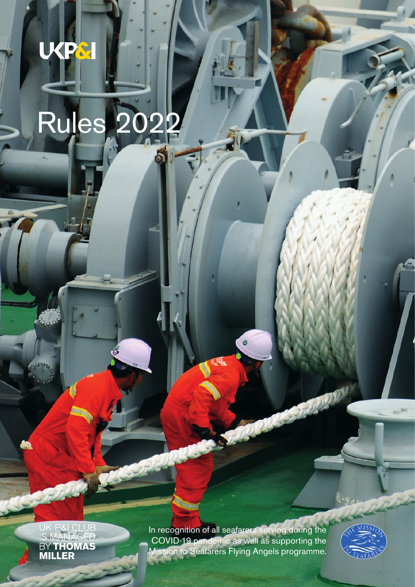# Rules 2022

UKPSI

UK P&I CLUB<br>IS MANAGED<br>BY **THOMAS**<br>**MILLER** 

In recognition of all seafarers serving during the COVID-19 pandemic as well as supporting the Mission to Seafarers Flying Angels programme.

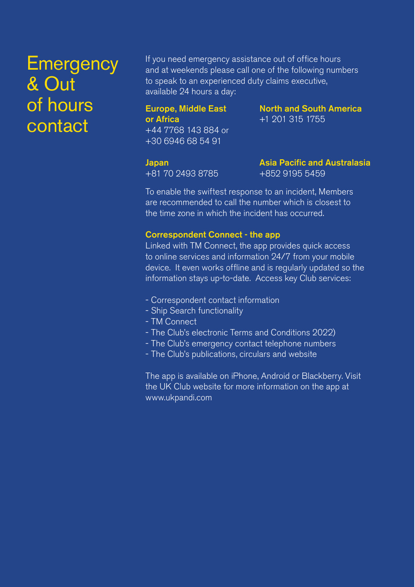## **Emergency** & Out of hours contact

If you need emergency assistance out of office hours and at weekends please call one of the following numbers to speak to an experienced duty claims executive, available 24 hours a day:

#### Europe, Middle East or Africa +44 7768 143 884 or +30 6946 68 54 91

North and South America +1 201 315 1755

Japan +81 70 2493 8785 Asia Pacific and Australasia +852 9195 5459

To enable the swiftest response to an incident, Members are recommended to call the number which is closest to the time zone in which the incident has occurred.

#### Correspondent Connect - the app

Linked with TM Connect, the app provides quick access to online services and information 24/7 from your mobile device. It even works offline and is regularly updated so the information stays up-to-date. Access key Club services:

- Correspondent contact information
- Ship Search functionality
- TM Connect
- The Club's electronic Terms and Conditions 2022)
- The Club's emergency contact telephone numbers
- The Club's publications, circulars and website

The app is available on iPhone, Android or Blackberry. Visit the UK Club website for more information on the app at www.ukpandi.com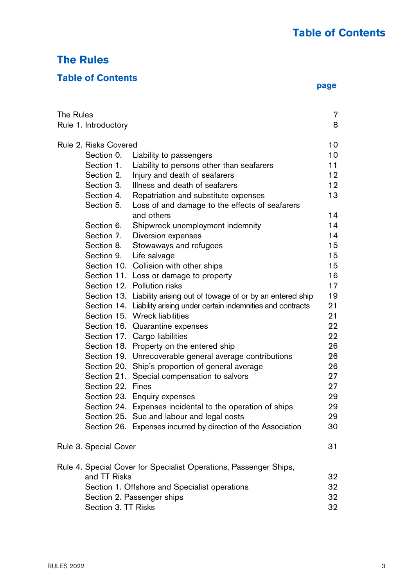## **The Rules**

## **Table of Contents**

|  | page |
|--|------|

| The Rules<br>Rule 1. Introductory |                       | 7<br>8                                                                |    |
|-----------------------------------|-----------------------|-----------------------------------------------------------------------|----|
|                                   | Rule 2. Risks Covered |                                                                       | 10 |
|                                   | Section 0.            | Liability to passengers                                               | 10 |
|                                   | Section 1.            | Liability to persons other than seafarers                             | 11 |
|                                   | Section 2.            | Injury and death of seafarers                                         | 12 |
|                                   | Section 3.            | Illness and death of seafarers                                        | 12 |
|                                   | Section 4.            | Repatriation and substitute expenses                                  | 13 |
|                                   | Section 5.            | Loss of and damage to the effects of seafarers<br>and others          | 14 |
|                                   | Section 6.            | Shipwreck unemployment indemnity                                      | 14 |
|                                   | Section 7.            | Diversion expenses                                                    | 14 |
|                                   | Section 8.            | Stowaways and refugees                                                | 15 |
|                                   | Section 9.            | Life salvage                                                          | 15 |
|                                   |                       | Section 10. Collision with other ships                                | 15 |
|                                   |                       | Section 11. Loss or damage to property                                | 16 |
|                                   |                       | Section 12. Pollution risks                                           | 17 |
|                                   |                       | Section 13. Liability arising out of towage of or by an entered ship  | 19 |
|                                   |                       | Section 14. Liability arising under certain indemnities and contracts | 21 |
|                                   |                       | Section 15. Wreck liabilities                                         | 21 |
|                                   |                       | Section 16. Quarantine expenses                                       | 22 |
|                                   |                       | Section 17. Cargo liabilities                                         | 22 |
|                                   |                       | Section 18. Property on the entered ship                              | 26 |
|                                   |                       | Section 19. Unrecoverable general average contributions               | 26 |
|                                   |                       | Section 20. Ship's proportion of general average                      | 26 |
|                                   |                       | Section 21. Special compensation to salvors                           | 27 |
|                                   | Section 22. Fines     |                                                                       | 27 |
|                                   |                       | Section 23. Enquiry expenses                                          | 29 |
|                                   |                       | Section 24. Expenses incidental to the operation of ships             | 29 |
|                                   |                       | Section 25. Sue and labour and legal costs                            | 29 |
|                                   |                       | Section 26. Expenses incurred by direction of the Association         | 30 |
|                                   | Rule 3. Special Cover |                                                                       | 31 |
|                                   |                       | Rule 4. Special Cover for Specialist Operations, Passenger Ships,     |    |
|                                   | and TT Risks          |                                                                       | 32 |
|                                   |                       | Section 1. Offshore and Specialist operations                         | 32 |
|                                   |                       | Section 2. Passenger ships                                            | 32 |
|                                   | Section 3. TT Risks   |                                                                       | 32 |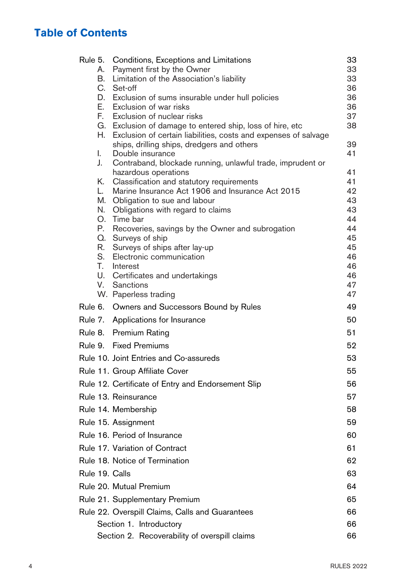## **Table of Contents**

| Rule 5. |    | Conditions, Exceptions and Limitations                                                                                        | 33       |
|---------|----|-------------------------------------------------------------------------------------------------------------------------------|----------|
|         | А. | Payment first by the Owner                                                                                                    | 33       |
|         | В. | Limitation of the Association's liability                                                                                     | 33       |
|         | C. | Set-off                                                                                                                       | 36       |
|         |    | D. Exclusion of sums insurable under hull policies                                                                            | 36       |
|         | Е. | Exclusion of war risks                                                                                                        | 36       |
|         | F. | Exclusion of nuclear risks                                                                                                    | 37<br>38 |
|         | Н. | G. Exclusion of damage to entered ship, loss of hire, etc.<br>Exclusion of certain liabilities, costs and expenses of salvage |          |
|         |    | ships, drilling ships, dredgers and others                                                                                    | 39       |
|         | I. | Double insurance                                                                                                              | 41       |
|         | J. | Contraband, blockade running, unlawful trade, imprudent or<br>hazardous operations                                            | 41       |
|         | Κ. | Classification and statutory requirements                                                                                     | 41       |
|         | L. | Marine Insurance Act 1906 and Insurance Act 2015                                                                              | 42       |
|         |    | M. Obligation to sue and labour                                                                                               | 43       |
|         | N. | Obligations with regard to claims                                                                                             | 43       |
|         | О. | Time bar                                                                                                                      | 44       |
|         | Р. | Recoveries, savings by the Owner and subrogation                                                                              | 44       |
|         |    | Q. Surveys of ship                                                                                                            | 45       |
|         | R. | Surveys of ships after lay-up                                                                                                 | 45       |
|         | S. | Electronic communication                                                                                                      | 46<br>46 |
|         | Т. | Interest<br>U. Certificates and undertakings                                                                                  | 46       |
|         |    | V. Sanctions                                                                                                                  | 47       |
|         |    | W. Paperless trading                                                                                                          | 47       |
|         |    | Rule 6. Owners and Successors Bound by Rules                                                                                  | 49       |
| Rule 7. |    | Applications for Insurance                                                                                                    | 50       |
| Rule 8. |    | Premium Rating                                                                                                                | 51       |
| Rule 9. |    | <b>Fixed Premiums</b>                                                                                                         | 52       |
|         |    | Rule 10. Joint Entries and Co-assureds                                                                                        | 53       |
|         |    | Rule 11. Group Affiliate Cover                                                                                                | 55       |
|         |    | Rule 12. Certificate of Entry and Endorsement Slip                                                                            | 56       |
|         |    | Rule 13. Reinsurance                                                                                                          | 57       |
|         |    | Rule 14. Membership                                                                                                           | 58       |
|         |    | Rule 15. Assignment                                                                                                           | 59       |
|         |    | Rule 16. Period of Insurance                                                                                                  | 60       |
|         |    | Rule 17. Variation of Contract                                                                                                | 61       |
|         |    | Rule 18. Notice of Termination                                                                                                | 62       |
|         |    | Rule 19. Calls                                                                                                                | 63       |
|         |    | Rule 20. Mutual Premium                                                                                                       | 64       |
|         |    | Rule 21. Supplementary Premium                                                                                                | 65       |
|         |    | Rule 22. Overspill Claims, Calls and Guarantees                                                                               | 66       |
|         |    | Section 1. Introductory                                                                                                       | 66       |
|         |    | Section 2. Recoverability of overspill claims                                                                                 | 66       |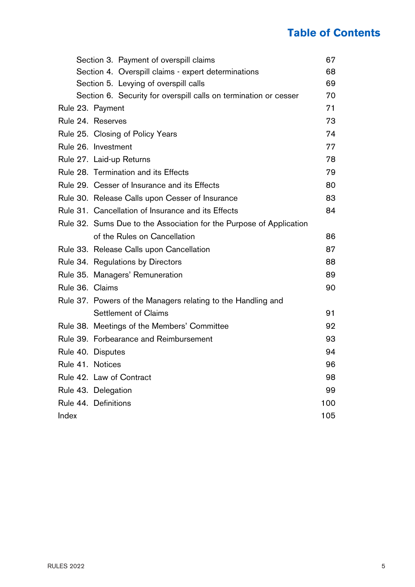## **Table of Contents**

|       | Section 3. Payment of overspill claims                              | 67  |
|-------|---------------------------------------------------------------------|-----|
|       | Section 4. Overspill claims - expert determinations                 | 68  |
|       | Section 5. Levying of overspill calls                               | 69  |
|       | Section 6. Security for overspill calls on termination or cesser    | 70  |
|       | Rule 23. Payment                                                    | 71  |
|       | Rule 24. Reserves                                                   | 73  |
|       | Rule 25. Closing of Policy Years                                    | 74  |
|       | Rule 26. Investment                                                 | 77  |
|       | Rule 27. Laid-up Returns                                            | 78  |
|       | Rule 28. Termination and its Effects                                | 79  |
|       | Rule 29. Cesser of Insurance and its Effects                        | 80  |
|       | Rule 30. Release Calls upon Cesser of Insurance                     | 83  |
|       | Rule 31. Cancellation of Insurance and its Effects                  | 84  |
|       | Rule 32. Sums Due to the Association for the Purpose of Application |     |
|       | of the Rules on Cancellation                                        | 86  |
|       | Rule 33. Release Calls upon Cancellation                            | 87  |
|       | Rule 34. Regulations by Directors                                   | 88  |
|       | Rule 35. Managers' Remuneration                                     | 89  |
|       | Rule 36. Claims                                                     | 90  |
|       | Rule 37. Powers of the Managers relating to the Handling and        |     |
|       | Settlement of Claims                                                | 91  |
|       | Rule 38. Meetings of the Members' Committee                         | 92  |
|       | Rule 39. Forbearance and Reimbursement                              | 93  |
|       | Rule 40. Disputes                                                   | 94  |
|       | Rule 41. Notices                                                    | 96  |
|       | Rule 42. Law of Contract                                            | 98  |
|       | Rule 43. Delegation                                                 | 99  |
|       | Rule 44. Definitions                                                | 100 |
| Index |                                                                     | 105 |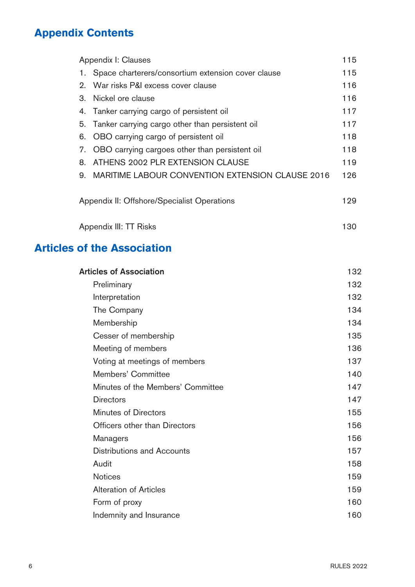## **Appendix Contents**

| Appendix I: Clauses                         |                                                    | 115 |
|---------------------------------------------|----------------------------------------------------|-----|
| 1.                                          | Space charterers/consortium extension cover clause | 115 |
| 2.                                          | War risks P&I excess cover clause                  | 116 |
| З.                                          | Nickel ore clause                                  | 116 |
|                                             | 4. Tanker carrying cargo of persistent oil         | 117 |
| 5.                                          | Tanker carrying cargo other than persistent oil    | 117 |
| 6.                                          | OBO carrying cargo of persistent oil               | 118 |
| 7.                                          | OBO carrying cargoes other than persistent oil     | 118 |
| 8.                                          | ATHENS 2002 PLR EXTENSION CLAUSE                   | 119 |
| 9.                                          | MARITIME LABOUR CONVENTION EXTENSION CLAUSE 2016   | 126 |
| Appendix II: Offshore/Specialist Operations |                                                    | 129 |
|                                             | Appendix III: TT Risks                             | 130 |

## **Articles of the Association**

| 132 |
|-----|
| 132 |
| 132 |
| 134 |
| 134 |
| 135 |
| 136 |
| 137 |
| 140 |
| 147 |
| 147 |
| 155 |
| 156 |
| 156 |
| 157 |
| 158 |
| 159 |
| 159 |
| 160 |
| 160 |
|     |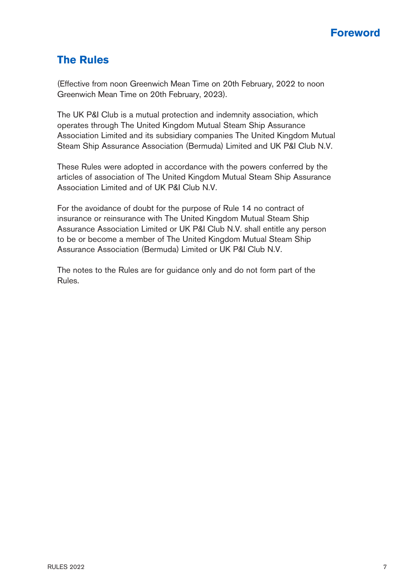

## **The Rules**

(Effective from noon Greenwich Mean Time on 20th February, 2022 to noon Greenwich Mean Time on 20th February, 2023).

The UK P&I Club is a mutual protection and indemnity association, which operates through The United Kingdom Mutual Steam Ship Assurance Association Limited and its subsidiary companies The United Kingdom Mutual Steam Ship Assurance Association (Bermuda) Limited and UK P&I Club N.V.

These Rules were adopted in accordance with the powers conferred by the articles of association of The United Kingdom Mutual Steam Ship Assurance Association Limited and of UK P&I Club N.V.

For the avoidance of doubt for the purpose of Rule 14 no contract of insurance or reinsurance with The United Kingdom Mutual Steam Ship Assurance Association Limited or UK P&I Club N.V. shall entitle any person to be or become a member of The United Kingdom Mutual Steam Ship Assurance Association (Bermuda) Limited or UK P&I Club N.V.

The notes to the Rules are for guidance only and do not form part of the Rules.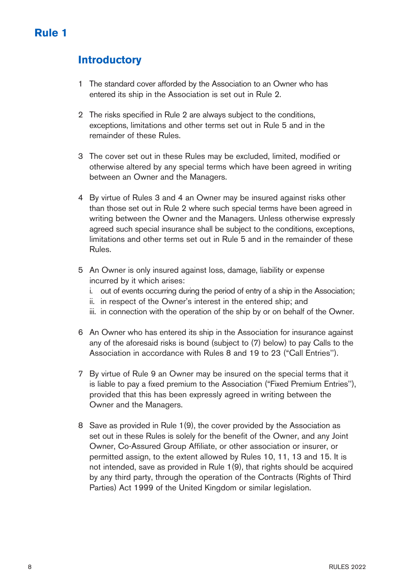## **Introductory**

- 1 The standard cover afforded by the Association to an Owner who has entered its ship in the Association is set out in Rule 2.
- 2 The risks specified in Rule 2 are always subject to the conditions, exceptions, limitations and other terms set out in Rule 5 and in the remainder of these Rules.
- 3 The cover set out in these Rules may be excluded, limited, modified or otherwise altered by any special terms which have been agreed in writing between an Owner and the Managers.
- 4 By virtue of Rules 3 and 4 an Owner may be insured against risks other than those set out in Rule 2 where such special terms have been agreed in writing between the Owner and the Managers. Unless otherwise expressly agreed such special insurance shall be subject to the conditions, exceptions, limitations and other terms set out in Rule 5 and in the remainder of these Rules.
- 5 An Owner is only insured against loss, damage, liability or expense incurred by it which arises:
	- i. out of events occurring during the period of entry of a ship in the Association;
	- ii. in respect of the Owner's interest in the entered ship; and
	- iii. in connection with the operation of the ship by or on behalf of the Owner.
- 6 An Owner who has entered its ship in the Association for insurance against any of the aforesaid risks is bound (subject to (7) below) to pay Calls to the Association in accordance with Rules 8 and 19 to 23 ("Call Entries'').
- 7 By virtue of Rule 9 an Owner may be insured on the special terms that it is liable to pay a fixed premium to the Association ("Fixed Premium Entries''), provided that this has been expressly agreed in writing between the Owner and the Managers.
- 8 Save as provided in Rule 1(9), the cover provided by the Association as set out in these Rules is solely for the benefit of the Owner, and any Joint Owner, Co-Assured Group Affiliate, or other association or insurer, or permitted assign, to the extent allowed by Rules 10, 11, 13 and 15. It is not intended, save as provided in Rule 1(9), that rights should be acquired by any third party, through the operation of the Contracts (Rights of Third Parties) Act 1999 of the United Kingdom or similar legislation.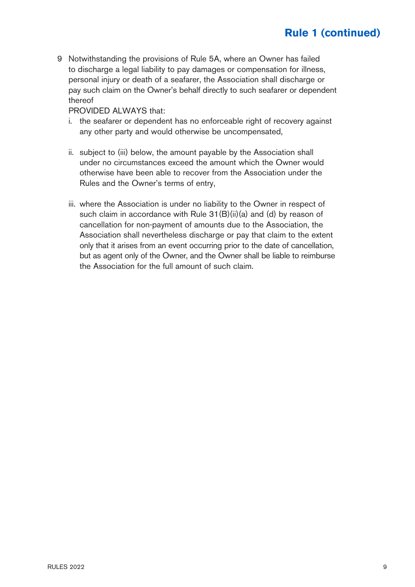9 Notwithstanding the provisions of Rule 5A, where an Owner has failed to discharge a legal liability to pay damages or compensation for illness, personal injury or death of a seafarer, the Association shall discharge or pay such claim on the Owner's behalf directly to such seafarer or dependent thereof

PROVIDED ALWAYS that:

- i. the seafarer or dependent has no enforceable right of recovery against any other party and would otherwise be uncompensated,
- ii. subject to (iii) below, the amount payable by the Association shall under no circumstances exceed the amount which the Owner would otherwise have been able to recover from the Association under the Rules and the Owner's terms of entry,
- iii. where the Association is under no liability to the Owner in respect of such claim in accordance with Rule 31(B)(ii)(a) and (d) by reason of cancellation for non-payment of amounts due to the Association, the Association shall nevertheless discharge or pay that claim to the extent only that it arises from an event occurring prior to the date of cancellation, but as agent only of the Owner, and the Owner shall be liable to reimburse the Association for the full amount of such claim.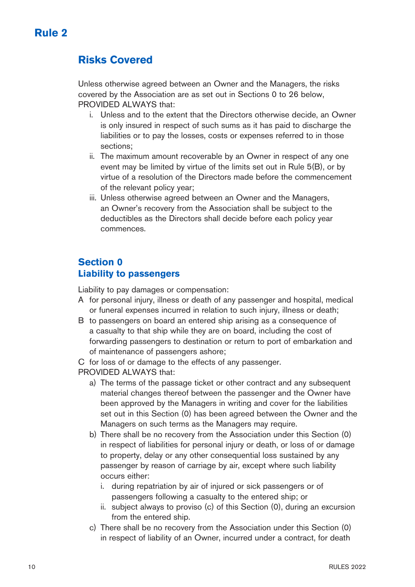## **Risks Covered**

Unless otherwise agreed between an Owner and the Managers, the risks covered by the Association are as set out in Sections 0 to 26 below, PROVIDED ALWAYS that:

- i. Unless and to the extent that the Directors otherwise decide, an Owner is only insured in respect of such sums as it has paid to discharge the liabilities or to pay the losses, costs or expenses referred to in those sections;
- ii. The maximum amount recoverable by an Owner in respect of any one event may be limited by virtue of the limits set out in Rule 5(B), or by virtue of a resolution of the Directors made before the commencement of the relevant policy year;
- iii. Unless otherwise agreed between an Owner and the Managers, an Owner's recovery from the Association shall be subject to the deductibles as the Directors shall decide before each policy year commences.

## **Section 0 Liability to passengers**

Liability to pay damages or compensation:

- A for personal injury, illness or death of any passenger and hospital, medical or funeral expenses incurred in relation to such injury, illness or death;
- B to passengers on board an entered ship arising as a consequence of a casualty to that ship while they are on board, including the cost of forwarding passengers to destination or return to port of embarkation and of maintenance of passengers ashore;

C for loss of or damage to the effects of any passenger.

PROVIDED ALWAYS that:

- a) The terms of the passage ticket or other contract and any subsequent material changes thereof between the passenger and the Owner have been approved by the Managers in writing and cover for the liabilities set out in this Section (0) has been agreed between the Owner and the Managers on such terms as the Managers may require.
- b) There shall be no recovery from the Association under this Section (0) in respect of liabilities for personal injury or death, or loss of or damage to property, delay or any other consequential loss sustained by any passenger by reason of carriage by air, except where such liability occurs either:
	- i. during repatriation by air of injured or sick passengers or of passengers following a casualty to the entered ship; or
	- ii. subject always to proviso (c) of this Section (0), during an excursion from the entered ship.
- c) There shall be no recovery from the Association under this Section (0) in respect of liability of an Owner, incurred under a contract, for death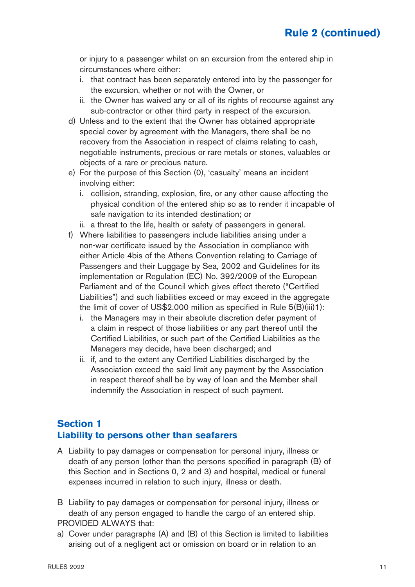or injury to a passenger whilst on an excursion from the entered ship in circumstances where either:

- i. that contract has been separately entered into by the passenger for the excursion, whether or not with the Owner, or
- ii. the Owner has waived any or all of its rights of recourse against any sub-contractor or other third party in respect of the excursion.
- d) Unless and to the extent that the Owner has obtained appropriate special cover by agreement with the Managers, there shall be no recovery from the Association in respect of claims relating to cash, negotiable instruments, precious or rare metals or stones, valuables or objects of a rare or precious nature.
- e) For the purpose of this Section (0), 'casualty' means an incident involving either:
	- i. collision, stranding, explosion, fire, or any other cause affecting the physical condition of the entered ship so as to render it incapable of safe navigation to its intended destination; or
	- ii. a threat to the life, health or safety of passengers in general.
- f) Where liabilities to passengers include liabilities arising under a non-war certificate issued by the Association in compliance with either Article 4bis of the Athens Convention relating to Carriage of Passengers and their Luggage by Sea, 2002 and Guidelines for its implementation or Regulation (EC) No. 392/2009 of the European Parliament and of the Council which gives effect thereto ("Certified Liabilities") and such liabilities exceed or may exceed in the aggregate the limit of cover of US\$2,000 million as specified in Rule 5(B)(iii)1):
	- i. the Managers may in their absolute discretion defer payment of a claim in respect of those liabilities or any part thereof until the Certified Liabilities, or such part of the Certified Liabilities as the Managers may decide, have been discharged; and
	- ii. if, and to the extent any Certified Liabilities discharged by the Association exceed the said limit any payment by the Association in respect thereof shall be by way of loan and the Member shall indemnify the Association in respect of such payment.

#### **Section 1 Liability to persons other than seafarers**

- A Liability to pay damages or compensation for personal injury, illness or death of any person (other than the persons specified in paragraph (B) of this Section and in Sections 0, 2 and 3) and hospital, medical or funeral expenses incurred in relation to such injury, illness or death.
- B Liability to pay damages or compensation for personal injury, illness or death of any person engaged to handle the cargo of an entered ship. PROVIDED ALWAYS that:
- a) Cover under paragraphs (A) and (B) of this Section is limited to liabilities arising out of a negligent act or omission on board or in relation to an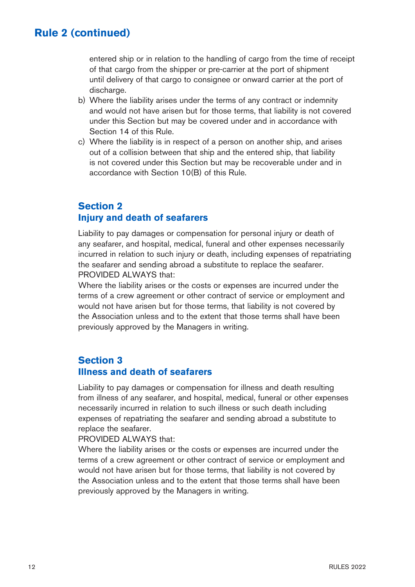entered ship or in relation to the handling of cargo from the time of receipt of that cargo from the shipper or pre-carrier at the port of shipment until delivery of that cargo to consignee or onward carrier at the port of discharge.

- b) Where the liability arises under the terms of any contract or indemnity and would not have arisen but for those terms, that liability is not covered under this Section but may be covered under and in accordance with Section 14 of this Rule.
- c) Where the liability is in respect of a person on another ship, and arises out of a collision between that ship and the entered ship, that liability is not covered under this Section but may be recoverable under and in accordance with Section 10(B) of this Rule.

#### **Section 2 Injury and death of seafarers**

Liability to pay damages or compensation for personal injury or death of any seafarer, and hospital, medical, funeral and other expenses necessarily incurred in relation to such injury or death, including expenses of repatriating the seafarer and sending abroad a substitute to replace the seafarer. PROVIDED ALWAYS that:

Where the liability arises or the costs or expenses are incurred under the terms of a crew agreement or other contract of service or employment and would not have arisen but for those terms, that liability is not covered by the Association unless and to the extent that those terms shall have been previously approved by the Managers in writing.

#### **Section 3 Illness and death of seafarers**

Liability to pay damages or compensation for illness and death resulting from illness of any seafarer, and hospital, medical, funeral or other expenses necessarily incurred in relation to such illness or such death including expenses of repatriating the seafarer and sending abroad a substitute to replace the seafarer.

PROVIDED ALWAYS that:

Where the liability arises or the costs or expenses are incurred under the terms of a crew agreement or other contract of service or employment and would not have arisen but for those terms, that liability is not covered by the Association unless and to the extent that those terms shall have been previously approved by the Managers in writing.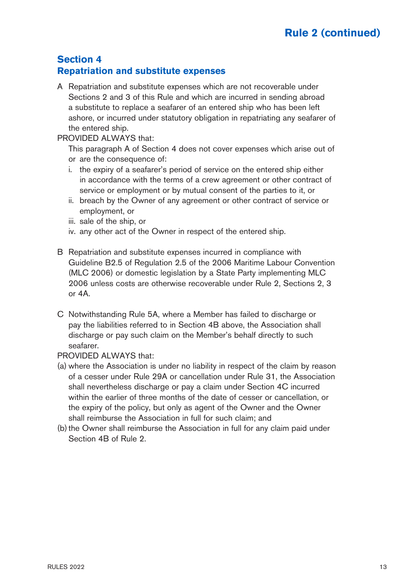## **Section 4 Repatriation and substitute expenses**

A Repatriation and substitute expenses which are not recoverable under Sections 2 and 3 of this Rule and which are incurred in sending abroad a substitute to replace a seafarer of an entered ship who has been left ashore, or incurred under statutory obligation in repatriating any seafarer of the entered ship.

#### PROVIDED ALWAYS that:

This paragraph A of Section 4 does not cover expenses which arise out of or are the consequence of:

- i. the expiry of a seafarer's period of service on the entered ship either in accordance with the terms of a crew agreement or other contract of service or employment or by mutual consent of the parties to it, or
- ii. breach by the Owner of any agreement or other contract of service or employment, or
- iii. sale of the ship, or
- iv. any other act of the Owner in respect of the entered ship.
- B Repatriation and substitute expenses incurred in compliance with Guideline B2.5 of Regulation 2.5 of the 2006 Maritime Labour Convention (MLC 2006) or domestic legislation by a State Party implementing MLC 2006 unless costs are otherwise recoverable under Rule 2, Sections 2, 3 or  $4A$
- C Notwithstanding Rule 5A, where a Member has failed to discharge or pay the liabilities referred to in Section 4B above, the Association shall discharge or pay such claim on the Member's behalf directly to such seafarer.

#### PROVIDED ALWAYS that:

- (a) where the Association is under no liability in respect of the claim by reason of a cesser under Rule 29A or cancellation under Rule 31, the Association shall nevertheless discharge or pay a claim under Section 4C incurred within the earlier of three months of the date of cesser or cancellation, or the expiry of the policy, but only as agent of the Owner and the Owner shall reimburse the Association in full for such claim; and
- (b) the Owner shall reimburse the Association in full for any claim paid under Section 4B of Rule 2.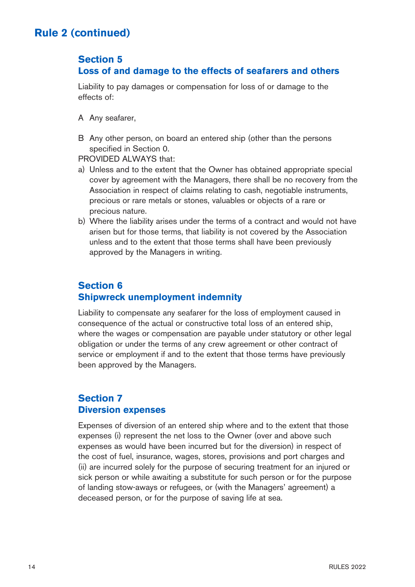## **Section 5**

## **Loss of and damage to the effects of seafarers and others**

Liability to pay damages or compensation for loss of or damage to the effects of:

- A Any seafarer,
- B Any other person, on board an entered ship (other than the persons specified in Section 0.

PROVIDED ALWAYS that:

- a) Unless and to the extent that the Owner has obtained appropriate special cover by agreement with the Managers, there shall be no recovery from the Association in respect of claims relating to cash, negotiable instruments, precious or rare metals or stones, valuables or objects of a rare or precious nature.
- b) Where the liability arises under the terms of a contract and would not have arisen but for those terms, that liability is not covered by the Association unless and to the extent that those terms shall have been previously approved by the Managers in writing.

## **Section 6 Shipwreck unemployment indemnity**

Liability to compensate any seafarer for the loss of employment caused in consequence of the actual or constructive total loss of an entered ship, where the wages or compensation are payable under statutory or other legal obligation or under the terms of any crew agreement or other contract of service or employment if and to the extent that those terms have previously been approved by the Managers.

## **Section 7 Diversion expenses**

Expenses of diversion of an entered ship where and to the extent that those expenses (i) represent the net loss to the Owner (over and above such expenses as would have been incurred but for the diversion) in respect of the cost of fuel, insurance, wages, stores, provisions and port charges and (ii) are incurred solely for the purpose of securing treatment for an injured or sick person or while awaiting a substitute for such person or for the purpose of landing stow-aways or refugees, or (with the Managers' agreement) a deceased person, or for the purpose of saving life at sea.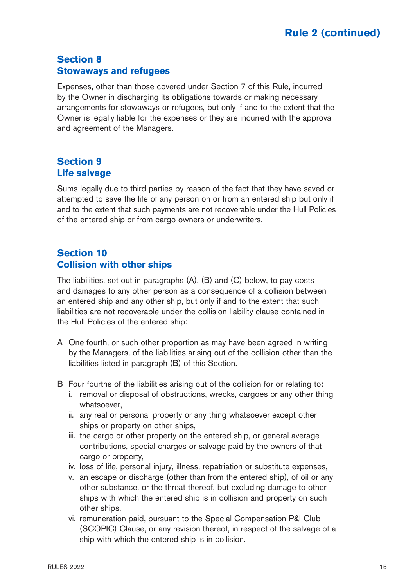## **Section 8 Stowaways and refugees**

Expenses, other than those covered under Section 7 of this Rule, incurred by the Owner in discharging its obligations towards or making necessary arrangements for stowaways or refugees, but only if and to the extent that the Owner is legally liable for the expenses or they are incurred with the approval and agreement of the Managers.

## **Section 9 Life salvage**

Sums legally due to third parties by reason of the fact that they have saved or attempted to save the life of any person on or from an entered ship but only if and to the extent that such payments are not recoverable under the Hull Policies of the entered ship or from cargo owners or underwriters.

## **Section 10 Collision with other ships**

The liabilities, set out in paragraphs (A), (B) and (C) below, to pay costs and damages to any other person as a consequence of a collision between an entered ship and any other ship, but only if and to the extent that such liabilities are not recoverable under the collision liability clause contained in the Hull Policies of the entered ship:

- A One fourth, or such other proportion as may have been agreed in writing by the Managers, of the liabilities arising out of the collision other than the liabilities listed in paragraph (B) of this Section.
- B Four fourths of the liabilities arising out of the collision for or relating to:
	- i. removal or disposal of obstructions, wrecks, cargoes or any other thing whatsoever,
	- ii. any real or personal property or any thing whatsoever except other ships or property on other ships,
	- iii. the cargo or other property on the entered ship, or general average contributions, special charges or salvage paid by the owners of that cargo or property,
	- iv. loss of life, personal injury, illness, repatriation or substitute expenses,
	- v. an escape or discharge (other than from the entered ship), of oil or any other substance, or the threat thereof, but excluding damage to other ships with which the entered ship is in collision and property on such other ships.
	- vi. remuneration paid, pursuant to the Special Compensation P&I Club (SCOPIC) Clause, or any revision thereof, in respect of the salvage of a ship with which the entered ship is in collision.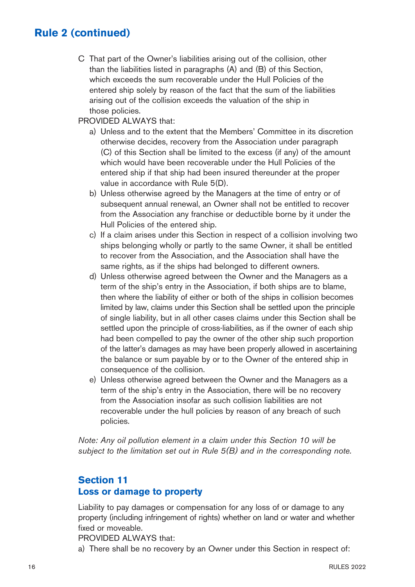C That part of the Owner's liabilities arising out of the collision, other than the liabilities listed in paragraphs (A) and (B) of this Section, which exceeds the sum recoverable under the Hull Policies of the entered ship solely by reason of the fact that the sum of the liabilities arising out of the collision exceeds the valuation of the ship in those policies.

#### PROVIDED ALWAYS that:

- a) Unless and to the extent that the Members' Committee in its discretion otherwise decides, recovery from the Association under paragraph (C) of this Section shall be limited to the excess (if any) of the amount which would have been recoverable under the Hull Policies of the entered ship if that ship had been insured thereunder at the proper value in accordance with Rule 5(D).
- b) Unless otherwise agreed by the Managers at the time of entry or of subsequent annual renewal, an Owner shall not be entitled to recover from the Association any franchise or deductible borne by it under the Hull Policies of the entered ship.
- c) If a claim arises under this Section in respect of a collision involving two ships belonging wholly or partly to the same Owner, it shall be entitled to recover from the Association, and the Association shall have the same rights, as if the ships had belonged to different owners.
- d) Unless otherwise agreed between the Owner and the Managers as a term of the ship's entry in the Association, if both ships are to blame, then where the liability of either or both of the ships in collision becomes limited by law, claims under this Section shall be settled upon the principle of single liability, but in all other cases claims under this Section shall be settled upon the principle of cross-liabilities, as if the owner of each ship had been compelled to pay the owner of the other ship such proportion of the latter's damages as may have been properly allowed in ascertaining the balance or sum payable by or to the Owner of the entered ship in consequence of the collision.
- e) Unless otherwise agreed between the Owner and the Managers as a term of the ship's entry in the Association, there will be no recovery from the Association insofar as such collision liabilities are not recoverable under the hull policies by reason of any breach of such policies.

Note: Any oil pollution element in a claim under this Section 10 will be subject to the limitation set out in Rule 5(B) and in the corresponding note.

## **Section 11 Loss or damage to property**

Liability to pay damages or compensation for any loss of or damage to any property (including infringement of rights) whether on land or water and whether fixed or moveable.

PROVIDED ALWAYS that:

a) There shall be no recovery by an Owner under this Section in respect of: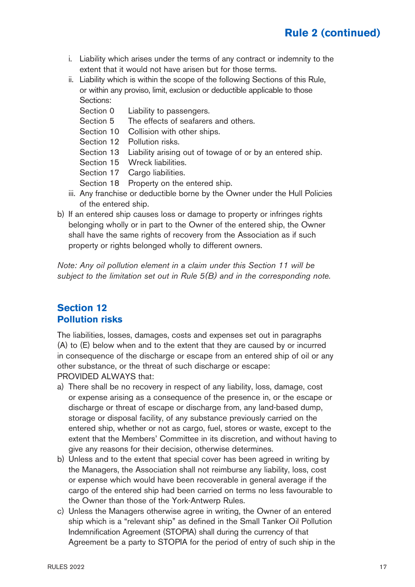- i. Liability which arises under the terms of any contract or indemnity to the extent that it would not have arisen but for those terms.
- ii. Liability which is within the scope of the following Sections of this Rule, or within any proviso, limit, exclusion or deductible applicable to those Sections:
	- Section 0 Liability to passengers.
	- Section 5 The effects of seafarers and others.
	- Section 10 Collision with other ships.
	- Section 12 Pollution risks.
	- Section 13 Liability arising out of towage of or by an entered ship.
	- Section 15 Wreck liabilities.
	- Section 17 Cargo liabilities.
	- Section 18 Property on the entered ship.
- iii. Any franchise or deductible borne by the Owner under the Hull Policies of the entered ship.
- b) If an entered ship causes loss or damage to property or infringes rights belonging wholly or in part to the Owner of the entered ship, the Owner shall have the same rights of recovery from the Association as if such property or rights belonged wholly to different owners.

Note: Any oil pollution element in a claim under this Section 11 will be subject to the limitation set out in Rule 5(B) and in the corresponding note.

#### **Section 12 Pollution risks**

The liabilities, losses, damages, costs and expenses set out in paragraphs (A) to (E) below when and to the extent that they are caused by or incurred in consequence of the discharge or escape from an entered ship of oil or any other substance, or the threat of such discharge or escape: PROVIDED ALWAYS that:

- a) There shall be no recovery in respect of any liability, loss, damage, cost or expense arising as a consequence of the presence in, or the escape or discharge or threat of escape or discharge from, any land-based dump, storage or disposal facility, of any substance previously carried on the entered ship, whether or not as cargo, fuel, stores or waste, except to the extent that the Members' Committee in its discretion, and without having to give any reasons for their decision, otherwise determines.
- b) Unless and to the extent that special cover has been agreed in writing by the Managers, the Association shall not reimburse any liability, loss, cost or expense which would have been recoverable in general average if the cargo of the entered ship had been carried on terms no less favourable to the Owner than those of the York-Antwerp Rules.
- c) Unless the Managers otherwise agree in writing, the Owner of an entered ship which is a "relevant ship" as defined in the Small Tanker Oil Pollution Indemnification Agreement (STOPIA) shall during the currency of that Agreement be a party to STOPIA for the period of entry of such ship in the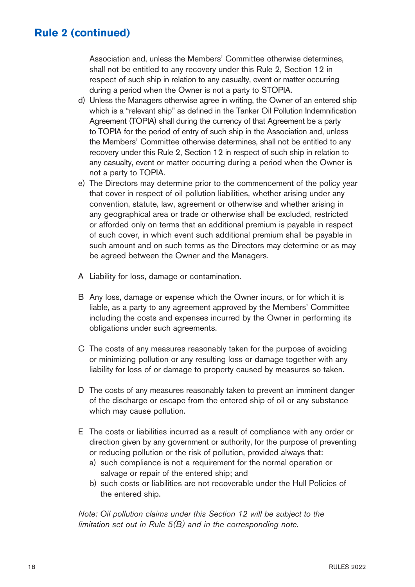Association and, unless the Members' Committee otherwise determines, shall not be entitled to any recovery under this Rule 2, Section 12 in respect of such ship in relation to any casualty, event or matter occurring during a period when the Owner is not a party to STOPIA.

- d) Unless the Managers otherwise agree in writing, the Owner of an entered ship which is a "relevant ship" as defined in the Tanker Oil Pollution Indemnification Agreement (TOPIA) shall during the currency of that Agreement be a party to TOPIA for the period of entry of such ship in the Association and, unless the Members' Committee otherwise determines, shall not be entitled to any recovery under this Rule 2, Section 12 in respect of such ship in relation to any casualty, event or matter occurring during a period when the Owner is not a party to TOPIA.
- e) The Directors may determine prior to the commencement of the policy year that cover in respect of oil pollution liabilities, whether arising under any convention, statute, law, agreement or otherwise and whether arising in any geographical area or trade or otherwise shall be excluded, restricted or afforded only on terms that an additional premium is payable in respect of such cover, in which event such additional premium shall be payable in such amount and on such terms as the Directors may determine or as may be agreed between the Owner and the Managers.
- A Liability for loss, damage or contamination.
- B Any loss, damage or expense which the Owner incurs, or for which it is liable, as a party to any agreement approved by the Members' Committee including the costs and expenses incurred by the Owner in performing its obligations under such agreements.
- C The costs of any measures reasonably taken for the purpose of avoiding or minimizing pollution or any resulting loss or damage together with any liability for loss of or damage to property caused by measures so taken.
- D The costs of any measures reasonably taken to prevent an imminent danger of the discharge or escape from the entered ship of oil or any substance which may cause pollution.
- E The costs or liabilities incurred as a result of compliance with any order or direction given by any government or authority, for the purpose of preventing or reducing pollution or the risk of pollution, provided always that:
	- a) such compliance is not a requirement for the normal operation or salvage or repair of the entered ship; and
	- b) such costs or liabilities are not recoverable under the Hull Policies of the entered ship.

Note: Oil pollution claims under this Section 12 will be subject to the limitation set out in Rule  $5(B)$  and in the corresponding note.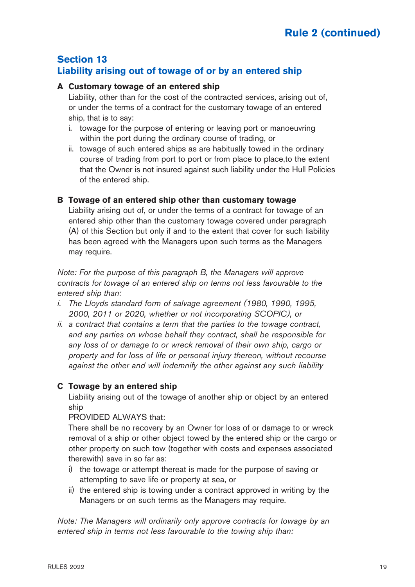#### **Section 13 Liability arising out of towage of or by an entered ship**

#### **A Customary towage of an entered ship**

Liability, other than for the cost of the contracted services, arising out of, or under the terms of a contract for the customary towage of an entered ship, that is to say:

- i. towage for the purpose of entering or leaving port or manoeuvring within the port during the ordinary course of trading, or
- ii. towage of such entered ships as are habitually towed in the ordinary course of trading from port to port or from place to place,to the extent that the Owner is not insured against such liability under the Hull Policies of the entered ship.

#### **B Towage of an entered ship other than customary towage**

Liability arising out of, or under the terms of a contract for towage of an entered ship other than the customary towage covered under paragraph (A) of this Section but only if and to the extent that cover for such liability has been agreed with the Managers upon such terms as the Managers may require.

Note: For the purpose of this paragraph B, the Managers will approve contracts for towage of an entered ship on terms not less favourable to the entered ship than:

- i. The Lloyds standard form of salvage agreement (1980, 1990, 1995, 2000, 2011 or 2020, whether or not incorporating SCOPIC), or
- ii. a contract that contains a term that the parties to the towage contract, and any parties on whose behalf they contract, shall be responsible for any loss of or damage to or wreck removal of their own ship, cargo or property and for loss of life or personal injury thereon, without recourse against the other and will indemnify the other against any such liability

#### **C Towage by an entered ship**

Liability arising out of the towage of another ship or object by an entered ship

PROVIDED ALWAYS that:

There shall be no recovery by an Owner for loss of or damage to or wreck removal of a ship or other object towed by the entered ship or the cargo or other property on such tow (together with costs and expenses associated therewith) save in so far as:

- i) the towage or attempt thereat is made for the purpose of saving or attempting to save life or property at sea, or
- ii) the entered ship is towing under a contract approved in writing by the Managers or on such terms as the Managers may require.

Note: The Managers will ordinarily only approve contracts for towage by an entered ship in terms not less favourable to the towing ship than: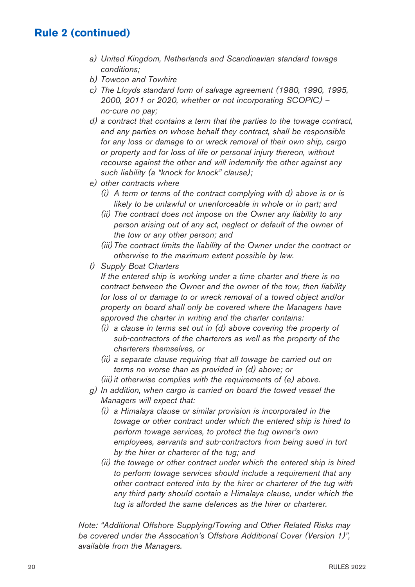- a) United Kingdom, Netherlands and Scandinavian standard towage conditions;
- b) Towcon and Towhire
- c) The Lloyds standard form of salvage agreement (1980, 1990, 1995, 2000, 2011 or 2020, whether or not incorporating SCOPIC) – no-cure no pay;
- d) a contract that contains a term that the parties to the towage contract, and any parties on whose behalf they contract, shall be responsible for any loss or damage to or wreck removal of their own ship, cargo or property and for loss of life or personal injury thereon, without recourse against the other and will indemnify the other against any such liability (a "knock for knock" clause);
- e) other contracts where
	- (i) A term or terms of the contract complying with d) above is or is likely to be unlawful or unenforceable in whole or in part; and
	- (ii) The contract does not impose on the Owner any liability to any person arising out of any act, neglect or default of the owner of the tow or any other person; and
	- (iii)The contract limits the liability of the Owner under the contract or otherwise to the maximum extent possible by law.
- f) Supply Boat Charters

 If the entered ship is working under a time charter and there is no contract between the Owner and the owner of the tow, then liability for loss of or damage to or wreck removal of a towed object and/or property on board shall only be covered where the Managers have approved the charter in writing and the charter contains:

- (i) a clause in terms set out in (d) above covering the property of sub-contractors of the charterers as well as the property of the charterers themselves, or
- (ii) a separate clause requiring that all towage be carried out on terms no worse than as provided in (d) above; or
- $(iii)$  it otherwise complies with the requirements of  $(e)$  above.
- g) In addition, when cargo is carried on board the towed vessel the Managers will expect that:
	- (i) a Himalaya clause or similar provision is incorporated in the towage or other contract under which the entered ship is hired to perform towage services, to protect the tug owner's own employees, servants and sub-contractors from being sued in tort by the hirer or charterer of the tug; and
	- (ii) the towage or other contract under which the entered ship is hired to perform towage services should include a requirement that any other contract entered into by the hirer or charterer of the tug with any third party should contain a Himalaya clause, under which the tug is afforded the same defences as the hirer or charterer.

Note: "Additional Offshore Supplying/Towing and Other Related Risks may be covered under the Assocation's Offshore Additional Cover (Version 1)", available from the Managers.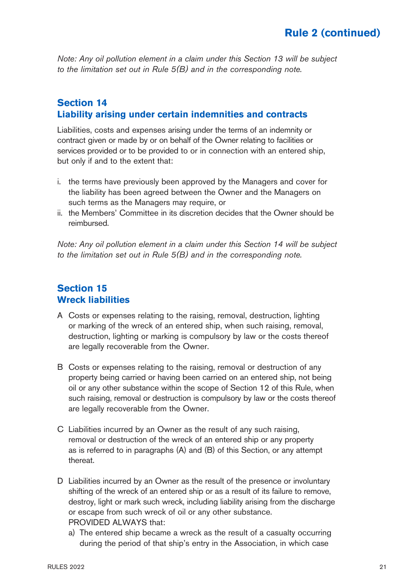Note: Any oil pollution element in a claim under this Section 13 will be subject to the limitation set out in Rule 5(B) and in the corresponding note.

#### **Section 14 Liability arising under certain indemnities and contracts**

Liabilities, costs and expenses arising under the terms of an indemnity or contract given or made by or on behalf of the Owner relating to facilities or services provided or to be provided to or in connection with an entered ship, but only if and to the extent that:

- i. the terms have previously been approved by the Managers and cover for the liability has been agreed between the Owner and the Managers on such terms as the Managers may require, or
- ii. the Members' Committee in its discretion decides that the Owner should be reimbursed.

Note: Any oil pollution element in a claim under this Section 14 will be subject to the limitation set out in Rule 5(B) and in the corresponding note.

## **Section 15 Wreck liabilities**

- A Costs or expenses relating to the raising, removal, destruction, lighting or marking of the wreck of an entered ship, when such raising, removal, destruction, lighting or marking is compulsory by law or the costs thereof are legally recoverable from the Owner.
- B Costs or expenses relating to the raising, removal or destruction of any property being carried or having been carried on an entered ship, not being oil or any other substance within the scope of Section 12 of this Rule, when such raising, removal or destruction is compulsory by law or the costs thereof are legally recoverable from the Owner.
- C Liabilities incurred by an Owner as the result of any such raising, removal or destruction of the wreck of an entered ship or any property as is referred to in paragraphs (A) and (B) of this Section, or any attempt thereat.
- D Liabilities incurred by an Owner as the result of the presence or involuntary shifting of the wreck of an entered ship or as a result of its failure to remove, destroy, light or mark such wreck, including liability arising from the discharge or escape from such wreck of oil or any other substance. PROVIDED ALWAYS that:
	- a) The entered ship became a wreck as the result of a casualty occurring during the period of that ship's entry in the Association, in which case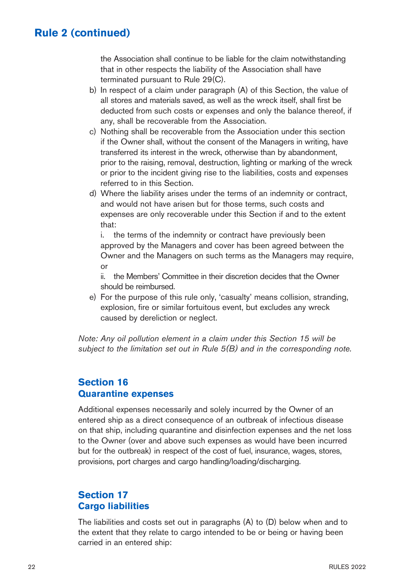the Association shall continue to be liable for the claim notwithstanding that in other respects the liability of the Association shall have terminated pursuant to Rule 29(C).

- b) In respect of a claim under paragraph (A) of this Section, the value of all stores and materials saved, as well as the wreck itself, shall first be deducted from such costs or expenses and only the balance thereof, if any, shall be recoverable from the Association.
- c) Nothing shall be recoverable from the Association under this section if the Owner shall, without the consent of the Managers in writing, have transferred its interest in the wreck, otherwise than by abandonment, prior to the raising, removal, destruction, lighting or marking of the wreck or prior to the incident giving rise to the liabilities, costs and expenses referred to in this Section.
- d) Where the liability arises under the terms of an indemnity or contract, and would not have arisen but for those terms, such costs and expenses are only recoverable under this Section if and to the extent that:

i. the terms of the indemnity or contract have previously been approved by the Managers and cover has been agreed between the Owner and the Managers on such terms as the Managers may require, or

ii. the Members' Committee in their discretion decides that the Owner should be reimbursed.

e) For the purpose of this rule only, 'casualty' means collision, stranding, explosion, fire or similar fortuitous event, but excludes any wreck caused by dereliction or neglect.

Note: Any oil pollution element in a claim under this Section 15 will be subject to the limitation set out in Rule  $5(B)$  and in the corresponding note.

## **Section 16 Quarantine expenses**

Additional expenses necessarily and solely incurred by the Owner of an entered ship as a direct consequence of an outbreak of infectious disease on that ship, including quarantine and disinfection expenses and the net loss to the Owner (over and above such expenses as would have been incurred but for the outbreak) in respect of the cost of fuel, insurance, wages, stores, provisions, port charges and cargo handling/loading/discharging.

## **Section 17 Cargo liabilities**

The liabilities and costs set out in paragraphs (A) to (D) below when and to the extent that they relate to cargo intended to be or being or having been carried in an entered ship: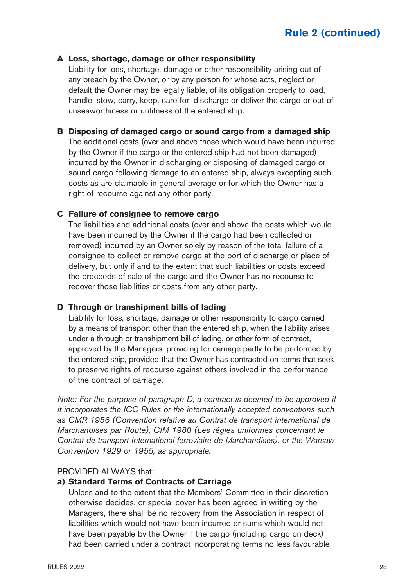#### **A Loss, shortage, damage or other responsibility**

Liability for loss, shortage, damage or other responsibility arising out of any breach by the Owner, or by any person for whose acts, neglect or default the Owner may be legally liable, of its obligation properly to load, handle, stow, carry, keep, care for, discharge or deliver the cargo or out of unseaworthiness or unfitness of the entered ship.

#### **B Disposing of damaged cargo or sound cargo from a damaged ship**

The additional costs (over and above those which would have been incurred by the Owner if the cargo or the entered ship had not been damaged) incurred by the Owner in discharging or disposing of damaged cargo or sound cargo following damage to an entered ship, always excepting such costs as are claimable in general average or for which the Owner has a right of recourse against any other party.

#### **C Failure of consignee to remove cargo**

The liabilities and additional costs (over and above the costs which would have been incurred by the Owner if the cargo had been collected or removed) incurred by an Owner solely by reason of the total failure of a consignee to collect or remove cargo at the port of discharge or place of delivery, but only if and to the extent that such liabilities or costs exceed the proceeds of sale of the cargo and the Owner has no recourse to recover those liabilities or costs from any other party.

#### **D Through or transhipment bills of lading**

Liability for loss, shortage, damage or other responsibility to cargo carried by a means of transport other than the entered ship, when the liability arises under a through or transhipment bill of lading, or other form of contract, approved by the Managers, providing for carriage partly to be performed by the entered ship, provided that the Owner has contracted on terms that seek to preserve rights of recourse against others involved in the performance of the contract of carriage.

Note: For the purpose of paragraph D, a contract is deemed to be approved if it incorporates the ICC Rules or the internationally accepted conventions such as CMR 1956 (Convention relative au Contrat de transport international de Marchandises par Route), CIM 1980 (Les régles uniformes concernant le Contrat de transport International ferroviaire de Marchandises), or the Warsaw Convention 1929 or 1955, as appropriate.

#### PROVIDED ALWAYS that:

#### **a) Standard Terms of Contracts of Carriage**

Unless and to the extent that the Members' Committee in their discretion otherwise decides, or special cover has been agreed in writing by the Managers, there shall be no recovery from the Association in respect of liabilities which would not have been incurred or sums which would not have been payable by the Owner if the cargo (including cargo on deck) had been carried under a contract incorporating terms no less favourable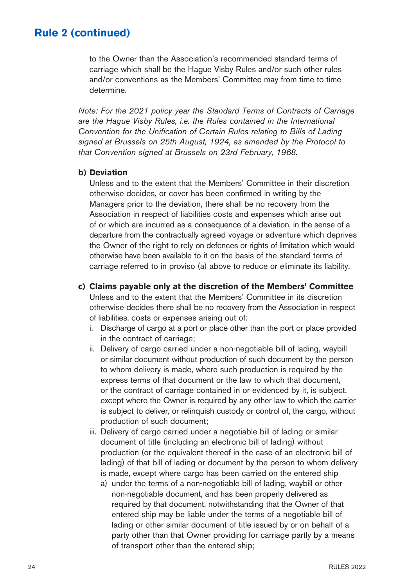to the Owner than the Association's recommended standard terms of carriage which shall be the Hague Visby Rules and/or such other rules and/or conventions as the Members' Committee may from time to time determine.

Note: For the 2021 policy year the Standard Terms of Contracts of Carriage are the Hague Visby Rules, i.e. the Rules contained in the International Convention for the Unification of Certain Rules relating to Bills of Lading signed at Brussels on 25th August, 1924, as amended by the Protocol to that Convention signed at Brussels on 23rd February, 1968.

#### **b) Deviation**

Unless and to the extent that the Members' Committee in their discretion otherwise decides, or cover has been confirmed in writing by the Managers prior to the deviation, there shall be no recovery from the Association in respect of liabilities costs and expenses which arise out of or which are incurred as a consequence of a deviation, in the sense of a departure from the contractually agreed voyage or adventure which deprives the Owner of the right to rely on defences or rights of limitation which would otherwise have been available to it on the basis of the standard terms of carriage referred to in proviso (a) above to reduce or eliminate its liability.

#### **c) Claims payable only at the discretion of the Members' Committee**

Unless and to the extent that the Members' Committee in its discretion otherwise decides there shall be no recovery from the Association in respect of liabilities, costs or expenses arising out of:

- i. Discharge of cargo at a port or place other than the port or place provided in the contract of carriage;
- ii. Delivery of cargo carried under a non-negotiable bill of lading, waybill or similar document without production of such document by the person to whom delivery is made, where such production is required by the express terms of that document or the law to which that document, or the contract of carriage contained in or evidenced by it, is subject, except where the Owner is required by any other law to which the carrier is subject to deliver, or relinquish custody or control of, the cargo, without production of such document;
- iii. Delivery of cargo carried under a negotiable bill of lading or similar document of title (including an electronic bill of lading) without production (or the equivalent thereof in the case of an electronic bill of lading) of that bill of lading or document by the person to whom delivery is made, except where cargo has been carried on the entered ship
	- a) under the terms of a non-negotiable bill of lading, waybill or other non-negotiable document, and has been properly delivered as required by that document, notwithstanding that the Owner of that entered ship may be liable under the terms of a negotiable bill of lading or other similar document of title issued by or on behalf of a party other than that Owner providing for carriage partly by a means of transport other than the entered ship;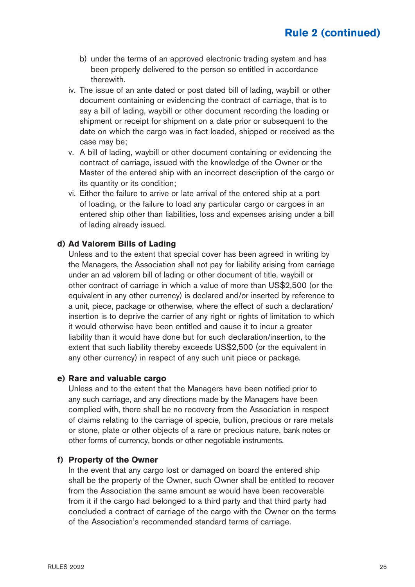- b) under the terms of an approved electronic trading system and has been properly delivered to the person so entitled in accordance therewith.
- iv. The issue of an ante dated or post dated bill of lading, waybill or other document containing or evidencing the contract of carriage, that is to say a bill of lading, waybill or other document recording the loading or shipment or receipt for shipment on a date prior or subsequent to the date on which the cargo was in fact loaded, shipped or received as the case may be;
- v. A bill of lading, waybill or other document containing or evidencing the contract of carriage, issued with the knowledge of the Owner or the Master of the entered ship with an incorrect description of the cargo or its quantity or its condition;
- vi. Either the failure to arrive or late arrival of the entered ship at a port of loading, or the failure to load any particular cargo or cargoes in an entered ship other than liabilities, loss and expenses arising under a bill of lading already issued.

#### **d) Ad Valorem Bills of Lading**

Unless and to the extent that special cover has been agreed in writing by the Managers, the Association shall not pay for liability arising from carriage under an ad valorem bill of lading or other document of title, waybill or other contract of carriage in which a value of more than US\$2,500 (or the equivalent in any other currency) is declared and/or inserted by reference to a unit, piece, package or otherwise, where the effect of such a declaration/ insertion is to deprive the carrier of any right or rights of limitation to which it would otherwise have been entitled and cause it to incur a greater liability than it would have done but for such declaration/insertion, to the extent that such liability thereby exceeds US\$2,500 (or the equivalent in any other currency) in respect of any such unit piece or package.

#### **e) Rare and valuable cargo**

Unless and to the extent that the Managers have been notified prior to any such carriage, and any directions made by the Managers have been complied with, there shall be no recovery from the Association in respect of claims relating to the carriage of specie, bullion, precious or rare metals or stone, plate or other objects of a rare or precious nature, bank notes or other forms of currency, bonds or other negotiable instruments.

#### **f) Property of the Owner**

In the event that any cargo lost or damaged on board the entered ship shall be the property of the Owner, such Owner shall be entitled to recover from the Association the same amount as would have been recoverable from it if the cargo had belonged to a third party and that third party had concluded a contract of carriage of the cargo with the Owner on the terms of the Association's recommended standard terms of carriage.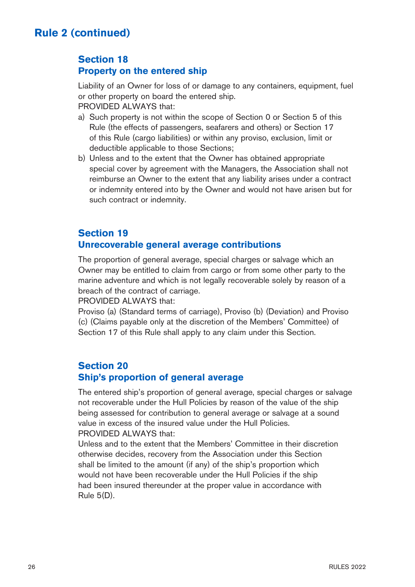## **Section 18 Property on the entered ship**

Liability of an Owner for loss of or damage to any containers, equipment, fuel or other property on board the entered ship. PROVIDED ALWAYS that:

- a) Such property is not within the scope of Section 0 or Section 5 of this Rule (the effects of passengers, seafarers and others) or Section 17 of this Rule (cargo liabilities) or within any proviso, exclusion, limit or deductible applicable to those Sections;
- b) Unless and to the extent that the Owner has obtained appropriate special cover by agreement with the Managers, the Association shall not reimburse an Owner to the extent that any liability arises under a contract or indemnity entered into by the Owner and would not have arisen but for such contract or indemnity.

## **Section 19 Unrecoverable general average contributions**

The proportion of general average, special charges or salvage which an Owner may be entitled to claim from cargo or from some other party to the marine adventure and which is not legally recoverable solely by reason of a breach of the contract of carriage.

PROVIDED ALWAYS that:

Proviso (a) (Standard terms of carriage), Proviso (b) (Deviation) and Proviso (c) (Claims payable only at the discretion of the Members' Committee) of Section 17 of this Rule shall apply to any claim under this Section.

## **Section 20 Ship's proportion of general average**

The entered ship's proportion of general average, special charges or salvage not recoverable under the Hull Policies by reason of the value of the ship being assessed for contribution to general average or salvage at a sound value in excess of the insured value under the Hull Policies. PROVIDED ALWAYS that:

Unless and to the extent that the Members' Committee in their discretion otherwise decides, recovery from the Association under this Section shall be limited to the amount (if any) of the ship's proportion which would not have been recoverable under the Hull Policies if the ship had been insured thereunder at the proper value in accordance with Rule 5(D).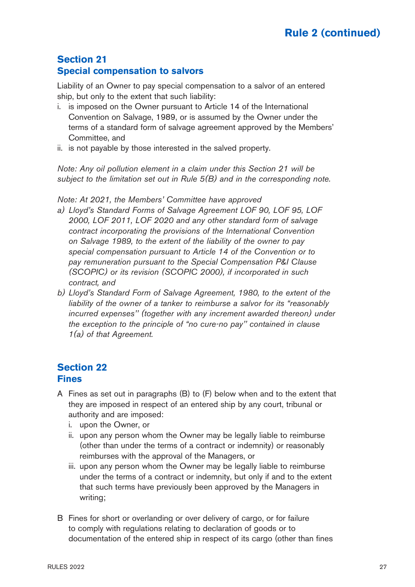## **Section 21 Special compensation to salvors**

Liability of an Owner to pay special compensation to a salvor of an entered ship, but only to the extent that such liability:

- i. is imposed on the Owner pursuant to Article 14 of the International Convention on Salvage, 1989, or is assumed by the Owner under the terms of a standard form of salvage agreement approved by the Members' Committee, and
- ii. is not payable by those interested in the salved property.

Note: Any oil pollution element in a claim under this Section 21 will be subject to the limitation set out in Rule 5(B) and in the corresponding note.

Note: At 2021, the Members' Committee have approved

- a) Lloyd's Standard Forms of Salvage Agreement LOF 90, LOF 95, LOF 2000, LOF 2011, LOF 2020 and any other standard form of salvage contract incorporating the provisions of the International Convention on Salvage 1989, to the extent of the liability of the owner to pay special compensation pursuant to Article 14 of the Convention or to pay remuneration pursuant to the Special Compensation P&I Clause (SCOPIC) or its revision (SCOPIC 2000), if incorporated in such contract, and
- b) Lloyd's Standard Form of Salvage Agreement, 1980, to the extent of the liability of the owner of a tanker to reimburse a salvor for its "reasonably incurred expenses'' (together with any increment awarded thereon) under the exception to the principle of "no cure-no pay'' contained in clause 1(a) of that Agreement.

## **Section 22 Fines**

- A Fines as set out in paragraphs (B) to (F) below when and to the extent that they are imposed in respect of an entered ship by any court, tribunal or authority and are imposed:
	- i. upon the Owner, or
	- ii. upon any person whom the Owner may be legally liable to reimburse (other than under the terms of a contract or indemnity) or reasonably reimburses with the approval of the Managers, or
	- iii. upon any person whom the Owner may be legally liable to reimburse under the terms of a contract or indemnity, but only if and to the extent that such terms have previously been approved by the Managers in writing;
- B Fines for short or overlanding or over delivery of cargo, or for failure to comply with regulations relating to declaration of goods or to documentation of the entered ship in respect of its cargo (other than fines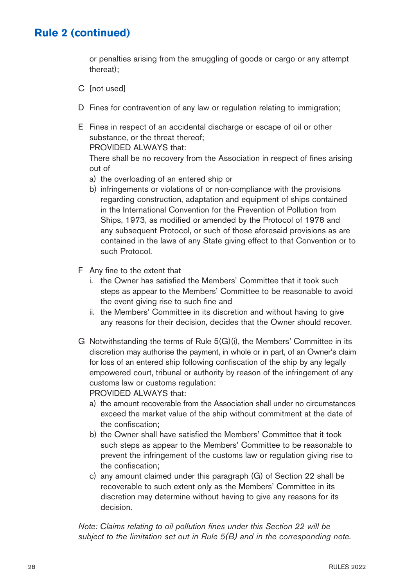or penalties arising from the smuggling of goods or cargo or any attempt thereat);

- C [not used]
- D Fines for contravention of any law or regulation relating to immigration;
- E Fines in respect of an accidental discharge or escape of oil or other substance, or the threat thereof;

PROVIDED ALWAYS that:

There shall be no recovery from the Association in respect of fines arising out of

- a) the overloading of an entered ship or
- b) infringements or violations of or non-compliance with the provisions regarding construction, adaptation and equipment of ships contained in the International Convention for the Prevention of Pollution from Ships, 1973, as modified or amended by the Protocol of 1978 and any subsequent Protocol, or such of those aforesaid provisions as are contained in the laws of any State giving effect to that Convention or to such Protocol.
- F Any fine to the extent that
	- i. the Owner has satisfied the Members' Committee that it took such steps as appear to the Members' Committee to be reasonable to avoid the event giving rise to such fine and
	- ii. the Members' Committee in its discretion and without having to give any reasons for their decision, decides that the Owner should recover.
- G Notwithstanding the terms of Rule 5(G)(i), the Members' Committee in its discretion may authorise the payment, in whole or in part, of an Owner's claim for loss of an entered ship following confiscation of the ship by any legally empowered court, tribunal or authority by reason of the infringement of any customs law or customs regulation: PROVIDED ALWAYS that:

- a) the amount recoverable from the Association shall under no circumstances exceed the market value of the ship without commitment at the date of the confiscation;
- b) the Owner shall have satisfied the Members' Committee that it took such steps as appear to the Members' Committee to be reasonable to prevent the infringement of the customs law or regulation giving rise to the confiscation;
- c) any amount claimed under this paragraph (G) of Section 22 shall be recoverable to such extent only as the Members' Committee in its discretion may determine without having to give any reasons for its decision.

Note: Claims relating to oil pollution fines under this Section 22 will be subject to the limitation set out in Rule  $5(B)$  and in the corresponding note.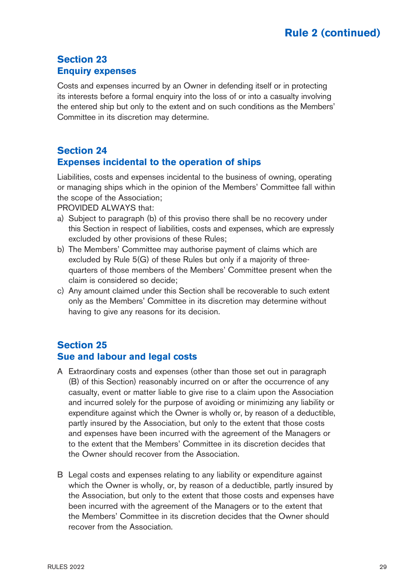## **Section 23 Enquiry expenses**

Costs and expenses incurred by an Owner in defending itself or in protecting its interests before a formal enquiry into the loss of or into a casualty involving the entered ship but only to the extent and on such conditions as the Members' Committee in its discretion may determine.

## **Section 24 Expenses incidental to the operation of ships**

Liabilities, costs and expenses incidental to the business of owning, operating or managing ships which in the opinion of the Members' Committee fall within the scope of the Association;

PROVIDED ALWAYS that:

- a) Subject to paragraph (b) of this proviso there shall be no recovery under this Section in respect of liabilities, costs and expenses, which are expressly excluded by other provisions of these Rules;
- b) The Members' Committee may authorise payment of claims which are excluded by Rule 5(G) of these Rules but only if a majority of threequarters of those members of the Members' Committee present when the claim is considered so decide;
- c) Any amount claimed under this Section shall be recoverable to such extent only as the Members' Committee in its discretion may determine without having to give any reasons for its decision.

## **Section 25 Sue and labour and legal costs**

- A Extraordinary costs and expenses (other than those set out in paragraph (B) of this Section) reasonably incurred on or after the occurrence of any casualty, event or matter liable to give rise to a claim upon the Association and incurred solely for the purpose of avoiding or minimizing any liability or expenditure against which the Owner is wholly or, by reason of a deductible, partly insured by the Association, but only to the extent that those costs and expenses have been incurred with the agreement of the Managers or to the extent that the Members' Committee in its discretion decides that the Owner should recover from the Association.
- B Legal costs and expenses relating to any liability or expenditure against which the Owner is wholly, or, by reason of a deductible, partly insured by the Association, but only to the extent that those costs and expenses have been incurred with the agreement of the Managers or to the extent that the Members' Committee in its discretion decides that the Owner should recover from the Association.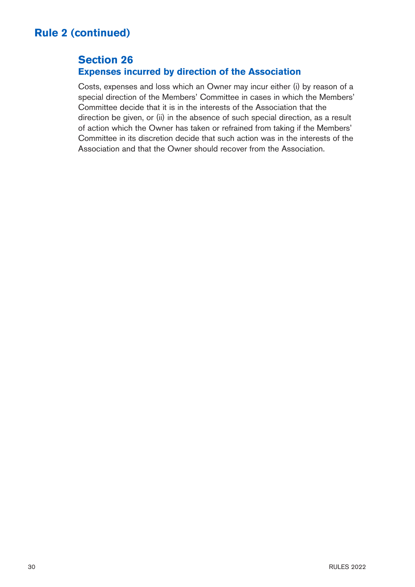## **Section 26 Expenses incurred by direction of the Association**

Costs, expenses and loss which an Owner may incur either (i) by reason of a special direction of the Members' Committee in cases in which the Members' Committee decide that it is in the interests of the Association that the direction be given, or (ii) in the absence of such special direction, as a result of action which the Owner has taken or refrained from taking if the Members' Committee in its discretion decide that such action was in the interests of the Association and that the Owner should recover from the Association.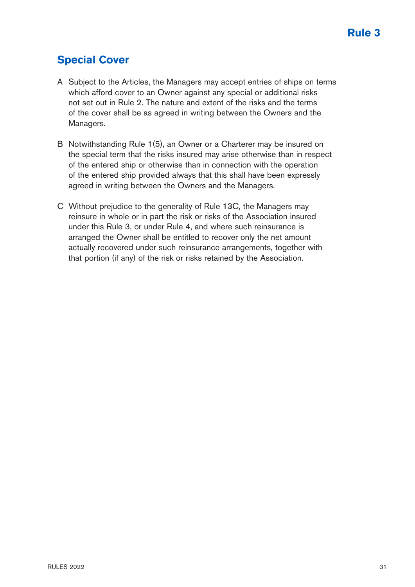## **Special Cover**

- A Subject to the Articles, the Managers may accept entries of ships on terms which afford cover to an Owner against any special or additional risks not set out in Rule 2. The nature and extent of the risks and the terms of the cover shall be as agreed in writing between the Owners and the Managers.
- B Notwithstanding Rule 1(5), an Owner or a Charterer may be insured on the special term that the risks insured may arise otherwise than in respect of the entered ship or otherwise than in connection with the operation of the entered ship provided always that this shall have been expressly agreed in writing between the Owners and the Managers.
- C Without prejudice to the generality of Rule 13C, the Managers may reinsure in whole or in part the risk or risks of the Association insured under this Rule 3, or under Rule 4, and where such reinsurance is arranged the Owner shall be entitled to recover only the net amount actually recovered under such reinsurance arrangements, together with that portion (if any) of the risk or risks retained by the Association.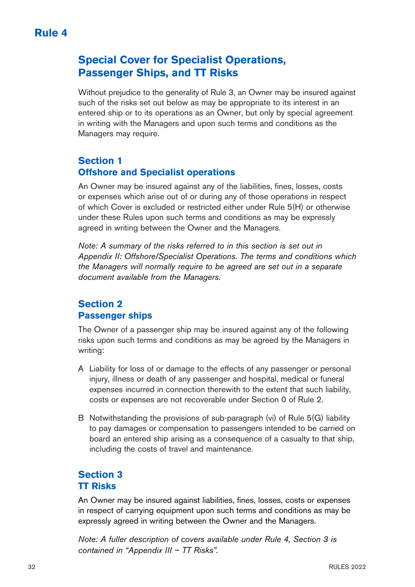## **Special Cover for Specialist Operations, Passenger Ships, and TT Risks**

Without prejudice to the generality of Rule 3, an Owner may be insured against such of the risks set out below as may be appropriate to its interest in an entered ship or to its operations as an Owner, but only by special agreement in writing with the Managers and upon such terms and conditions as the Managers may require.

## **Section 1 Offshore and Specialist operations**

An Owner may be insured against any of the liabilities, fines, losses, costs or expenses which arise out of or during any of those operations in respect of which Cover is excluded or restricted either under Rule 5(H) or otherwise under these Rules upon such terms and conditions as may be expressly agreed in writing between the Owner and the Managers.

Note: A summary of the risks referred to in this section is set out in Appendix II: Offshore/Specialist Operations. The terms and conditions which the Managers will normally require to be agreed are set out in a separate document available from the Managers.

## **Section 2 Passenger ships**

The Owner of a passenger ship may be insured against any of the following risks upon such terms and conditions as may be agreed by the Managers in writing:

- A Liability for loss of or damage to the effects of any passenger or personal injury, illness or death of any passenger and hospital, medical or funeral expenses incurred in connection therewith to the extent that such liability, costs or expenses are not recoverable under Section 0 of Rule 2.
- B Notwithstanding the provisions of sub-paragraph (vi) of Rule 5(G) liability to pay damages or compensation to passengers intended to be carried on board an entered ship arising as a consequence of a casualty to that ship, including the costs of travel and maintenance.

## **Section 3 TT Risks**

An Owner may be insured against liabilities, fines, losses, costs or expenses in respect of carrying equipment upon such terms and conditions as may be expressly agreed in writing between the Owner and the Managers.

Note: A fuller description of covers available under Rule 4, Section 3 is contained in "Appendix III – TT Risks".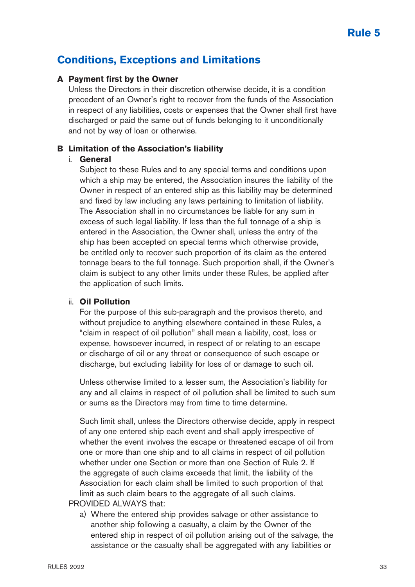## **Conditions, Exceptions and Limitations**

#### **A Payment first by the Owner**

Unless the Directors in their discretion otherwise decide, it is a condition precedent of an Owner's right to recover from the funds of the Association in respect of any liabilities, costs or expenses that the Owner shall first have discharged or paid the same out of funds belonging to it unconditionally and not by way of loan or otherwise.

#### **B Limitation of the Association's liability**

#### i. **General**

Subject to these Rules and to any special terms and conditions upon which a ship may be entered, the Association insures the liability of the Owner in respect of an entered ship as this liability may be determined and fixed by law including any laws pertaining to limitation of liability. The Association shall in no circumstances be liable for any sum in excess of such legal liability. If less than the full tonnage of a ship is entered in the Association, the Owner shall, unless the entry of the ship has been accepted on special terms which otherwise provide, be entitled only to recover such proportion of its claim as the entered tonnage bears to the full tonnage. Such proportion shall, if the Owner's claim is subject to any other limits under these Rules, be applied after the application of such limits.

#### ii. **Oil Pollution**

 For the purpose of this sub-paragraph and the provisos thereto, and without prejudice to anything elsewhere contained in these Rules, a "claim in respect of oil pollution" shall mean a liability, cost, loss or expense, howsoever incurred, in respect of or relating to an escape or discharge of oil or any threat or consequence of such escape or discharge, but excluding liability for loss of or damage to such oil.

 Unless otherwise limited to a lesser sum, the Association's liability for any and all claims in respect of oil pollution shall be limited to such sum or sums as the Directors may from time to time determine.

 Such limit shall, unless the Directors otherwise decide, apply in respect of any one entered ship each event and shall apply irrespective of whether the event involves the escape or threatened escape of oil from one or more than one ship and to all claims in respect of oil pollution whether under one Section or more than one Section of Rule 2. If the aggregate of such claims exceeds that limit, the liability of the Association for each claim shall be limited to such proportion of that limit as such claim bears to the aggregate of all such claims.

PROVIDED ALWAYS that:

a) Where the entered ship provides salvage or other assistance to another ship following a casualty, a claim by the Owner of the entered ship in respect of oil pollution arising out of the salvage, the assistance or the casualty shall be aggregated with any liabilities or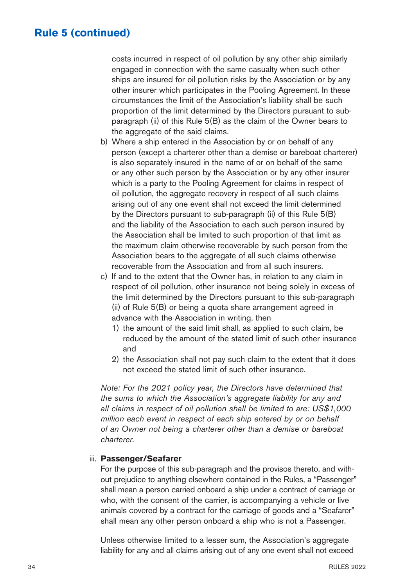costs incurred in respect of oil pollution by any other ship similarly engaged in connection with the same casualty when such other ships are insured for oil pollution risks by the Association or by any other insurer which participates in the Pooling Agreement. In these circumstances the limit of the Association's liability shall be such proportion of the limit determined by the Directors pursuant to subparagraph (ii) of this Rule 5(B) as the claim of the Owner bears to the aggregate of the said claims.

- b) Where a ship entered in the Association by or on behalf of any person (except a charterer other than a demise or bareboat charterer) is also separately insured in the name of or on behalf of the same or any other such person by the Association or by any other insurer which is a party to the Pooling Agreement for claims in respect of oil pollution, the aggregate recovery in respect of all such claims arising out of any one event shall not exceed the limit determined by the Directors pursuant to sub-paragraph (ii) of this Rule 5(B) and the liability of the Association to each such person insured by the Association shall be limited to such proportion of that limit as the maximum claim otherwise recoverable by such person from the Association bears to the aggregate of all such claims otherwise recoverable from the Association and from all such insurers.
- c) If and to the extent that the Owner has, in relation to any claim in respect of oil pollution, other insurance not being solely in excess of the limit determined by the Directors pursuant to this sub-paragraph (ii) of Rule 5(B) or being a quota share arrangement agreed in advance with the Association in writing, then
	- 1) the amount of the said limit shall, as applied to such claim, be reduced by the amount of the stated limit of such other insurance and
	- 2) the Association shall not pay such claim to the extent that it does not exceed the stated limit of such other insurance.

 Note: For the 2021 policy year, the Directors have determined that the sums to which the Association's aggregate liability for any and all claims in respect of oil pollution shall be limited to are: US\$1,000 million each event in respect of each ship entered by or on behalf of an Owner not being a charterer other than a demise or bareboat charterer.

#### iii. **Passenger/Seafarer**

For the purpose of this sub-paragraph and the provisos thereto, and without prejudice to anything elsewhere contained in the Rules, a "Passenger" shall mean a person carried onboard a ship under a contract of carriage or who, with the consent of the carrier, is accompanying a vehicle or live animals covered by a contract for the carriage of goods and a "Seafarer" shall mean any other person onboard a ship who is not a Passenger.

 Unless otherwise limited to a lesser sum, the Association's aggregate liability for any and all claims arising out of any one event shall not exceed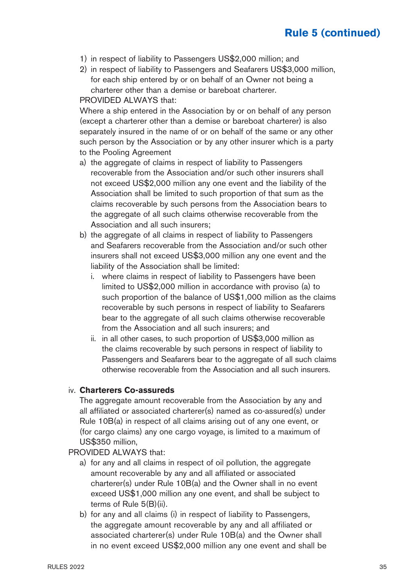- 1) in respect of liability to Passengers US\$2,000 million; and
- 2) in respect of liability to Passengers and Seafarers US\$3,000 million, for each ship entered by or on behalf of an Owner not being a charterer other than a demise or bareboat charterer.

PROVIDED ALWAYS that:

Where a ship entered in the Association by or on behalf of any person (except a charterer other than a demise or bareboat charterer) is also separately insured in the name of or on behalf of the same or any other such person by the Association or by any other insurer which is a party to the Pooling Agreement

- a) the aggregate of claims in respect of liability to Passengers recoverable from the Association and/or such other insurers shall not exceed US\$2,000 million any one event and the liability of the Association shall be limited to such proportion of that sum as the claims recoverable by such persons from the Association bears to the aggregate of all such claims otherwise recoverable from the Association and all such insurers;
- b) the aggregate of all claims in respect of liability to Passengers and Seafarers recoverable from the Association and/or such other insurers shall not exceed US\$3,000 million any one event and the liability of the Association shall be limited:
	- i. where claims in respect of liability to Passengers have been limited to US\$2,000 million in accordance with proviso (a) to such proportion of the balance of US\$1,000 million as the claims recoverable by such persons in respect of liability to Seafarers bear to the aggregate of all such claims otherwise recoverable from the Association and all such insurers; and
	- ii. in all other cases, to such proportion of US\$3,000 million as the claims recoverable by such persons in respect of liability to Passengers and Seafarers bear to the aggregate of all such claims otherwise recoverable from the Association and all such insurers.

#### iv. **Charterers Co-assureds**

The aggregate amount recoverable from the Association by any and all affiliated or associated charterer(s) named as co-assured(s) under Rule 10B(a) in respect of all claims arising out of any one event, or (for cargo claims) any one cargo voyage, is limited to a maximum of US\$350 million,

PROVIDED ALWAYS that:

- a) for any and all claims in respect of oil pollution, the aggregate amount recoverable by any and all affiliated or associated charterer(s) under Rule 10B(a) and the Owner shall in no event exceed US\$1,000 million any one event, and shall be subject to terms of Rule 5(B)(ii).
- b) for any and all claims (i) in respect of liability to Passengers, the aggregate amount recoverable by any and all affiliated or associated charterer(s) under Rule 10B(a) and the Owner shall in no event exceed US\$2,000 million any one event and shall be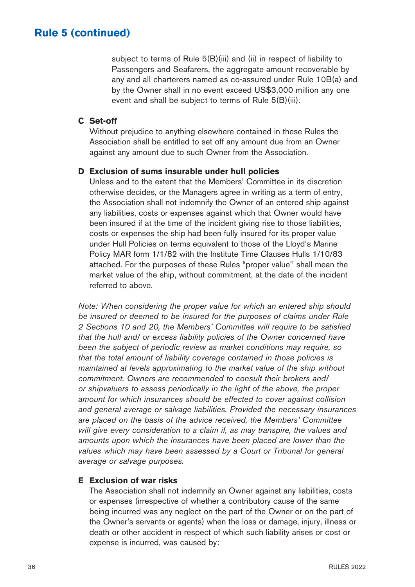subject to terms of Rule 5(B)(iii) and (ii) in respect of liability to Passengers and Seafarers, the aggregate amount recoverable by any and all charterers named as co-assured under Rule 10B(a) and by the Owner shall in no event exceed US\$3,000 million any one event and shall be subject to terms of Rule 5(B)(iii).

#### **C Set-off**

Without prejudice to anything elsewhere contained in these Rules the Association shall be entitled to set off any amount due from an Owner against any amount due to such Owner from the Association.

#### **D Exclusion of sums insurable under hull policies**

Unless and to the extent that the Members' Committee in its discretion otherwise decides, or the Managers agree in writing as a term of entry, the Association shall not indemnify the Owner of an entered ship against any liabilities, costs or expenses against which that Owner would have been insured if at the time of the incident giving rise to those liabilities, costs or expenses the ship had been fully insured for its proper value under Hull Policies on terms equivalent to those of the Lloyd's Marine Policy MAR form 1/1/82 with the Institute Time Clauses Hulls 1/10/83 attached. For the purposes of these Rules "proper value'' shall mean the market value of the ship, without commitment, at the date of the incident referred to above.

Note: When considering the proper value for which an entered ship should be insured or deemed to be insured for the purposes of claims under Rule 2 Sections 10 and 20, the Members' Committee will require to be satisfied that the hull and/ or excess liability policies of the Owner concerned have been the subject of periodic review as market conditions may require, so that the total amount of liability coverage contained in those policies is maintained at levels approximating to the market value of the ship without commitment. Owners are recommended to consult their brokers and/ or shipvaluers to assess periodically in the light of the above, the proper amount for which insurances should be effected to cover against collision and general average or salvage liabilities. Provided the necessary insurances are placed on the basis of the advice received, the Members' Committee will give every consideration to a claim if, as may transpire, the values and amounts upon which the insurances have been placed are lower than the values which may have been assessed by a Court or Tribunal for general average or salvage purposes.

#### **E Exclusion of war risks**

The Association shall not indemnify an Owner against any liabilities, costs or expenses (irrespective of whether a contributory cause of the same being incurred was any neglect on the part of the Owner or on the part of the Owner's servants or agents) when the loss or damage, injury, illness or death or other accident in respect of which such liability arises or cost or expense is incurred, was caused by: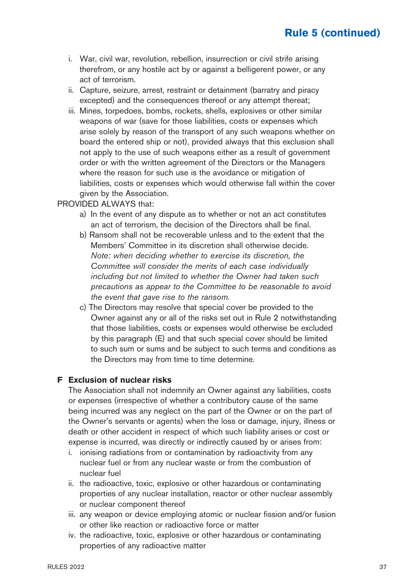- i. War, civil war, revolution, rebellion, insurrection or civil strife arising therefrom, or any hostile act by or against a belligerent power, or any act of terrorism.
- ii. Capture, seizure, arrest, restraint or detainment (barratry and piracy excepted) and the consequences thereof or any attempt thereat;
- iii. Mines, torpedoes, bombs, rockets, shells, explosives or other similar weapons of war (save for those liabilities, costs or expenses which arise solely by reason of the transport of any such weapons whether on board the entered ship or not), provided always that this exclusion shall not apply to the use of such weapons either as a result of government order or with the written agreement of the Directors or the Managers where the reason for such use is the avoidance or mitigation of liabilities, costs or expenses which would otherwise fall within the cover given by the Association.

#### PROVIDED ALWAYS that:

- a) In the event of any dispute as to whether or not an act constitutes an act of terrorism, the decision of the Directors shall be final.
- b) Ransom shall not be recoverable unless and to the extent that the Members' Committee in its discretion shall otherwise decide. Note: when deciding whether to exercise its discretion, the Committee will consider the merits of each case individually including but not limited to whether the Owner had taken such precautions as appear to the Committee to be reasonable to avoid the event that gave rise to the ransom.
- c) The Directors may resolve that special cover be provided to the Owner against any or all of the risks set out in Rule 2 notwithstanding that those liabilities, costs or expenses would otherwise be excluded by this paragraph (E) and that such special cover should be limited to such sum or sums and be subject to such terms and conditions as the Directors may from time to time determine.

#### **F Exclusion of nuclear risks**

The Association shall not indemnify an Owner against any liabilities, costs or expenses (irrespective of whether a contributory cause of the same being incurred was any neglect on the part of the Owner or on the part of the Owner's servants or agents) when the loss or damage, injury, illness or death or other accident in respect of which such liability arises or cost or expense is incurred, was directly or indirectly caused by or arises from:

- i. ionising radiations from or contamination by radioactivity from any nuclear fuel or from any nuclear waste or from the combustion of nuclear fuel
- ii. the radioactive, toxic, explosive or other hazardous or contaminating properties of any nuclear installation, reactor or other nuclear assembly or nuclear component thereof
- iii. any weapon or device employing atomic or nuclear fission and/or fusion or other like reaction or radioactive force or matter
- iv. the radioactive, toxic, explosive or other hazardous or contaminating properties of any radioactive matter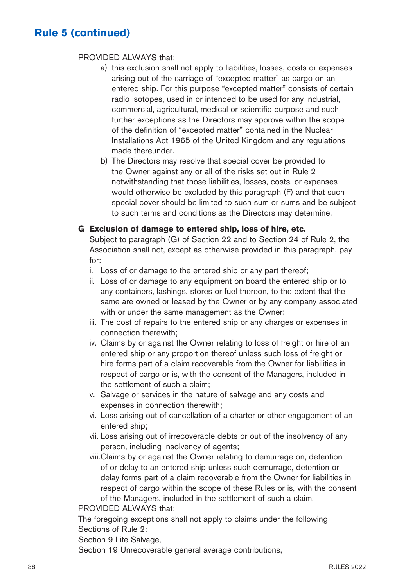#### PROVIDED ALWAYS that:

- a) this exclusion shall not apply to liabilities, losses, costs or expenses arising out of the carriage of "excepted matter" as cargo on an entered ship. For this purpose "excepted matter" consists of certain radio isotopes, used in or intended to be used for any industrial, commercial, agricultural, medical or scientific purpose and such further exceptions as the Directors may approve within the scope of the definition of "excepted matter" contained in the Nuclear Installations Act 1965 of the United Kingdom and any regulations made thereunder.
- b) The Directors may resolve that special cover be provided to the Owner against any or all of the risks set out in Rule 2 notwithstanding that those liabilities, losses, costs, or expenses would otherwise be excluded by this paragraph (F) and that such special cover should be limited to such sum or sums and be subject to such terms and conditions as the Directors may determine.

#### **G Exclusion of damage to entered ship, loss of hire, etc.**

Subject to paragraph (G) of Section 22 and to Section 24 of Rule 2, the Association shall not, except as otherwise provided in this paragraph, pay for:

- i. Loss of or damage to the entered ship or any part thereof;
- ii. Loss of or damage to any equipment on board the entered ship or to any containers, lashings, stores or fuel thereon, to the extent that the same are owned or leased by the Owner or by any company associated with or under the same management as the Owner;
- iii. The cost of repairs to the entered ship or any charges or expenses in connection therewith;
- iv. Claims by or against the Owner relating to loss of freight or hire of an entered ship or any proportion thereof unless such loss of freight or hire forms part of a claim recoverable from the Owner for liabilities in respect of cargo or is, with the consent of the Managers, included in the settlement of such a claim;
- v. Salvage or services in the nature of salvage and any costs and expenses in connection therewith;
- vi. Loss arising out of cancellation of a charter or other engagement of an entered ship;
- vii. Loss arising out of irrecoverable debts or out of the insolvency of any person, including insolvency of agents;
- viii.Claims by or against the Owner relating to demurrage on, detention of or delay to an entered ship unless such demurrage, detention or delay forms part of a claim recoverable from the Owner for liabilities in respect of cargo within the scope of these Rules or is, with the consent of the Managers, included in the settlement of such a claim.

PROVIDED ALWAYS that:

The foregoing exceptions shall not apply to claims under the following Sections of Rule 2:

Section 9 Life Salvage,

Section 19 Unrecoverable general average contributions,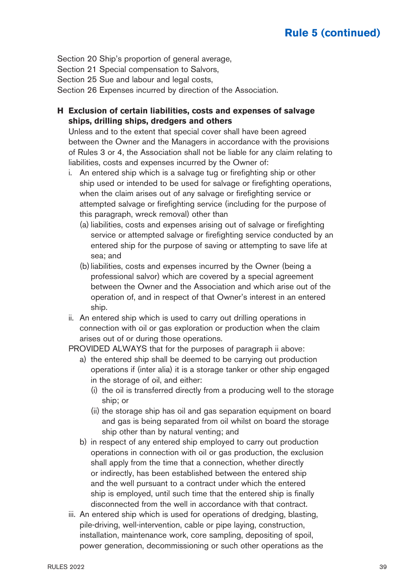Section 20 Ship's proportion of general average,

Section 21 Special compensation to Salvors,

Section 25 Sue and labour and legal costs,

Section 26 Expenses incurred by direction of the Association.

**H Exclusion of certain liabilities, costs and expenses of salvage ships, drilling ships, dredgers and others**

Unless and to the extent that special cover shall have been agreed between the Owner and the Managers in accordance with the provisions of Rules 3 or 4, the Association shall not be liable for any claim relating to liabilities, costs and expenses incurred by the Owner of:

- i. An entered ship which is a salvage tug or firefighting ship or other ship used or intended to be used for salvage or firefighting operations, when the claim arises out of any salvage or firefighting service or attempted salvage or firefighting service (including for the purpose of this paragraph, wreck removal) other than
	- (a) liabilities, costs and expenses arising out of salvage or firefighting service or attempted salvage or firefighting service conducted by an entered ship for the purpose of saving or attempting to save life at sea; and
	- (b)liabilities, costs and expenses incurred by the Owner (being a professional salvor) which are covered by a special agreement between the Owner and the Association and which arise out of the operation of, and in respect of that Owner's interest in an entered ship.
- ii. An entered ship which is used to carry out drilling operations in connection with oil or gas exploration or production when the claim arises out of or during those operations.

PROVIDED ALWAYS that for the purposes of paragraph ii above:

- a) the entered ship shall be deemed to be carrying out production operations if (inter alia) it is a storage tanker or other ship engaged in the storage of oil, and either:
	- (i) the oil is transferred directly from a producing well to the storage ship; or
	- (ii) the storage ship has oil and gas separation equipment on board and gas is being separated from oil whilst on board the storage ship other than by natural venting; and
- b) in respect of any entered ship employed to carry out production operations in connection with oil or gas production, the exclusion shall apply from the time that a connection, whether directly or indirectly, has been established between the entered ship and the well pursuant to a contract under which the entered ship is employed, until such time that the entered ship is finally disconnected from the well in accordance with that contract.
- iii. An entered ship which is used for operations of dredging, blasting, pile-driving, well-intervention, cable or pipe laying, construction, installation, maintenance work, core sampling, depositing of spoil, power generation, decommissioning or such other operations as the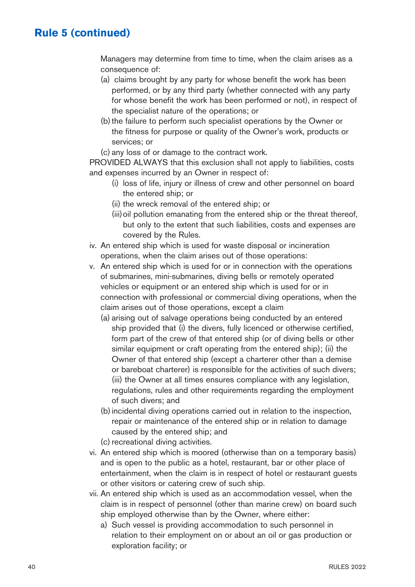Managers may determine from time to time, when the claim arises as a consequence of:

- (a) claims brought by any party for whose benefit the work has been performed, or by any third party (whether connected with any party for whose benefit the work has been performed or not), in respect of the specialist nature of the operations; or
- (b) the failure to perform such specialist operations by the Owner or the fitness for purpose or quality of the Owner's work, products or services; or
- (c) any loss of or damage to the contract work.

PROVIDED ALWAYS that this exclusion shall not apply to liabilities, costs and expenses incurred by an Owner in respect of:

- (i) loss of life, injury or illness of crew and other personnel on board the entered ship; or
- (ii) the wreck removal of the entered ship; or
- (iii) oil pollution emanating from the entered ship or the threat thereof, but only to the extent that such liabilities, costs and expenses are covered by the Rules.
- iv. An entered ship which is used for waste disposal or incineration operations, when the claim arises out of those operations:
- v. An entered ship which is used for or in connection with the operations of submarines, mini-submarines, diving bells or remotely operated vehicles or equipment or an entered ship which is used for or in connection with professional or commercial diving operations, when the claim arises out of those operations, except a claim
	- (a) arising out of salvage operations being conducted by an entered ship provided that (i) the divers, fully licenced or otherwise certified, form part of the crew of that entered ship (or of diving bells or other similar equipment or craft operating from the entered ship); (ii) the Owner of that entered ship (except a charterer other than a demise or bareboat charterer) is responsible for the activities of such divers; (iii) the Owner at all times ensures compliance with any legislation, regulations, rules and other requirements regarding the employment of such divers; and
	- (b)incidental diving operations carried out in relation to the inspection, repair or maintenance of the entered ship or in relation to damage caused by the entered ship; and
	- (c) recreational diving activities.
- vi. An entered ship which is moored (otherwise than on a temporary basis) and is open to the public as a hotel, restaurant, bar or other place of entertainment, when the claim is in respect of hotel or restaurant guests or other visitors or catering crew of such ship.
- vii. An entered ship which is used as an accommodation vessel, when the claim is in respect of personnel (other than marine crew) on board such ship employed otherwise than by the Owner, where either:
	- a) Such vessel is providing accommodation to such personnel in relation to their employment on or about an oil or gas production or exploration facility; or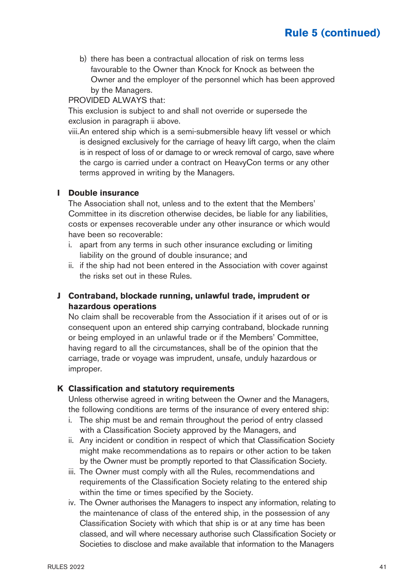b) there has been a contractual allocation of risk on terms less favourable to the Owner than Knock for Knock as between the Owner and the employer of the personnel which has been approved by the Managers.

PROVIDED ALWAYS that:

This exclusion is subject to and shall not override or supersede the exclusion in paragraph ii above.

viii.An entered ship which is a semi-submersible heavy lift vessel or which is designed exclusively for the carriage of heavy lift cargo, when the claim is in respect of loss of or damage to or wreck removal of cargo, save where the cargo is carried under a contract on HeavyCon terms or any other terms approved in writing by the Managers.

### **I Double insurance**

The Association shall not, unless and to the extent that the Members' Committee in its discretion otherwise decides, be liable for any liabilities, costs or expenses recoverable under any other insurance or which would have been so recoverable:

- i. apart from any terms in such other insurance excluding or limiting liability on the ground of double insurance; and
- ii. if the ship had not been entered in the Association with cover against the risks set out in these Rules.

### **J Contraband, blockade running, unlawful trade, imprudent or hazardous operations**

No claim shall be recoverable from the Association if it arises out of or is consequent upon an entered ship carrying contraband, blockade running or being employed in an unlawful trade or if the Members' Committee, having regard to all the circumstances, shall be of the opinion that the carriage, trade or voyage was imprudent, unsafe, unduly hazardous or improper.

#### **K Classification and statutory requirements**

Unless otherwise agreed in writing between the Owner and the Managers, the following conditions are terms of the insurance of every entered ship:

- i. The ship must be and remain throughout the period of entry classed with a Classification Society approved by the Managers, and
- ii. Any incident or condition in respect of which that Classification Society might make recommendations as to repairs or other action to be taken by the Owner must be promptly reported to that Classification Society.
- iii. The Owner must comply with all the Rules, recommendations and requirements of the Classification Society relating to the entered ship within the time or times specified by the Society.
- iv. The Owner authorises the Managers to inspect any information, relating to the maintenance of class of the entered ship, in the possession of any Classification Society with which that ship is or at any time has been classed, and will where necessary authorise such Classification Society or Societies to disclose and make available that information to the Managers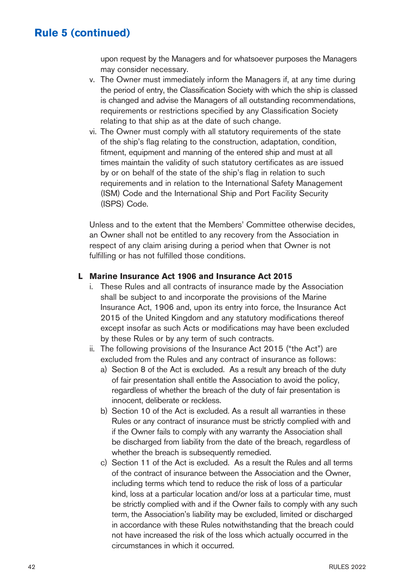upon request by the Managers and for whatsoever purposes the Managers may consider necessary.

- v. The Owner must immediately inform the Managers if, at any time during the period of entry, the Classification Society with which the ship is classed is changed and advise the Managers of all outstanding recommendations, requirements or restrictions specified by any Classification Society relating to that ship as at the date of such change.
- vi. The Owner must comply with all statutory requirements of the state of the ship's flag relating to the construction, adaptation, condition, fitment, equipment and manning of the entered ship and must at all times maintain the validity of such statutory certificates as are issued by or on behalf of the state of the ship's flag in relation to such requirements and in relation to the International Safety Management (ISM) Code and the International Ship and Port Facility Security (ISPS) Code.

Unless and to the extent that the Members' Committee otherwise decides, an Owner shall not be entitled to any recovery from the Association in respect of any claim arising during a period when that Owner is not fulfilling or has not fulfilled those conditions.

#### **L Marine Insurance Act 1906 and Insurance Act 2015**

- i. These Rules and all contracts of insurance made by the Association shall be subject to and incorporate the provisions of the Marine Insurance Act, 1906 and, upon its entry into force, the Insurance Act 2015 of the United Kingdom and any statutory modifications thereof except insofar as such Acts or modifications may have been excluded by these Rules or by any term of such contracts.
- ii. The following provisions of the Insurance Act 2015 ("the Act") are excluded from the Rules and any contract of insurance as follows:
	- a) Section 8 of the Act is excluded. As a result any breach of the duty of fair presentation shall entitle the Association to avoid the policy, regardless of whether the breach of the duty of fair presentation is innocent, deliberate or reckless.
	- b) Section 10 of the Act is excluded. As a result all warranties in these Rules or any contract of insurance must be strictly complied with and if the Owner fails to comply with any warranty the Association shall be discharged from liability from the date of the breach, regardless of whether the breach is subsequently remedied.
	- c) Section 11 of the Act is excluded. As a result the Rules and all terms of the contract of insurance between the Association and the Owner, including terms which tend to reduce the risk of loss of a particular kind, loss at a particular location and/or loss at a particular time, must be strictly complied with and if the Owner fails to comply with any such term, the Association's liability may be excluded, limited or discharged in accordance with these Rules notwithstanding that the breach could not have increased the risk of the loss which actually occurred in the circumstances in which it occurred.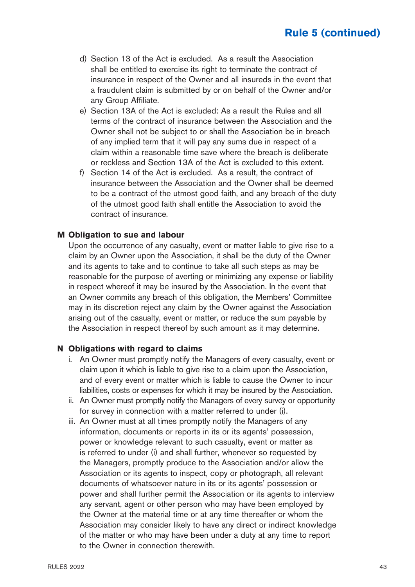- d) Section 13 of the Act is excluded. As a result the Association shall be entitled to exercise its right to terminate the contract of insurance in respect of the Owner and all insureds in the event that a fraudulent claim is submitted by or on behalf of the Owner and/or any Group Affiliate.
- e) Section 13A of the Act is excluded: As a result the Rules and all terms of the contract of insurance between the Association and the Owner shall not be subject to or shall the Association be in breach of any implied term that it will pay any sums due in respect of a claim within a reasonable time save where the breach is deliberate or reckless and Section 13A of the Act is excluded to this extent.
- f) Section 14 of the Act is excluded. As a result, the contract of insurance between the Association and the Owner shall be deemed to be a contract of the utmost good faith, and any breach of the duty of the utmost good faith shall entitle the Association to avoid the contract of insurance.

#### **M Obligation to sue and labour**

Upon the occurrence of any casualty, event or matter liable to give rise to a claim by an Owner upon the Association, it shall be the duty of the Owner and its agents to take and to continue to take all such steps as may be reasonable for the purpose of averting or minimizing any expense or liability in respect whereof it may be insured by the Association. In the event that an Owner commits any breach of this obligation, the Members' Committee may in its discretion reject any claim by the Owner against the Association arising out of the casualty, event or matter, or reduce the sum payable by the Association in respect thereof by such amount as it may determine.

#### **N Obligations with regard to claims**

- i. An Owner must promptly notify the Managers of every casualty, event or claim upon it which is liable to give rise to a claim upon the Association, and of every event or matter which is liable to cause the Owner to incur liabilities, costs or expenses for which it may be insured by the Association.
- ii. An Owner must promptly notify the Managers of every survey or opportunity for survey in connection with a matter referred to under (i).
- iii. An Owner must at all times promptly notify the Managers of any information, documents or reports in its or its agents' possession, power or knowledge relevant to such casualty, event or matter as is referred to under (i) and shall further, whenever so requested by the Managers, promptly produce to the Association and/or allow the Association or its agents to inspect, copy or photograph, all relevant documents of whatsoever nature in its or its agents' possession or power and shall further permit the Association or its agents to interview any servant, agent or other person who may have been employed by the Owner at the material time or at any time thereafter or whom the Association may consider likely to have any direct or indirect knowledge of the matter or who may have been under a duty at any time to report to the Owner in connection therewith.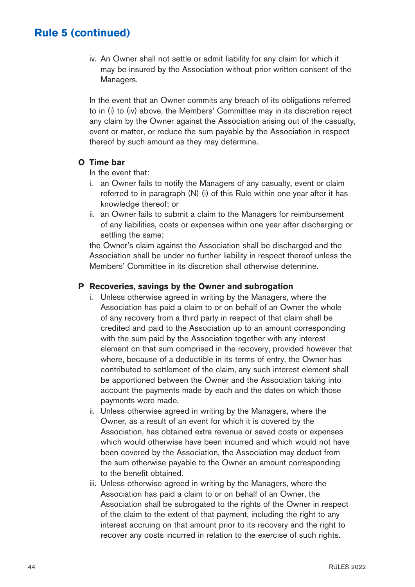iv. An Owner shall not settle or admit liability for any claim for which it may be insured by the Association without prior written consent of the Managers.

In the event that an Owner commits any breach of its obligations referred to in (i) to (iv) above, the Members' Committee may in its discretion reject any claim by the Owner against the Association arising out of the casualty, event or matter, or reduce the sum payable by the Association in respect thereof by such amount as they may determine.

#### **O Time bar**

In the event that:

- i. an Owner fails to notify the Managers of any casualty, event or claim referred to in paragraph (N) (i) of this Rule within one year after it has knowledge thereof; or
- ii. an Owner fails to submit a claim to the Managers for reimbursement of any liabilities, costs or expenses within one year after discharging or settling the same;

the Owner's claim against the Association shall be discharged and the Association shall be under no further liability in respect thereof unless the Members' Committee in its discretion shall otherwise determine.

#### **P Recoveries, savings by the Owner and subrogation**

- i. Unless otherwise agreed in writing by the Managers, where the Association has paid a claim to or on behalf of an Owner the whole of any recovery from a third party in respect of that claim shall be credited and paid to the Association up to an amount corresponding with the sum paid by the Association together with any interest element on that sum comprised in the recovery, provided however that where, because of a deductible in its terms of entry, the Owner has contributed to settlement of the claim, any such interest element shall be apportioned between the Owner and the Association taking into account the payments made by each and the dates on which those payments were made.
- ii. Unless otherwise agreed in writing by the Managers, where the Owner, as a result of an event for which it is covered by the Association, has obtained extra revenue or saved costs or expenses which would otherwise have been incurred and which would not have been covered by the Association, the Association may deduct from the sum otherwise payable to the Owner an amount corresponding to the benefit obtained.
- iii. Unless otherwise agreed in writing by the Managers, where the Association has paid a claim to or on behalf of an Owner, the Association shall be subrogated to the rights of the Owner in respect of the claim to the extent of that payment, including the right to any interest accruing on that amount prior to its recovery and the right to recover any costs incurred in relation to the exercise of such rights.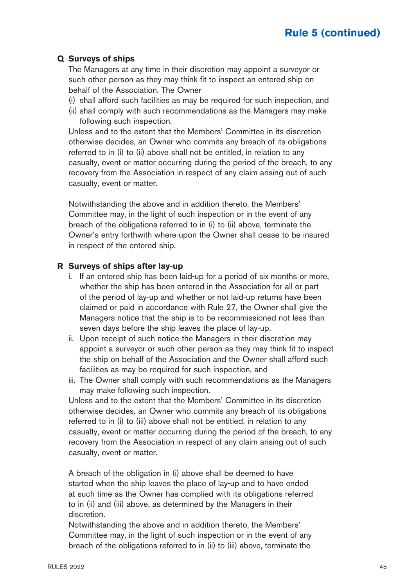#### **Q Surveys of ships**

The Managers at any time in their discretion may appoint a surveyor or such other person as they may think fit to inspect an entered ship on behalf of the Association. The Owner

- (i) shall afford such facilities as may be required for such inspection, and
- (ii) shall comply with such recommendations as the Managers may make following such inspection.

Unless and to the extent that the Members' Committee in its discretion otherwise decides, an Owner who commits any breach of its obligations referred to in (i) to (ii) above shall not be entitled, in relation to any casualty, event or matter occurring during the period of the breach, to any recovery from the Association in respect of any claim arising out of such casualty, event or matter.

Notwithstanding the above and in addition thereto, the Members' Committee may, in the light of such inspection or in the event of any breach of the obligations referred to in (i) to (ii) above, terminate the Owner's entry forthwith where-upon the Owner shall cease to be insured in respect of the entered ship.

#### **R Surveys of ships after lay-up**

- i. If an entered ship has been laid-up for a period of six months or more, whether the ship has been entered in the Association for all or part of the period of lay-up and whether or not laid-up returns have been claimed or paid in accordance with Rule 27, the Owner shall give the Managers notice that the ship is to be recommissioned not less than seven days before the ship leaves the place of lay-up.
- ii. Upon receipt of such notice the Managers in their discretion may appoint a surveyor or such other person as they may think fit to inspect the ship on behalf of the Association and the Owner shall afford such facilities as may be required for such inspection, and
- iii. The Owner shall comply with such recommendations as the Managers may make following such inspection.

Unless and to the extent that the Members' Committee in its discretion otherwise decides, an Owner who commits any breach of its obligations referred to in (i) to (iii) above shall not be entitled, in relation to any casualty, event or matter occurring during the period of the breach, to any recovery from the Association in respect of any claim arising out of such casualty, event or matter.

A breach of the obligation in (i) above shall be deemed to have started when the ship leaves the place of lay-up and to have ended at such time as the Owner has complied with its obligations referred to in (ii) and (iii) above, as determined by the Managers in their discretion.

Notwithstanding the above and in addition thereto, the Members' Committee may, in the light of such inspection or in the event of any breach of the obligations referred to in (ii) to (iii) above, terminate the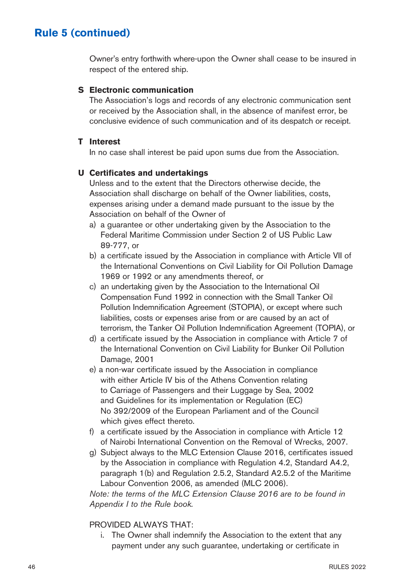Owner's entry forthwith where-upon the Owner shall cease to be insured in respect of the entered ship.

#### **S Electronic communication**

The Association's logs and records of any electronic communication sent or received by the Association shall, in the absence of manifest error, be conclusive evidence of such communication and of its despatch or receipt.

#### **T Interest**

In no case shall interest be paid upon sums due from the Association.

### **U Certificates and undertakings**

Unless and to the extent that the Directors otherwise decide, the Association shall discharge on behalf of the Owner liabilities, costs, expenses arising under a demand made pursuant to the issue by the Association on behalf of the Owner of

- a) a guarantee or other undertaking given by the Association to the Federal Maritime Commission under Section 2 of US Public Law 89-777, or
- b) a certificate issued by the Association in compliance with Article VII of the International Conventions on Civil Liability for Oil Pollution Damage 1969 or 1992 or any amendments thereof, or
- c) an undertaking given by the Association to the International Oil Compensation Fund 1992 in connection with the Small Tanker Oil Pollution Indemnification Agreement (STOPIA), or except where such liabilities, costs or expenses arise from or are caused by an act of terrorism, the Tanker Oil Pollution Indemnification Agreement (TOPIA), or
- d) a certificate issued by the Association in compliance with Article 7 of the International Convention on Civil Liability for Bunker Oil Pollution Damage, 2001
- e) a non-war certificate issued by the Association in compliance with either Article IV bis of the Athens Convention relating to Carriage of Passengers and their Luggage by Sea, 2002 and Guidelines for its implementation or Regulation (EC) No 392/2009 of the European Parliament and of the Council which gives effect thereto.
- f) a certificate issued by the Association in compliance with Article 12 of Nairobi International Convention on the Removal of Wrecks, 2007.
- g) Subject always to the MLC Extension Clause 2016, certificates issued by the Association in compliance with Regulation 4.2, Standard A4.2, paragraph 1(b) and Regulation 2.5.2, Standard A2.5.2 of the Maritime Labour Convention 2006, as amended (MLC 2006).

Note: the terms of the MLC Extension Clause 2016 are to be found in Appendix I to the Rule book.

#### PROVIDED ALWAYS THAT:

i. The Owner shall indemnify the Association to the extent that any payment under any such guarantee, undertaking or certificate in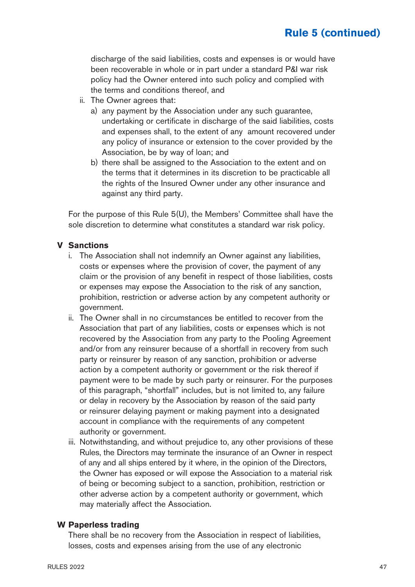discharge of the said liabilities, costs and expenses is or would have been recoverable in whole or in part under a standard P&I war risk policy had the Owner entered into such policy and complied with the terms and conditions thereof, and

- ii. The Owner agrees that:
	- a) any payment by the Association under any such guarantee, undertaking or certificate in discharge of the said liabilities, costs and expenses shall, to the extent of any amount recovered under any policy of insurance or extension to the cover provided by the Association, be by way of loan; and
	- b) there shall be assigned to the Association to the extent and on the terms that it determines in its discretion to be practicable all the rights of the Insured Owner under any other insurance and against any third party.

For the purpose of this Rule 5(U), the Members' Committee shall have the sole discretion to determine what constitutes a standard war risk policy.

#### **V Sanctions**

- i. The Association shall not indemnify an Owner against any liabilities, costs or expenses where the provision of cover, the payment of any claim or the provision of any benefit in respect of those liabilities, costs or expenses may expose the Association to the risk of any sanction, prohibition, restriction or adverse action by any competent authority or government.
- ii. The Owner shall in no circumstances be entitled to recover from the Association that part of any liabilities, costs or expenses which is not recovered by the Association from any party to the Pooling Agreement and/or from any reinsurer because of a shortfall in recovery from such party or reinsurer by reason of any sanction, prohibition or adverse action by a competent authority or government or the risk thereof if payment were to be made by such party or reinsurer. For the purposes of this paragraph, "shortfall" includes, but is not limited to, any failure or delay in recovery by the Association by reason of the said party or reinsurer delaying payment or making payment into a designated account in compliance with the requirements of any competent authority or government.
- iii. Notwithstanding, and without prejudice to, any other provisions of these Rules, the Directors may terminate the insurance of an Owner in respect of any and all ships entered by it where, in the opinion of the Directors, the Owner has exposed or will expose the Association to a material risk of being or becoming subject to a sanction, prohibition, restriction or other adverse action by a competent authority or government, which may materially affect the Association.

#### **W Paperless trading**

There shall be no recovery from the Association in respect of liabilities, losses, costs and expenses arising from the use of any electronic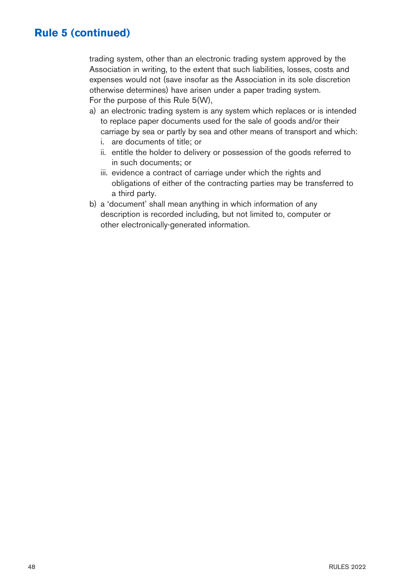trading system, other than an electronic trading system approved by the Association in writing, to the extent that such liabilities, losses, costs and expenses would not (save insofar as the Association in its sole discretion otherwise determines) have arisen under a paper trading system. For the purpose of this Rule 5(W),

- a) an electronic trading system is any system which replaces or is intended to replace paper documents used for the sale of goods and/or their carriage by sea or partly by sea and other means of transport and which:
	- i. are documents of title; or
	- ii. entitle the holder to delivery or possession of the goods referred to in such documents; or
	- iii. evidence a contract of carriage under which the rights and obligations of either of the contracting parties may be transferred to a third party.
- b) a 'document' shall mean anything in which information of any description is recorded including, but not limited to, computer or other electronically-generated information.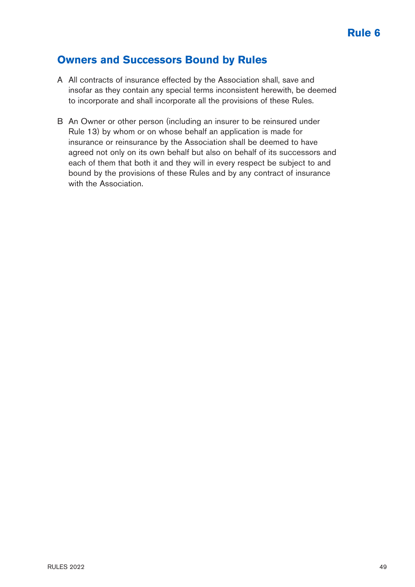### **Owners and Successors Bound by Rules**

- A All contracts of insurance effected by the Association shall, save and insofar as they contain any special terms inconsistent herewith, be deemed to incorporate and shall incorporate all the provisions of these Rules.
- B An Owner or other person (including an insurer to be reinsured under Rule 13) by whom or on whose behalf an application is made for insurance or reinsurance by the Association shall be deemed to have agreed not only on its own behalf but also on behalf of its successors and each of them that both it and they will in every respect be subject to and bound by the provisions of these Rules and by any contract of insurance with the Association.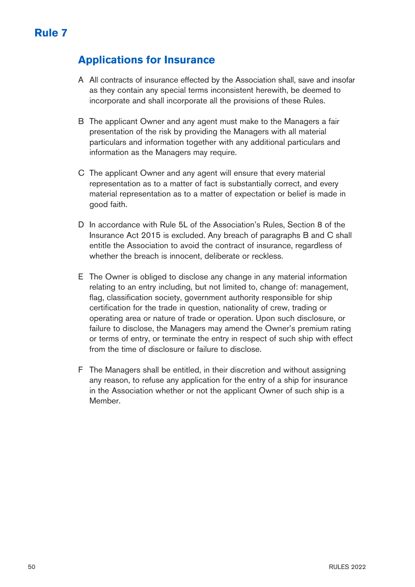## **Applications for Insurance**

- A All contracts of insurance effected by the Association shall, save and insofar as they contain any special terms inconsistent herewith, be deemed to incorporate and shall incorporate all the provisions of these Rules.
- B The applicant Owner and any agent must make to the Managers a fair presentation of the risk by providing the Managers with all material particulars and information together with any additional particulars and information as the Managers may require.
- C The applicant Owner and any agent will ensure that every material representation as to a matter of fact is substantially correct, and every material representation as to a matter of expectation or belief is made in good faith.
- D In accordance with Rule 5L of the Association's Rules, Section 8 of the Insurance Act 2015 is excluded. Any breach of paragraphs B and C shall entitle the Association to avoid the contract of insurance, regardless of whether the breach is innocent, deliberate or reckless.
- E The Owner is obliged to disclose any change in any material information relating to an entry including, but not limited to, change of: management, flag, classification society, government authority responsible for ship certification for the trade in question, nationality of crew, trading or operating area or nature of trade or operation. Upon such disclosure, or failure to disclose, the Managers may amend the Owner's premium rating or terms of entry, or terminate the entry in respect of such ship with effect from the time of disclosure or failure to disclose.
- F The Managers shall be entitled, in their discretion and without assigning any reason, to refuse any application for the entry of a ship for insurance in the Association whether or not the applicant Owner of such ship is a Member.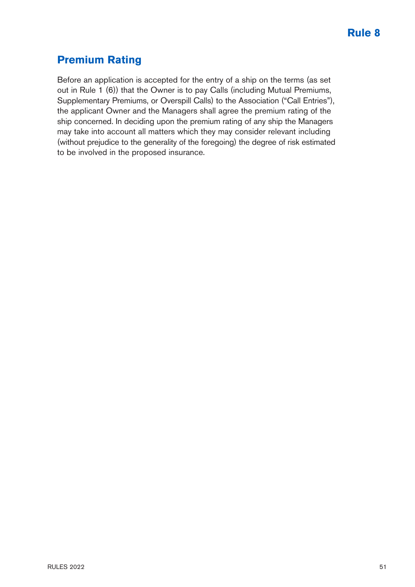# **Premium Rating**

Before an application is accepted for the entry of a ship on the terms (as set out in Rule 1 (6)) that the Owner is to pay Calls (including Mutual Premiums, Supplementary Premiums, or Overspill Calls) to the Association ("Call Entries"), the applicant Owner and the Managers shall agree the premium rating of the ship concerned. In deciding upon the premium rating of any ship the Managers may take into account all matters which they may consider relevant including (without prejudice to the generality of the foregoing) the degree of risk estimated to be involved in the proposed insurance.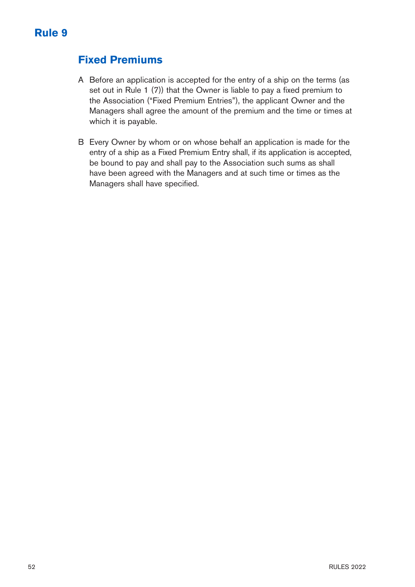## **Fixed Premiums**

- A Before an application is accepted for the entry of a ship on the terms (as set out in Rule 1 (7)) that the Owner is liable to pay a fixed premium to the Association ("Fixed Premium Entries"), the applicant Owner and the Managers shall agree the amount of the premium and the time or times at which it is payable.
- B Every Owner by whom or on whose behalf an application is made for the entry of a ship as a Fixed Premium Entry shall, if its application is accepted, be bound to pay and shall pay to the Association such sums as shall have been agreed with the Managers and at such time or times as the Managers shall have specified.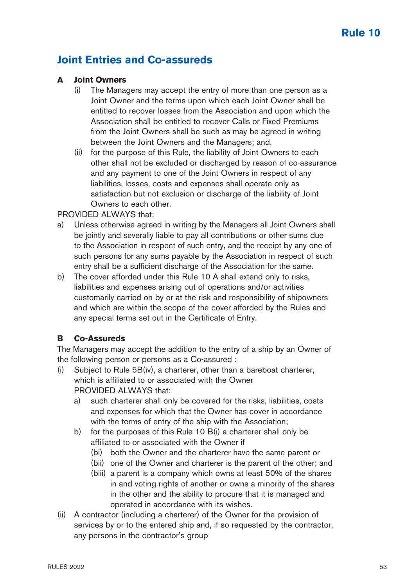## **Joint Entries and Co-assureds**

### **A Joint Owners**

- (i) The Managers may accept the entry of more than one person as a Joint Owner and the terms upon which each Joint Owner shall be entitled to recover losses from the Association and upon which the Association shall be entitled to recover Calls or Fixed Premiums from the Joint Owners shall be such as may be agreed in writing between the Joint Owners and the Managers; and,
- (ii) for the purpose of this Rule, the liability of Joint Owners to each other shall not be excluded or discharged by reason of co-assurance and any payment to one of the Joint Owners in respect of any liabilities, losses, costs and expenses shall operate only as satisfaction but not exclusion or discharge of the liability of Joint Owners to each other.

#### PROVIDED ALWAYS that:

- Unless otherwise agreed in writing by the Managers all Joint Owners shall be jointly and severally liable to pay all contributions or other sums due to the Association in respect of such entry, and the receipt by any one of such persons for any sums payable by the Association in respect of such entry shall be a sufficient discharge of the Association for the same.
- b) The cover afforded under this Rule 10 A shall extend only to risks, liabilities and expenses arising out of operations and/or activities customarily carried on by or at the risk and responsibility of shipowners and which are within the scope of the cover afforded by the Rules and any special terms set out in the Certificate of Entry.

### **B Co-Assureds**

The Managers may accept the addition to the entry of a ship by an Owner of the following person or persons as a Co-assured :

- (i) Subject to Rule 5B(iv), a charterer, other than a bareboat charterer, which is affiliated to or associated with the Owner PROVIDED ALWAYS that:
	- a) such charterer shall only be covered for the risks, liabilities, costs and expenses for which that the Owner has cover in accordance with the terms of entry of the ship with the Association;
	- b) for the purposes of this Rule 10 B(i) a charterer shall only be affiliated to or associated with the Owner if
		- (bi) both the Owner and the charterer have the same parent or
		- (bii) one of the Owner and charterer is the parent of the other; and
		- (biii) a parent is a company which owns at least 50% of the shares in and voting rights of another or owns a minority of the shares in the other and the ability to procure that it is managed and operated in accordance with its wishes.
- (ii) A contractor (including a charterer) of the Owner for the provision of services by or to the entered ship and, if so requested by the contractor, any persons in the contractor's group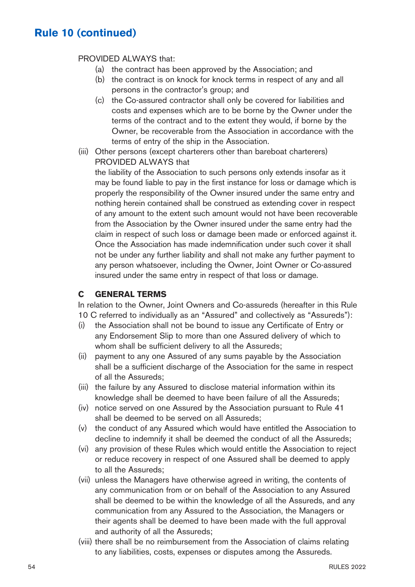#### PROVIDED ALWAYS that:

- (a) the contract has been approved by the Association; and
- (b) the contract is on knock for knock terms in respect of any and all persons in the contractor's group; and
- (c) the Co-assured contractor shall only be covered for liabilities and costs and expenses which are to be borne by the Owner under the terms of the contract and to the extent they would, if borne by the Owner, be recoverable from the Association in accordance with the terms of entry of the ship in the Association.
- (iii) Other persons (except charterers other than bareboat charterers) PROVIDED ALWAYS that

the liability of the Association to such persons only extends insofar as it may be found liable to pay in the first instance for loss or damage which is properly the responsibility of the Owner insured under the same entry and nothing herein contained shall be construed as extending cover in respect of any amount to the extent such amount would not have been recoverable from the Association by the Owner insured under the same entry had the claim in respect of such loss or damage been made or enforced against it. Once the Association has made indemnification under such cover it shall not be under any further liability and shall not make any further payment to any person whatsoever, including the Owner, Joint Owner or Co-assured insured under the same entry in respect of that loss or damage.

### **C GENERAL TERMS**

In relation to the Owner, Joint Owners and Co-assureds (hereafter in this Rule 10 C referred to individually as an "Assured" and collectively as "Assureds"):

- (i) the Association shall not be bound to issue any Certificate of Entry or any Endorsement Slip to more than one Assured delivery of which to whom shall be sufficient delivery to all the Assureds;
- (ii) payment to any one Assured of any sums payable by the Association shall be a sufficient discharge of the Association for the same in respect of all the Assureds;
- (iii) the failure by any Assured to disclose material information within its knowledge shall be deemed to have been failure of all the Assureds;
- (iv) notice served on one Assured by the Association pursuant to Rule 41 shall be deemed to be served on all Assureds;
- (v) the conduct of any Assured which would have entitled the Association to decline to indemnify it shall be deemed the conduct of all the Assureds;
- (vi) any provision of these Rules which would entitle the Association to reject or reduce recovery in respect of one Assured shall be deemed to apply to all the Assureds;
- (vii) unless the Managers have otherwise agreed in writing, the contents of any communication from or on behalf of the Association to any Assured shall be deemed to be within the knowledge of all the Assureds, and any communication from any Assured to the Association, the Managers or their agents shall be deemed to have been made with the full approval and authority of all the Assureds;
- (viii) there shall be no reimbursement from the Association of claims relating to any liabilities, costs, expenses or disputes among the Assureds.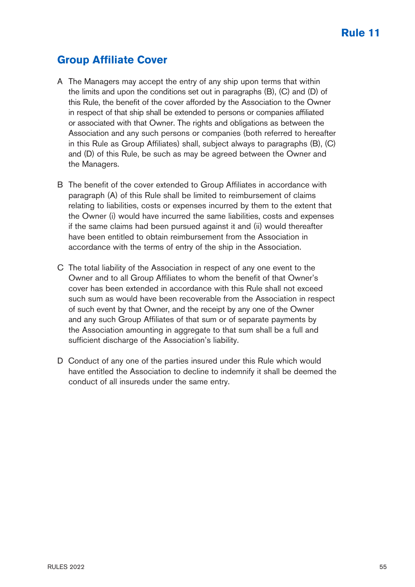# **Group Affiliate Cover**

- A The Managers may accept the entry of any ship upon terms that within the limits and upon the conditions set out in paragraphs (B), (C) and (D) of this Rule, the benefit of the cover afforded by the Association to the Owner in respect of that ship shall be extended to persons or companies affiliated or associated with that Owner. The rights and obligations as between the Association and any such persons or companies (both referred to hereafter in this Rule as Group Affiliates) shall, subject always to paragraphs (B), (C) and (D) of this Rule, be such as may be agreed between the Owner and the Managers.
- B The benefit of the cover extended to Group Affiliates in accordance with paragraph (A) of this Rule shall be limited to reimbursement of claims relating to liabilities, costs or expenses incurred by them to the extent that the Owner (i) would have incurred the same liabilities, costs and expenses if the same claims had been pursued against it and (ii) would thereafter have been entitled to obtain reimbursement from the Association in accordance with the terms of entry of the ship in the Association.
- C The total liability of the Association in respect of any one event to the Owner and to all Group Affiliates to whom the benefit of that Owner's cover has been extended in accordance with this Rule shall not exceed such sum as would have been recoverable from the Association in respect of such event by that Owner, and the receipt by any one of the Owner and any such Group Affiliates of that sum or of separate payments by the Association amounting in aggregate to that sum shall be a full and sufficient discharge of the Association's liability.
- D Conduct of any one of the parties insured under this Rule which would have entitled the Association to decline to indemnify it shall be deemed the conduct of all insureds under the same entry.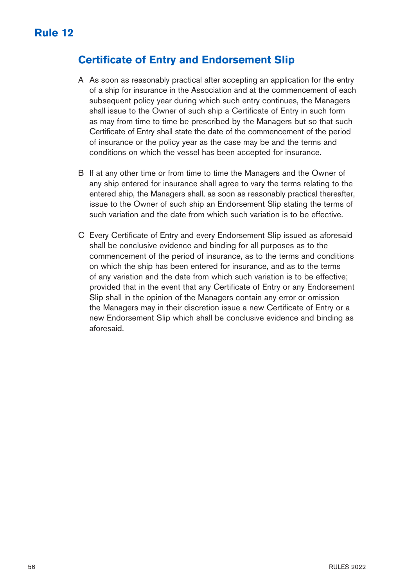## **Certificate of Entry and Endorsement Slip**

- A As soon as reasonably practical after accepting an application for the entry of a ship for insurance in the Association and at the commencement of each subsequent policy year during which such entry continues, the Managers shall issue to the Owner of such ship a Certificate of Entry in such form as may from time to time be prescribed by the Managers but so that such Certificate of Entry shall state the date of the commencement of the period of insurance or the policy year as the case may be and the terms and conditions on which the vessel has been accepted for insurance.
- B If at any other time or from time to time the Managers and the Owner of any ship entered for insurance shall agree to vary the terms relating to the entered ship, the Managers shall, as soon as reasonably practical thereafter, issue to the Owner of such ship an Endorsement Slip stating the terms of such variation and the date from which such variation is to be effective.
- C Every Certificate of Entry and every Endorsement Slip issued as aforesaid shall be conclusive evidence and binding for all purposes as to the commencement of the period of insurance, as to the terms and conditions on which the ship has been entered for insurance, and as to the terms of any variation and the date from which such variation is to be effective; provided that in the event that any Certificate of Entry or any Endorsement Slip shall in the opinion of the Managers contain any error or omission the Managers may in their discretion issue a new Certificate of Entry or a new Endorsement Slip which shall be conclusive evidence and binding as aforesaid.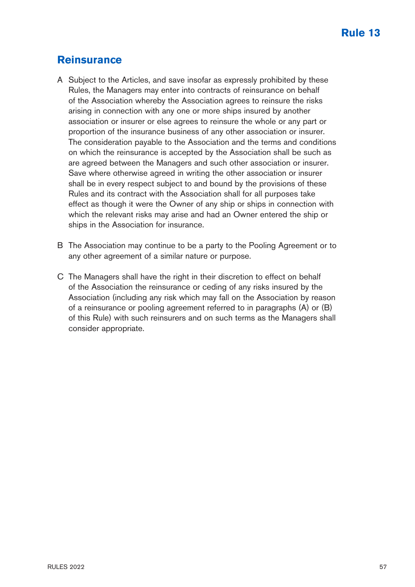### **Reinsurance**

- A Subject to the Articles, and save insofar as expressly prohibited by these Rules, the Managers may enter into contracts of reinsurance on behalf of the Association whereby the Association agrees to reinsure the risks arising in connection with any one or more ships insured by another association or insurer or else agrees to reinsure the whole or any part or proportion of the insurance business of any other association or insurer. The consideration payable to the Association and the terms and conditions on which the reinsurance is accepted by the Association shall be such as are agreed between the Managers and such other association or insurer. Save where otherwise agreed in writing the other association or insurer shall be in every respect subject to and bound by the provisions of these Rules and its contract with the Association shall for all purposes take effect as though it were the Owner of any ship or ships in connection with which the relevant risks may arise and had an Owner entered the ship or ships in the Association for insurance.
- B The Association may continue to be a party to the Pooling Agreement or to any other agreement of a similar nature or purpose.
- C The Managers shall have the right in their discretion to effect on behalf of the Association the reinsurance or ceding of any risks insured by the Association (including any risk which may fall on the Association by reason of a reinsurance or pooling agreement referred to in paragraphs (A) or (B) of this Rule) with such reinsurers and on such terms as the Managers shall consider appropriate.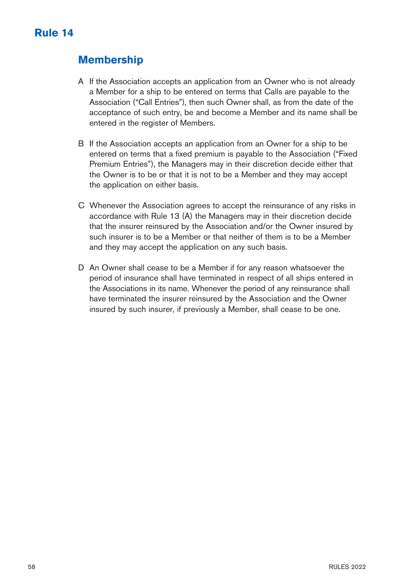## **Membership**

- A If the Association accepts an application from an Owner who is not already a Member for a ship to be entered on terms that Calls are payable to the Association ("Call Entries"), then such Owner shall, as from the date of the acceptance of such entry, be and become a Member and its name shall be entered in the register of Members.
- B If the Association accepts an application from an Owner for a ship to be entered on terms that a fixed premium is payable to the Association ("Fixed Premium Entries"), the Managers may in their discretion decide either that the Owner is to be or that it is not to be a Member and they may accept the application on either basis.
- C Whenever the Association agrees to accept the reinsurance of any risks in accordance with Rule 13 (A) the Managers may in their discretion decide that the insurer reinsured by the Association and/or the Owner insured by such insurer is to be a Member or that neither of them is to be a Member and they may accept the application on any such basis.
- D An Owner shall cease to be a Member if for any reason whatsoever the period of insurance shall have terminated in respect of all ships entered in the Associations in its name. Whenever the period of any reinsurance shall have terminated the insurer reinsured by the Association and the Owner insured by such insurer, if previously a Member, shall cease to be one.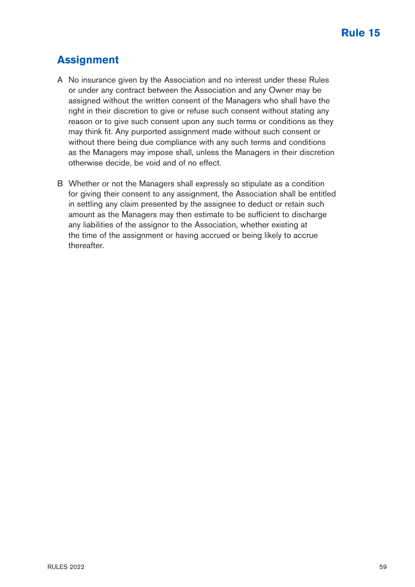# **Assignment**

- A No insurance given by the Association and no interest under these Rules or under any contract between the Association and any Owner may be assigned without the written consent of the Managers who shall have the right in their discretion to give or refuse such consent without stating any reason or to give such consent upon any such terms or conditions as they may think fit. Any purported assignment made without such consent or without there being due compliance with any such terms and conditions as the Managers may impose shall, unless the Managers in their discretion otherwise decide, be void and of no effect.
- B Whether or not the Managers shall expressly so stipulate as a condition for giving their consent to any assignment, the Association shall be entitled in settling any claim presented by the assignee to deduct or retain such amount as the Managers may then estimate to be sufficient to discharge any liabilities of the assignor to the Association, whether existing at the time of the assignment or having accrued or being likely to accrue thereafter.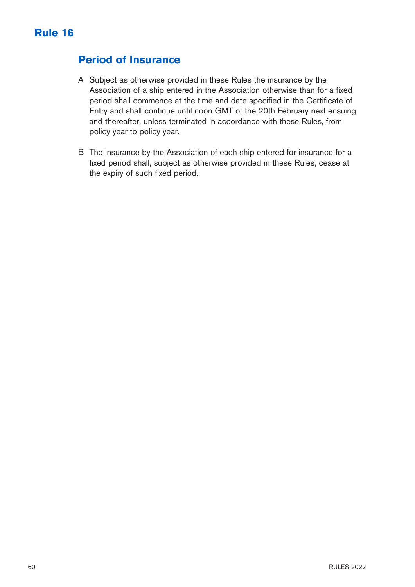# **Period of Insurance**

- A Subject as otherwise provided in these Rules the insurance by the Association of a ship entered in the Association otherwise than for a fixed period shall commence at the time and date specified in the Certificate of Entry and shall continue until noon GMT of the 20th February next ensuing and thereafter, unless terminated in accordance with these Rules, from policy year to policy year.
- B The insurance by the Association of each ship entered for insurance for a fixed period shall, subject as otherwise provided in these Rules, cease at the expiry of such fixed period.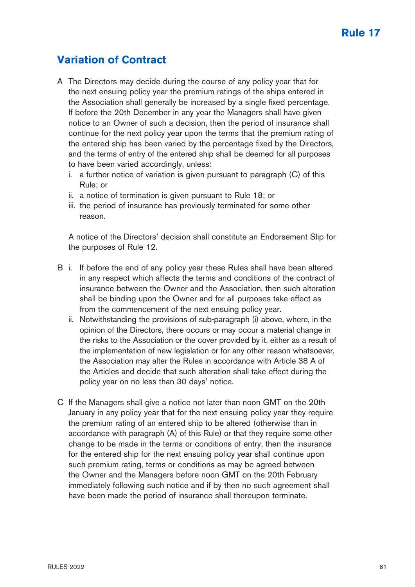# **Variation of Contract**

- A The Directors may decide during the course of any policy year that for the next ensuing policy year the premium ratings of the ships entered in the Association shall generally be increased by a single fixed percentage. If before the 20th December in any year the Managers shall have given notice to an Owner of such a decision, then the period of insurance shall continue for the next policy year upon the terms that the premium rating of the entered ship has been varied by the percentage fixed by the Directors, and the terms of entry of the entered ship shall be deemed for all purposes to have been varied accordingly, unless:
	- i. a further notice of variation is given pursuant to paragraph (C) of this Rule; or
	- ii. a notice of termination is given pursuant to Rule 18; or
	- iii. the period of insurance has previously terminated for some other reason.

A notice of the Directors' decision shall constitute an Endorsement Slip for the purposes of Rule 12.

- B i. If before the end of any policy year these Rules shall have been altered in any respect which affects the terms and conditions of the contract of insurance between the Owner and the Association, then such alteration shall be binding upon the Owner and for all purposes take effect as from the commencement of the next ensuing policy year.
	- ii. Notwithstanding the provisions of sub-paragraph (i) above, where, in the opinion of the Directors, there occurs or may occur a material change in the risks to the Association or the cover provided by it, either as a result of the implementation of new legislation or for any other reason whatsoever, the Association may alter the Rules in accordance with Article 38 A of the Articles and decide that such alteration shall take effect during the policy year on no less than 30 days' notice.
- C If the Managers shall give a notice not later than noon GMT on the 20th January in any policy year that for the next ensuing policy year they require the premium rating of an entered ship to be altered (otherwise than in accordance with paragraph (A) of this Rule) or that they require some other change to be made in the terms or conditions of entry, then the insurance for the entered ship for the next ensuing policy year shall continue upon such premium rating, terms or conditions as may be agreed between the Owner and the Managers before noon GMT on the 20th February immediately following such notice and if by then no such agreement shall have been made the period of insurance shall thereupon terminate.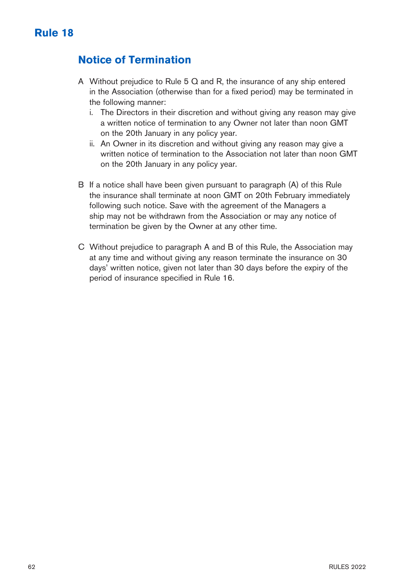## **Notice of Termination**

- A Without prejudice to Rule 5 Q and R, the insurance of any ship entered in the Association (otherwise than for a fixed period) may be terminated in the following manner:
	- i. The Directors in their discretion and without giving any reason may give a written notice of termination to any Owner not later than noon GMT on the 20th January in any policy year.
	- ii. An Owner in its discretion and without giving any reason may give a written notice of termination to the Association not later than noon GMT on the 20th January in any policy year.
- B If a notice shall have been given pursuant to paragraph (A) of this Rule the insurance shall terminate at noon GMT on 20th February immediately following such notice. Save with the agreement of the Managers a ship may not be withdrawn from the Association or may any notice of termination be given by the Owner at any other time.
- C Without prejudice to paragraph A and B of this Rule, the Association may at any time and without giving any reason terminate the insurance on 30 days' written notice, given not later than 30 days before the expiry of the period of insurance specified in Rule 16.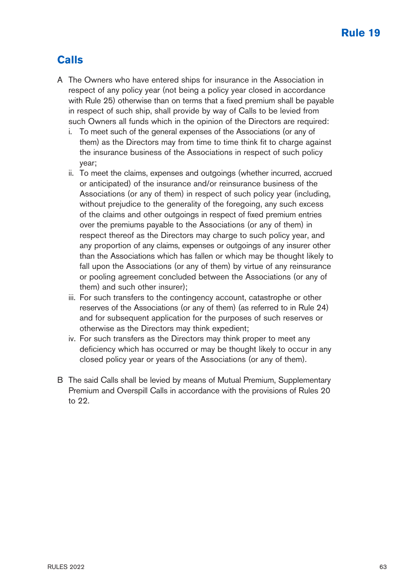# **Calls**

- A The Owners who have entered ships for insurance in the Association in respect of any policy year (not being a policy year closed in accordance with Rule 25) otherwise than on terms that a fixed premium shall be payable in respect of such ship, shall provide by way of Calls to be levied from such Owners all funds which in the opinion of the Directors are required:
	- i. To meet such of the general expenses of the Associations (or any of them) as the Directors may from time to time think fit to charge against the insurance business of the Associations in respect of such policy year;
	- ii. To meet the claims, expenses and outgoings (whether incurred, accrued or anticipated) of the insurance and/or reinsurance business of the Associations (or any of them) in respect of such policy year (including, without prejudice to the generality of the foregoing, any such excess of the claims and other outgoings in respect of fixed premium entries over the premiums payable to the Associations (or any of them) in respect thereof as the Directors may charge to such policy year, and any proportion of any claims, expenses or outgoings of any insurer other than the Associations which has fallen or which may be thought likely to fall upon the Associations (or any of them) by virtue of any reinsurance or pooling agreement concluded between the Associations (or any of them) and such other insurer);
	- iii. For such transfers to the contingency account, catastrophe or other reserves of the Associations (or any of them) (as referred to in Rule 24) and for subsequent application for the purposes of such reserves or otherwise as the Directors may think expedient;
	- iv. For such transfers as the Directors may think proper to meet any deficiency which has occurred or may be thought likely to occur in any closed policy year or years of the Associations (or any of them).
- B The said Calls shall be levied by means of Mutual Premium, Supplementary Premium and Overspill Calls in accordance with the provisions of Rules 20 to 22.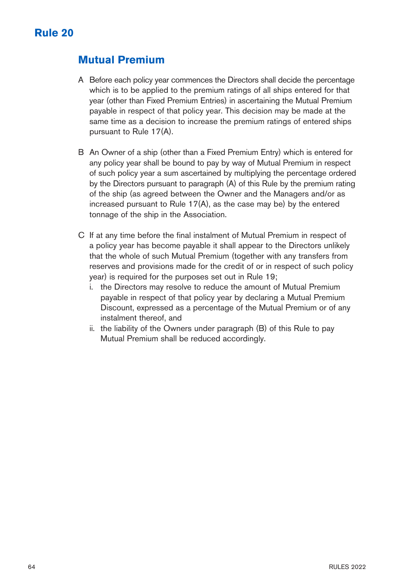### **Mutual Premium**

- A Before each policy year commences the Directors shall decide the percentage which is to be applied to the premium ratings of all ships entered for that year (other than Fixed Premium Entries) in ascertaining the Mutual Premium payable in respect of that policy year. This decision may be made at the same time as a decision to increase the premium ratings of entered ships pursuant to Rule 17(A).
- B An Owner of a ship (other than a Fixed Premium Entry) which is entered for any policy year shall be bound to pay by way of Mutual Premium in respect of such policy year a sum ascertained by multiplying the percentage ordered by the Directors pursuant to paragraph (A) of this Rule by the premium rating of the ship (as agreed between the Owner and the Managers and/or as increased pursuant to Rule 17(A), as the case may be) by the entered tonnage of the ship in the Association.
- C If at any time before the final instalment of Mutual Premium in respect of a policy year has become payable it shall appear to the Directors unlikely that the whole of such Mutual Premium (together with any transfers from reserves and provisions made for the credit of or in respect of such policy year) is required for the purposes set out in Rule 19;
	- i. the Directors may resolve to reduce the amount of Mutual Premium payable in respect of that policy year by declaring a Mutual Premium Discount, expressed as a percentage of the Mutual Premium or of any instalment thereof, and
	- ii. the liability of the Owners under paragraph (B) of this Rule to pay Mutual Premium shall be reduced accordingly.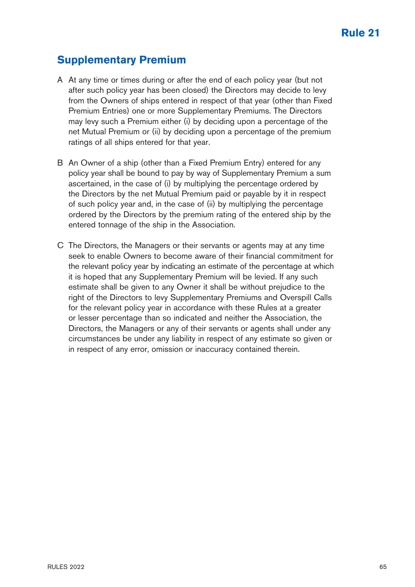### **Supplementary Premium**

- A At any time or times during or after the end of each policy year (but not after such policy year has been closed) the Directors may decide to levy from the Owners of ships entered in respect of that year (other than Fixed Premium Entries) one or more Supplementary Premiums. The Directors may levy such a Premium either (i) by deciding upon a percentage of the net Mutual Premium or (ii) by deciding upon a percentage of the premium ratings of all ships entered for that year.
- B An Owner of a ship (other than a Fixed Premium Entry) entered for any policy year shall be bound to pay by way of Supplementary Premium a sum ascertained, in the case of (i) by multiplying the percentage ordered by the Directors by the net Mutual Premium paid or payable by it in respect of such policy year and, in the case of (ii) by multiplying the percentage ordered by the Directors by the premium rating of the entered ship by the entered tonnage of the ship in the Association.
- C The Directors, the Managers or their servants or agents may at any time seek to enable Owners to become aware of their financial commitment for the relevant policy year by indicating an estimate of the percentage at which it is hoped that any Supplementary Premium will be levied. If any such estimate shall be given to any Owner it shall be without prejudice to the right of the Directors to levy Supplementary Premiums and Overspill Calls for the relevant policy year in accordance with these Rules at a greater or lesser percentage than so indicated and neither the Association, the Directors, the Managers or any of their servants or agents shall under any circumstances be under any liability in respect of any estimate so given or in respect of any error, omission or inaccuracy contained therein.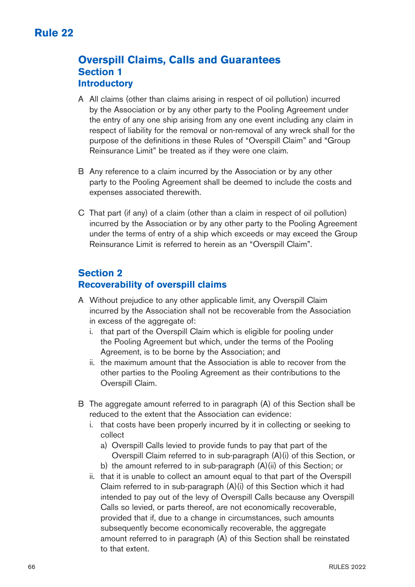### **Overspill Claims, Calls and Guarantees Section 1 Introductory**

- A All claims (other than claims arising in respect of oil pollution) incurred by the Association or by any other party to the Pooling Agreement under the entry of any one ship arising from any one event including any claim in respect of liability for the removal or non-removal of any wreck shall for the purpose of the definitions in these Rules of "Overspill Claim" and "Group Reinsurance Limit" be treated as if they were one claim.
- B Any reference to a claim incurred by the Association or by any other party to the Pooling Agreement shall be deemed to include the costs and expenses associated therewith.
- C That part (if any) of a claim (other than a claim in respect of oil pollution) incurred by the Association or by any other party to the Pooling Agreement under the terms of entry of a ship which exceeds or may exceed the Group Reinsurance Limit is referred to herein as an "Overspill Claim".

# **Section 2**

### **Recoverability of overspill claims**

- A Without prejudice to any other applicable limit, any Overspill Claim incurred by the Association shall not be recoverable from the Association in excess of the aggregate of:
	- i. that part of the Overspill Claim which is eligible for pooling under the Pooling Agreement but which, under the terms of the Pooling Agreement, is to be borne by the Association; and
	- ii. the maximum amount that the Association is able to recover from the other parties to the Pooling Agreement as their contributions to the Overspill Claim.
- B The aggregate amount referred to in paragraph (A) of this Section shall be reduced to the extent that the Association can evidence:
	- i. that costs have been properly incurred by it in collecting or seeking to collect
		- a) Overspill Calls levied to provide funds to pay that part of the Overspill Claim referred to in sub-paragraph (A)(i) of this Section, or
		- b) the amount referred to in sub-paragraph (A)(ii) of this Section; or
	- ii. that it is unable to collect an amount equal to that part of the Overspill Claim referred to in sub-paragraph (A)(i) of this Section which it had intended to pay out of the levy of Overspill Calls because any Overspill Calls so levied, or parts thereof, are not economically recoverable, provided that if, due to a change in circumstances, such amounts subsequently become economically recoverable, the aggregate amount referred to in paragraph (A) of this Section shall be reinstated to that extent.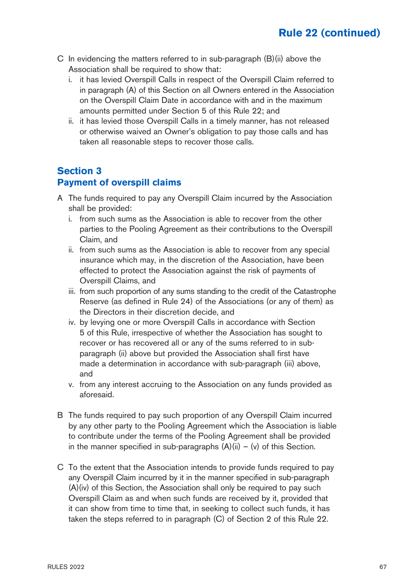- C In evidencing the matters referred to in sub-paragraph (B)(ii) above the Association shall be required to show that:
	- i. it has levied Overspill Calls in respect of the Overspill Claim referred to in paragraph (A) of this Section on all Owners entered in the Association on the Overspill Claim Date in accordance with and in the maximum amounts permitted under Section 5 of this Rule 22; and
	- ii. it has levied those Overspill Calls in a timely manner, has not released or otherwise waived an Owner's obligation to pay those calls and has taken all reasonable steps to recover those calls.

### **Section 3 Payment of overspill claims**

- A The funds required to pay any Overspill Claim incurred by the Association shall be provided:
	- i. from such sums as the Association is able to recover from the other parties to the Pooling Agreement as their contributions to the Overspill Claim, and
	- ii. from such sums as the Association is able to recover from any special insurance which may, in the discretion of the Association, have been effected to protect the Association against the risk of payments of Overspill Claims, and
	- iii. from such proportion of any sums standing to the credit of the Catastrophe Reserve (as defined in Rule 24) of the Associations (or any of them) as the Directors in their discretion decide, and
	- iv. by levying one or more Overspill Calls in accordance with Section 5 of this Rule, irrespective of whether the Association has sought to recover or has recovered all or any of the sums referred to in subparagraph (ii) above but provided the Association shall first have made a determination in accordance with sub-paragraph (iii) above, and
	- v. from any interest accruing to the Association on any funds provided as aforesaid.
- B The funds required to pay such proportion of any Overspill Claim incurred by any other party to the Pooling Agreement which the Association is liable to contribute under the terms of the Pooling Agreement shall be provided in the manner specified in sub-paragraphs  $(A)(ii) - (v)$  of this Section.
- C To the extent that the Association intends to provide funds required to pay any Overspill Claim incurred by it in the manner specified in sub-paragraph (A)(iv) of this Section, the Association shall only be required to pay such Overspill Claim as and when such funds are received by it, provided that it can show from time to time that, in seeking to collect such funds, it has taken the steps referred to in paragraph (C) of Section 2 of this Rule 22.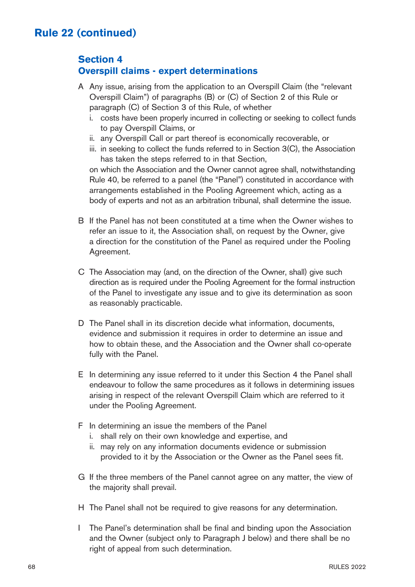### **Section 4 Overspill claims - expert determinations**

- A Any issue, arising from the application to an Overspill Claim (the "relevant Overspill Claim") of paragraphs (B) or (C) of Section 2 of this Rule or paragraph (C) of Section 3 of this Rule, of whether
	- i. costs have been properly incurred in collecting or seeking to collect funds to pay Overspill Claims, or
	- ii. any Overspill Call or part thereof is economically recoverable, or
	- iii. in seeking to collect the funds referred to in Section 3(C), the Association has taken the steps referred to in that Section,

on which the Association and the Owner cannot agree shall, notwithstanding Rule 40, be referred to a panel (the "Panel") constituted in accordance with arrangements established in the Pooling Agreement which, acting as a body of experts and not as an arbitration tribunal, shall determine the issue.

- B If the Panel has not been constituted at a time when the Owner wishes to refer an issue to it, the Association shall, on request by the Owner, give a direction for the constitution of the Panel as required under the Pooling Agreement.
- C The Association may (and, on the direction of the Owner, shall) give such direction as is required under the Pooling Agreement for the formal instruction of the Panel to investigate any issue and to give its determination as soon as reasonably practicable.
- D The Panel shall in its discretion decide what information, documents, evidence and submission it requires in order to determine an issue and how to obtain these, and the Association and the Owner shall co-operate fully with the Panel.
- E In determining any issue referred to it under this Section 4 the Panel shall endeavour to follow the same procedures as it follows in determining issues arising in respect of the relevant Overspill Claim which are referred to it under the Pooling Agreement.
- F In determining an issue the members of the Panel
	- i. shall rely on their own knowledge and expertise, and
	- ii. may rely on any information documents evidence or submission provided to it by the Association or the Owner as the Panel sees fit.
- G If the three members of the Panel cannot agree on any matter, the view of the majority shall prevail.
- H The Panel shall not be required to give reasons for any determination.
- I The Panel's determination shall be final and binding upon the Association and the Owner (subject only to Paragraph J below) and there shall be no right of appeal from such determination.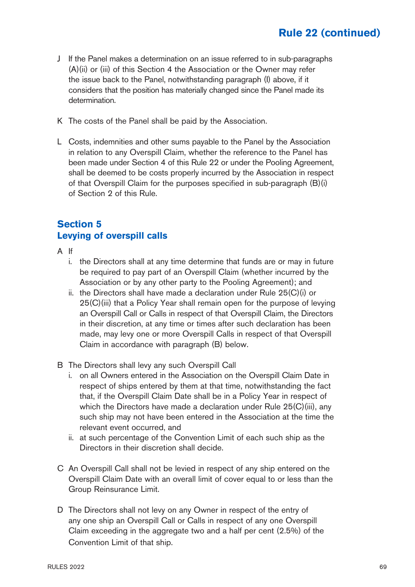- J If the Panel makes a determination on an issue referred to in sub-paragraphs (A)(ii) or (iii) of this Section 4 the Association or the Owner may refer the issue back to the Panel, notwithstanding paragraph (I) above, if it considers that the position has materially changed since the Panel made its determination.
- K The costs of the Panel shall be paid by the Association.
- L Costs, indemnities and other sums payable to the Panel by the Association in relation to any Overspill Claim, whether the reference to the Panel has been made under Section 4 of this Rule 22 or under the Pooling Agreement, shall be deemed to be costs properly incurred by the Association in respect of that Overspill Claim for the purposes specified in sub-paragraph (B)(i) of Section 2 of this Rule.

### **Section 5 Levying of overspill calls**

- A If
	- i. the Directors shall at any time determine that funds are or may in future be required to pay part of an Overspill Claim (whether incurred by the Association or by any other party to the Pooling Agreement); and
	- ii. the Directors shall have made a declaration under Rule 25(C)(i) or 25(C)(iii) that a Policy Year shall remain open for the purpose of levying an Overspill Call or Calls in respect of that Overspill Claim, the Directors in their discretion, at any time or times after such declaration has been made, may levy one or more Overspill Calls in respect of that Overspill Claim in accordance with paragraph (B) below.
- B The Directors shall levy any such Overspill Call
	- i. on all Owners entered in the Association on the Overspill Claim Date in respect of ships entered by them at that time, notwithstanding the fact that, if the Overspill Claim Date shall be in a Policy Year in respect of which the Directors have made a declaration under Rule 25(C)(iii), any such ship may not have been entered in the Association at the time the relevant event occurred, and
	- ii. at such percentage of the Convention Limit of each such ship as the Directors in their discretion shall decide.
- C An Overspill Call shall not be levied in respect of any ship entered on the Overspill Claim Date with an overall limit of cover equal to or less than the Group Reinsurance Limit.
- D The Directors shall not levy on any Owner in respect of the entry of any one ship an Overspill Call or Calls in respect of any one Overspill Claim exceeding in the aggregate two and a half per cent (2.5%) of the Convention Limit of that ship.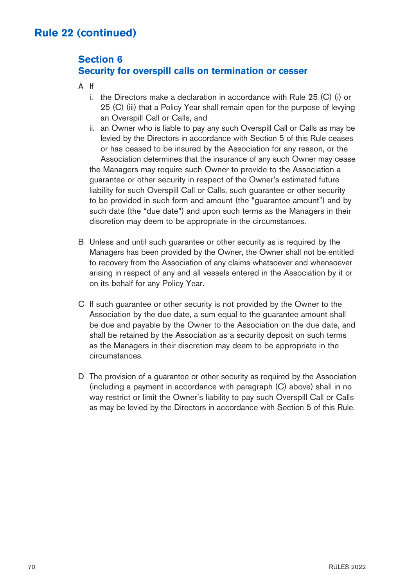### **Section 6 Security for overspill calls on termination or cesser**

- A If
	- i. the Directors make a declaration in accordance with Rule 25 (C) (i) or 25 (C) (iii) that a Policy Year shall remain open for the purpose of levying an Overspill Call or Calls, and
	- ii. an Owner who is liable to pay any such Overspill Call or Calls as may be levied by the Directors in accordance with Section 5 of this Rule ceases or has ceased to be insured by the Association for any reason, or the Association determines that the insurance of any such Owner may cease the Managers may require such Owner to provide to the Association a guarantee or other security in respect of the Owner's estimated future liability for such Overspill Call or Calls, such guarantee or other security to be provided in such form and amount (the "guarantee amount") and by such date (the "due date") and upon such terms as the Managers in their discretion may deem to be appropriate in the circumstances.
- B Unless and until such guarantee or other security as is required by the Managers has been provided by the Owner, the Owner shall not be entitled to recovery from the Association of any claims whatsoever and whensoever arising in respect of any and all vessels entered in the Association by it or on its behalf for any Policy Year.
- C If such guarantee or other security is not provided by the Owner to the Association by the due date, a sum equal to the guarantee amount shall be due and payable by the Owner to the Association on the due date, and shall be retained by the Association as a security deposit on such terms as the Managers in their discretion may deem to be appropriate in the circumstances.
- D The provision of a guarantee or other security as required by the Association (including a payment in accordance with paragraph (C) above) shall in no way restrict or limit the Owner's liability to pay such Overspill Call or Calls as may be levied by the Directors in accordance with Section 5 of this Rule.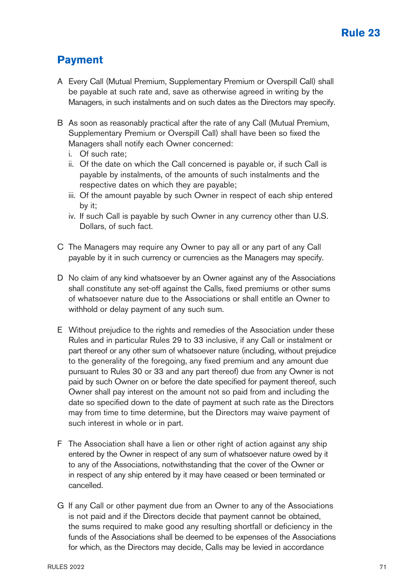# **Payment**

- A Every Call (Mutual Premium, Supplementary Premium or Overspill Call) shall be payable at such rate and, save as otherwise agreed in writing by the Managers, in such instalments and on such dates as the Directors may specify.
- B As soon as reasonably practical after the rate of any Call (Mutual Premium, Supplementary Premium or Overspill Call) shall have been so fixed the Managers shall notify each Owner concerned:
	- i. Of such rate;
	- ii. Of the date on which the Call concerned is payable or, if such Call is payable by instalments, of the amounts of such instalments and the respective dates on which they are payable;
	- iii. Of the amount payable by such Owner in respect of each ship entered by it;
	- iv. If such Call is payable by such Owner in any currency other than U.S. Dollars, of such fact.
- C The Managers may require any Owner to pay all or any part of any Call payable by it in such currency or currencies as the Managers may specify.
- D No claim of any kind whatsoever by an Owner against any of the Associations shall constitute any set-off against the Calls, fixed premiums or other sums of whatsoever nature due to the Associations or shall entitle an Owner to withhold or delay payment of any such sum.
- E Without prejudice to the rights and remedies of the Association under these Rules and in particular Rules 29 to 33 inclusive, if any Call or instalment or part thereof or any other sum of whatsoever nature (including, without prejudice to the generality of the foregoing, any fixed premium and any amount due pursuant to Rules 30 or 33 and any part thereof) due from any Owner is not paid by such Owner on or before the date specified for payment thereof, such Owner shall pay interest on the amount not so paid from and including the date so specified down to the date of payment at such rate as the Directors may from time to time determine, but the Directors may waive payment of such interest in whole or in part.
- F The Association shall have a lien or other right of action against any ship entered by the Owner in respect of any sum of whatsoever nature owed by it to any of the Associations, notwithstanding that the cover of the Owner or in respect of any ship entered by it may have ceased or been terminated or cancelled.
- G If any Call or other payment due from an Owner to any of the Associations is not paid and if the Directors decide that payment cannot be obtained, the sums required to make good any resulting shortfall or deficiency in the funds of the Associations shall be deemed to be expenses of the Associations for which, as the Directors may decide, Calls may be levied in accordance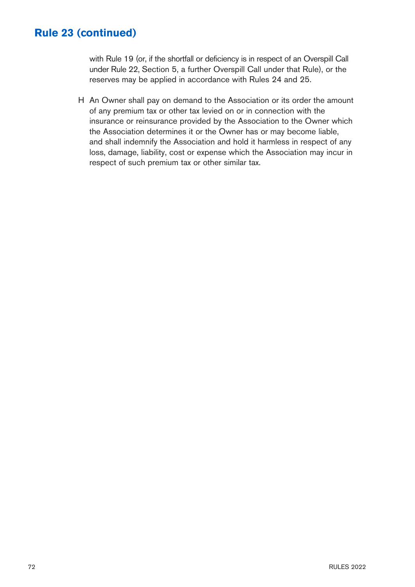with Rule 19 (or, if the shortfall or deficiency is in respect of an Overspill Call under Rule 22, Section 5, a further Overspill Call under that Rule), or the reserves may be applied in accordance with Rules 24 and 25.

H An Owner shall pay on demand to the Association or its order the amount of any premium tax or other tax levied on or in connection with the insurance or reinsurance provided by the Association to the Owner which the Association determines it or the Owner has or may become liable, and shall indemnify the Association and hold it harmless in respect of any loss, damage, liability, cost or expense which the Association may incur in respect of such premium tax or other similar tax.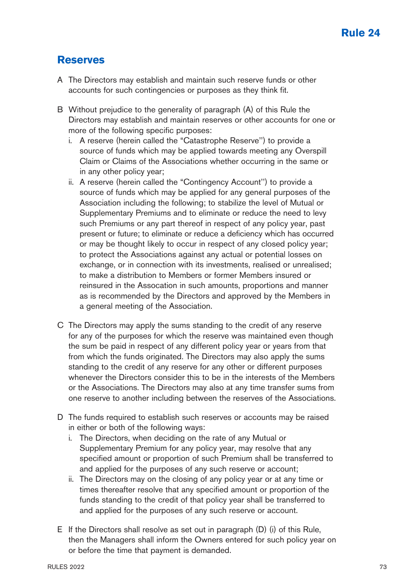#### **Reserves**

- A The Directors may establish and maintain such reserve funds or other accounts for such contingencies or purposes as they think fit.
- B Without prejudice to the generality of paragraph (A) of this Rule the Directors may establish and maintain reserves or other accounts for one or more of the following specific purposes:
	- i. A reserve (herein called the "Catastrophe Reserve'') to provide a source of funds which may be applied towards meeting any Overspill Claim or Claims of the Associations whether occurring in the same or in any other policy year;
	- ii. A reserve (herein called the "Contingency Account'') to provide a source of funds which may be applied for any general purposes of the Association including the following; to stabilize the level of Mutual or Supplementary Premiums and to eliminate or reduce the need to levy such Premiums or any part thereof in respect of any policy year, past present or future; to eliminate or reduce a deficiency which has occurred or may be thought likely to occur in respect of any closed policy year; to protect the Associations against any actual or potential losses on exchange, or in connection with its investments, realised or unrealised; to make a distribution to Members or former Members insured or reinsured in the Assocation in such amounts, proportions and manner as is recommended by the Directors and approved by the Members in a general meeting of the Association.
- C The Directors may apply the sums standing to the credit of any reserve for any of the purposes for which the reserve was maintained even though the sum be paid in respect of any different policy year or years from that from which the funds originated. The Directors may also apply the sums standing to the credit of any reserve for any other or different purposes whenever the Directors consider this to be in the interests of the Members or the Associations. The Directors may also at any time transfer sums from one reserve to another including between the reserves of the Associations.
- D The funds required to establish such reserves or accounts may be raised in either or both of the following ways:
	- i. The Directors, when deciding on the rate of any Mutual or Supplementary Premium for any policy year, may resolve that any specified amount or proportion of such Premium shall be transferred to and applied for the purposes of any such reserve or account;
	- ii. The Directors may on the closing of any policy year or at any time or times thereafter resolve that any specified amount or proportion of the funds standing to the credit of that policy year shall be transferred to and applied for the purposes of any such reserve or account.
- E If the Directors shall resolve as set out in paragraph (D) (i) of this Rule, then the Managers shall inform the Owners entered for such policy year on or before the time that payment is demanded.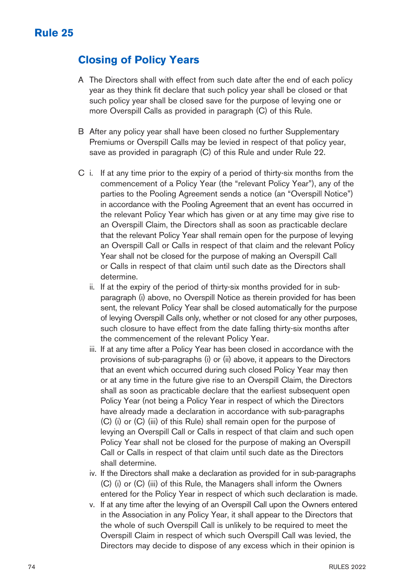### **Closing of Policy Years**

- A The Directors shall with effect from such date after the end of each policy year as they think fit declare that such policy year shall be closed or that such policy year shall be closed save for the purpose of levying one or more Overspill Calls as provided in paragraph (C) of this Rule.
- B After any policy year shall have been closed no further Supplementary Premiums or Overspill Calls may be levied in respect of that policy year, save as provided in paragraph (C) of this Rule and under Rule 22.
- C i. If at any time prior to the expiry of a period of thirty-six months from the commencement of a Policy Year (the "relevant Policy Year"), any of the parties to the Pooling Agreement sends a notice (an "Overspill Notice") in accordance with the Pooling Agreement that an event has occurred in the relevant Policy Year which has given or at any time may give rise to an Overspill Claim, the Directors shall as soon as practicable declare that the relevant Policy Year shall remain open for the purpose of levying an Overspill Call or Calls in respect of that claim and the relevant Policy Year shall not be closed for the purpose of making an Overspill Call or Calls in respect of that claim until such date as the Directors shall determine.
	- ii. If at the expiry of the period of thirty-six months provided for in subparagraph (i) above, no Overspill Notice as therein provided for has been sent, the relevant Policy Year shall be closed automatically for the purpose of levying Overspill Calls only, whether or not closed for any other purposes, such closure to have effect from the date falling thirty-six months after the commencement of the relevant Policy Year.
	- iii. If at any time after a Policy Year has been closed in accordance with the provisions of sub-paragraphs (i) or (ii) above, it appears to the Directors that an event which occurred during such closed Policy Year may then or at any time in the future give rise to an Overspill Claim, the Directors shall as soon as practicable declare that the earliest subsequent open Policy Year (not being a Policy Year in respect of which the Directors have already made a declaration in accordance with sub-paragraphs (C) (i) or (C) (iii) of this Rule) shall remain open for the purpose of levying an Overspill Call or Calls in respect of that claim and such open Policy Year shall not be closed for the purpose of making an Overspill Call or Calls in respect of that claim until such date as the Directors shall determine.
	- iv. If the Directors shall make a declaration as provided for in sub-paragraphs (C) (i) or (C) (iii) of this Rule, the Managers shall inform the Owners entered for the Policy Year in respect of which such declaration is made.
	- v. If at any time after the levying of an Overspill Call upon the Owners entered in the Association in any Policy Year, it shall appear to the Directors that the whole of such Overspill Call is unlikely to be required to meet the Overspill Claim in respect of which such Overspill Call was levied, the Directors may decide to dispose of any excess which in their opinion is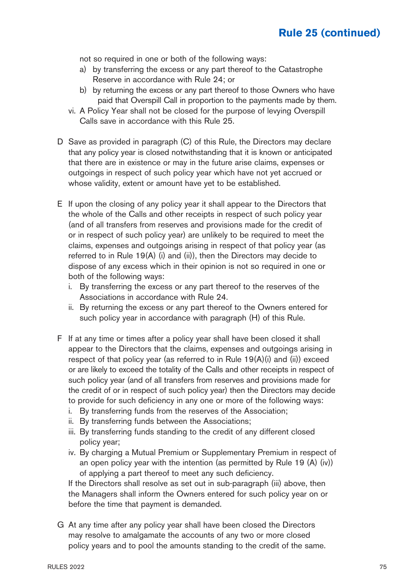## **Rule 25 (continued)**

not so required in one or both of the following ways:

- a) by transferring the excess or any part thereof to the Catastrophe Reserve in accordance with Rule 24; or
- b) by returning the excess or any part thereof to those Owners who have paid that Overspill Call in proportion to the payments made by them.
- vi. A Policy Year shall not be closed for the purpose of levying Overspill Calls save in accordance with this Rule 25.
- D Save as provided in paragraph (C) of this Rule, the Directors may declare that any policy year is closed notwithstanding that it is known or anticipated that there are in existence or may in the future arise claims, expenses or outgoings in respect of such policy year which have not yet accrued or whose validity, extent or amount have yet to be established.
- E If upon the closing of any policy year it shall appear to the Directors that the whole of the Calls and other receipts in respect of such policy year (and of all transfers from reserves and provisions made for the credit of or in respect of such policy year) are unlikely to be required to meet the claims, expenses and outgoings arising in respect of that policy year (as referred to in Rule 19(A) (i) and (ii)), then the Directors may decide to dispose of any excess which in their opinion is not so required in one or both of the following ways:
	- i. By transferring the excess or any part thereof to the reserves of the Associations in accordance with Rule 24.
	- ii. By returning the excess or any part thereof to the Owners entered for such policy year in accordance with paragraph (H) of this Rule.
- F If at any time or times after a policy year shall have been closed it shall appear to the Directors that the claims, expenses and outgoings arising in respect of that policy year (as referred to in Rule 19(A)(i) and (ii)) exceed or are likely to exceed the totality of the Calls and other receipts in respect of such policy year (and of all transfers from reserves and provisions made for the credit of or in respect of such policy year) then the Directors may decide to provide for such deficiency in any one or more of the following ways:
	- i. By transferring funds from the reserves of the Association;
	- ii. By transferring funds between the Associations;
	- iii. By transferring funds standing to the credit of any different closed policy year;
	- iv. By charging a Mutual Premium or Supplementary Premium in respect of an open policy year with the intention (as permitted by Rule 19 (A) (iv)) of applying a part thereof to meet any such deficiency.

If the Directors shall resolve as set out in sub-paragraph (iii) above, then the Managers shall inform the Owners entered for such policy year on or before the time that payment is demanded.

G At any time after any policy year shall have been closed the Directors may resolve to amalgamate the accounts of any two or more closed policy years and to pool the amounts standing to the credit of the same.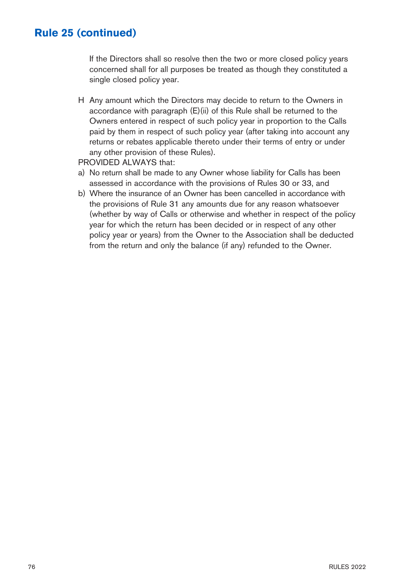#### **Rule 25 (continued)**

If the Directors shall so resolve then the two or more closed policy years concerned shall for all purposes be treated as though they constituted a single closed policy year.

H Any amount which the Directors may decide to return to the Owners in accordance with paragraph (E)(ii) of this Rule shall be returned to the Owners entered in respect of such policy year in proportion to the Calls paid by them in respect of such policy year (after taking into account any returns or rebates applicable thereto under their terms of entry or under any other provision of these Rules).

PROVIDED ALWAYS that:

- a) No return shall be made to any Owner whose liability for Calls has been assessed in accordance with the provisions of Rules 30 or 33, and
- b) Where the insurance of an Owner has been cancelled in accordance with the provisions of Rule 31 any amounts due for any reason whatsoever (whether by way of Calls or otherwise and whether in respect of the policy year for which the return has been decided or in respect of any other policy year or years) from the Owner to the Association shall be deducted from the return and only the balance (if any) refunded to the Owner.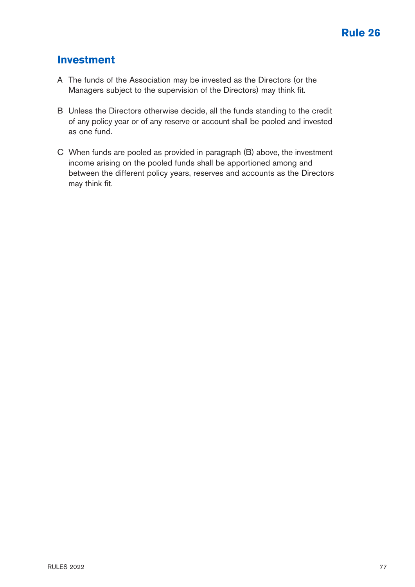#### **Investment**

- A The funds of the Association may be invested as the Directors (or the Managers subject to the supervision of the Directors) may think fit.
- B Unless the Directors otherwise decide, all the funds standing to the credit of any policy year or of any reserve or account shall be pooled and invested as one fund.
- C When funds are pooled as provided in paragraph (B) above, the investment income arising on the pooled funds shall be apportioned among and between the different policy years, reserves and accounts as the Directors may think fit.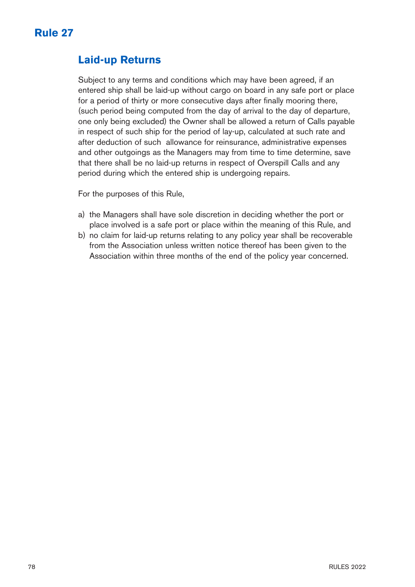

#### **Laid-up Returns**

Subject to any terms and conditions which may have been agreed, if an entered ship shall be laid-up without cargo on board in any safe port or place for a period of thirty or more consecutive days after finally mooring there, (such period being computed from the day of arrival to the day of departure, one only being excluded) the Owner shall be allowed a return of Calls payable in respect of such ship for the period of lay-up, calculated at such rate and after deduction of such allowance for reinsurance, administrative expenses and other outgoings as the Managers may from time to time determine, save that there shall be no laid-up returns in respect of Overspill Calls and any period during which the entered ship is undergoing repairs.

For the purposes of this Rule,

- a) the Managers shall have sole discretion in deciding whether the port or place involved is a safe port or place within the meaning of this Rule, and
- b) no claim for laid-up returns relating to any policy year shall be recoverable from the Association unless written notice thereof has been given to the Association within three months of the end of the policy year concerned.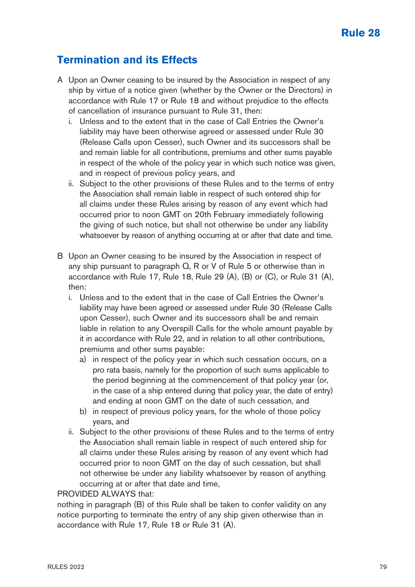### **Rule 28**

## **Termination and its Effects**

- A Upon an Owner ceasing to be insured by the Association in respect of any ship by virtue of a notice given (whether by the Owner or the Directors) in accordance with Rule 17 or Rule 18 and without prejudice to the effects of cancellation of insurance pursuant to Rule 31, then:
	- i. Unless and to the extent that in the case of Call Entries the Owner's liability may have been otherwise agreed or assessed under Rule 30 (Release Calls upon Cesser), such Owner and its successors shall be and remain liable for all contributions, premiums and other sums payable in respect of the whole of the policy year in which such notice was given, and in respect of previous policy years, and
	- ii. Subject to the other provisions of these Rules and to the terms of entry the Association shall remain liable in respect of such entered ship for all claims under these Rules arising by reason of any event which had occurred prior to noon GMT on 20th February immediately following the giving of such notice, but shall not otherwise be under any liability whatsoever by reason of anything occurring at or after that date and time.
- B Upon an Owner ceasing to be insured by the Association in respect of any ship pursuant to paragraph Q, R or V of Rule 5 or otherwise than in accordance with Rule 17, Rule 18, Rule 29 (A), (B) or (C), or Rule 31 (A), then:
	- i. Unless and to the extent that in the case of Call Entries the Owner's liability may have been agreed or assessed under Rule 30 (Release Calls upon Cesser), such Owner and its successors shall be and remain liable in relation to any Overspill Calls for the whole amount payable by it in accordance with Rule 22, and in relation to all other contributions, premiums and other sums payable:
		- a) in respect of the policy year in which such cessation occurs, on a pro rata basis, namely for the proportion of such sums applicable to the period beginning at the commencement of that policy year (or, in the case of a ship entered during that policy year, the date of entry) and ending at noon GMT on the date of such cessation, and
		- b) in respect of previous policy years, for the whole of those policy years, and
	- ii. Subject to the other provisions of these Rules and to the terms of entry the Association shall remain liable in respect of such entered ship for all claims under these Rules arising by reason of any event which had occurred prior to noon GMT on the day of such cessation, but shall not otherwise be under any liability whatsoever by reason of anything occurring at or after that date and time,

#### PROVIDED ALWAYS that:

nothing in paragraph (B) of this Rule shall be taken to confer validity on any notice purporting to terminate the entry of any ship given otherwise than in accordance with Rule 17, Rule 18 or Rule 31 (A).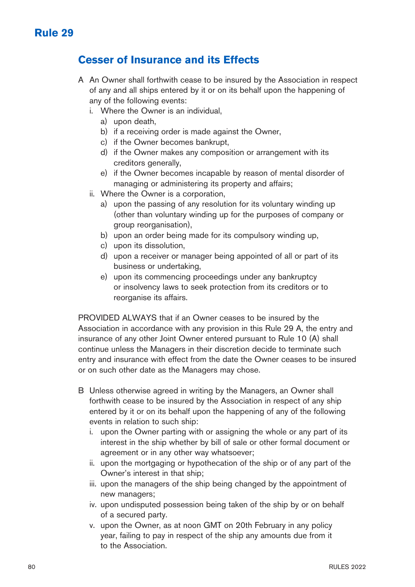#### **Cesser of Insurance and its Effects**

- A An Owner shall forthwith cease to be insured by the Association in respect of any and all ships entered by it or on its behalf upon the happening of any of the following events:
	- i. Where the Owner is an individual,
		- a) upon death,
		- b) if a receiving order is made against the Owner,
		- c) if the Owner becomes bankrupt,
		- d) if the Owner makes any composition or arrangement with its creditors generally,
		- e) if the Owner becomes incapable by reason of mental disorder of managing or administering its property and affairs;
	- ii. Where the Owner is a corporation,
		- a) upon the passing of any resolution for its voluntary winding up (other than voluntary winding up for the purposes of company or group reorganisation),
		- b) upon an order being made for its compulsory winding up,
		- c) upon its dissolution,
		- d) upon a receiver or manager being appointed of all or part of its business or undertaking,
		- e) upon its commencing proceedings under any bankruptcy or insolvency laws to seek protection from its creditors or to reorganise its affairs.

PROVIDED ALWAYS that if an Owner ceases to be insured by the Association in accordance with any provision in this Rule 29 A, the entry and insurance of any other Joint Owner entered pursuant to Rule 10 (A) shall continue unless the Managers in their discretion decide to terminate such entry and insurance with effect from the date the Owner ceases to be insured or on such other date as the Managers may chose.

- B Unless otherwise agreed in writing by the Managers, an Owner shall forthwith cease to be insured by the Association in respect of any ship entered by it or on its behalf upon the happening of any of the following events in relation to such ship:
	- i. upon the Owner parting with or assigning the whole or any part of its interest in the ship whether by bill of sale or other formal document or agreement or in any other way whatsoever;
	- ii. upon the mortgaging or hypothecation of the ship or of any part of the Owner's interest in that ship;
	- iii. upon the managers of the ship being changed by the appointment of new managers;
	- iv. upon undisputed possession being taken of the ship by or on behalf of a secured party.
	- v. upon the Owner, as at noon GMT on 20th February in any policy year, failing to pay in respect of the ship any amounts due from it to the Association.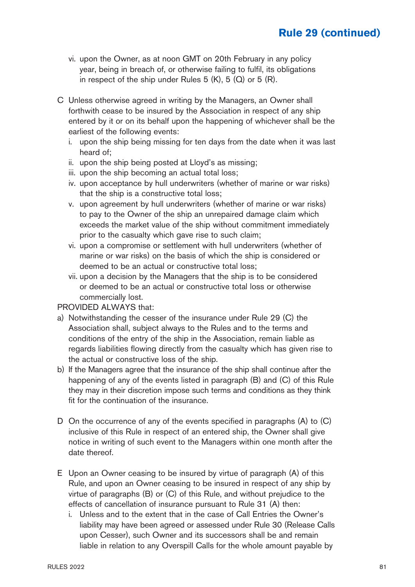## **Rule 29 (continued)**

- vi. upon the Owner, as at noon GMT on 20th February in any policy year, being in breach of, or otherwise failing to fulfil, its obligations in respect of the ship under Rules  $5$  (K),  $5$  (Q) or  $5$  (R).
- C Unless otherwise agreed in writing by the Managers, an Owner shall forthwith cease to be insured by the Association in respect of any ship entered by it or on its behalf upon the happening of whichever shall be the earliest of the following events:
	- i. upon the ship being missing for ten days from the date when it was last heard of;
	- ii. upon the ship being posted at Lloyd's as missing;
	- iii. upon the ship becoming an actual total loss;
	- iv. upon acceptance by hull underwriters (whether of marine or war risks) that the ship is a constructive total loss;
	- v. upon agreement by hull underwriters (whether of marine or war risks) to pay to the Owner of the ship an unrepaired damage claim which exceeds the market value of the ship without commitment immediately prior to the casualty which gave rise to such claim;
	- vi. upon a compromise or settlement with hull underwriters (whether of marine or war risks) on the basis of which the ship is considered or deemed to be an actual or constructive total loss;
	- vii. upon a decision by the Managers that the ship is to be considered or deemed to be an actual or constructive total loss or otherwise commercially lost.

#### PROVIDED ALWAYS that:

- a) Notwithstanding the cesser of the insurance under Rule 29 (C) the Association shall, subject always to the Rules and to the terms and conditions of the entry of the ship in the Association, remain liable as regards liabilities flowing directly from the casualty which has given rise to the actual or constructive loss of the ship.
- b) If the Managers agree that the insurance of the ship shall continue after the happening of any of the events listed in paragraph (B) and (C) of this Rule they may in their discretion impose such terms and conditions as they think fit for the continuation of the insurance.
- D On the occurrence of any of the events specified in paragraphs (A) to (C) inclusive of this Rule in respect of an entered ship, the Owner shall give notice in writing of such event to the Managers within one month after the date thereof.
- E Upon an Owner ceasing to be insured by virtue of paragraph (A) of this Rule, and upon an Owner ceasing to be insured in respect of any ship by virtue of paragraphs (B) or (C) of this Rule, and without prejudice to the effects of cancellation of insurance pursuant to Rule 31 (A) then:
	- i. Unless and to the extent that in the case of Call Entries the Owner's liability may have been agreed or assessed under Rule 30 (Release Calls upon Cesser), such Owner and its successors shall be and remain liable in relation to any Overspill Calls for the whole amount payable by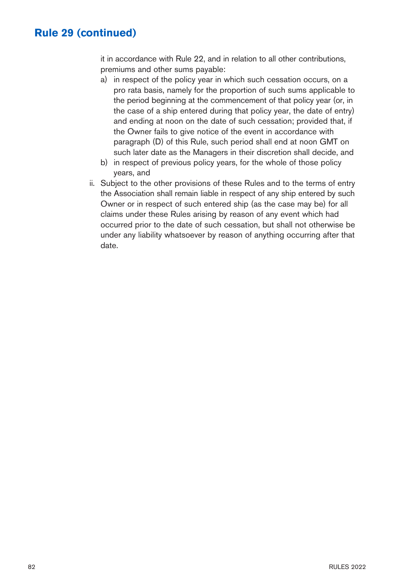#### **Rule 29 (continued)**

it in accordance with Rule 22, and in relation to all other contributions, premiums and other sums payable:

- a) in respect of the policy year in which such cessation occurs, on a pro rata basis, namely for the proportion of such sums applicable to the period beginning at the commencement of that policy year (or, in the case of a ship entered during that policy year, the date of entry) and ending at noon on the date of such cessation; provided that, if the Owner fails to give notice of the event in accordance with paragraph (D) of this Rule, such period shall end at noon GMT on such later date as the Managers in their discretion shall decide, and
- b) in respect of previous policy years, for the whole of those policy years, and
- ii. Subject to the other provisions of these Rules and to the terms of entry the Association shall remain liable in respect of any ship entered by such Owner or in respect of such entered ship (as the case may be) for all claims under these Rules arising by reason of any event which had occurred prior to the date of such cessation, but shall not otherwise be under any liability whatsoever by reason of anything occurring after that date.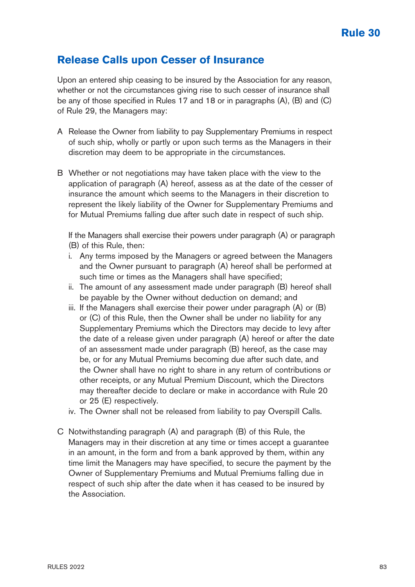#### **Release Calls upon Cesser of Insurance**

Upon an entered ship ceasing to be insured by the Association for any reason, whether or not the circumstances giving rise to such cesser of insurance shall be any of those specified in Rules 17 and 18 or in paragraphs (A), (B) and (C) of Rule 29, the Managers may:

- A Release the Owner from liability to pay Supplementary Premiums in respect of such ship, wholly or partly or upon such terms as the Managers in their discretion may deem to be appropriate in the circumstances.
- B Whether or not negotiations may have taken place with the view to the application of paragraph (A) hereof, assess as at the date of the cesser of insurance the amount which seems to the Managers in their discretion to represent the likely liability of the Owner for Supplementary Premiums and for Mutual Premiums falling due after such date in respect of such ship.

If the Managers shall exercise their powers under paragraph (A) or paragraph (B) of this Rule, then:

- i. Any terms imposed by the Managers or agreed between the Managers and the Owner pursuant to paragraph (A) hereof shall be performed at such time or times as the Managers shall have specified;
- ii. The amount of any assessment made under paragraph (B) hereof shall be payable by the Owner without deduction on demand; and
- iii. If the Managers shall exercise their power under paragraph (A) or (B) or (C) of this Rule, then the Owner shall be under no liability for any Supplementary Premiums which the Directors may decide to levy after the date of a release given under paragraph (A) hereof or after the date of an assessment made under paragraph (B) hereof, as the case may be, or for any Mutual Premiums becoming due after such date, and the Owner shall have no right to share in any return of contributions or other receipts, or any Mutual Premium Discount, which the Directors may thereafter decide to declare or make in accordance with Rule 20 or 25 (E) respectively.
- iv. The Owner shall not be released from liability to pay Overspill Calls.
- C Notwithstanding paragraph (A) and paragraph (B) of this Rule, the Managers may in their discretion at any time or times accept a guarantee in an amount, in the form and from a bank approved by them, within any time limit the Managers may have specified, to secure the payment by the Owner of Supplementary Premiums and Mutual Premiums falling due in respect of such ship after the date when it has ceased to be insured by the Association.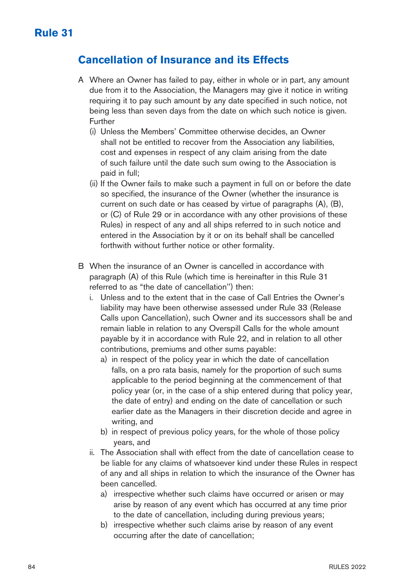#### **Cancellation of Insurance and its Effects**

- A Where an Owner has failed to pay, either in whole or in part, any amount due from it to the Association, the Managers may give it notice in writing requiring it to pay such amount by any date specified in such notice, not being less than seven days from the date on which such notice is given. Further
	- (i) Unless the Members' Committee otherwise decides, an Owner shall not be entitled to recover from the Association any liabilities, cost and expenses in respect of any claim arising from the date of such failure until the date such sum owing to the Association is paid in full;
	- (ii) If the Owner fails to make such a payment in full on or before the date so specified, the insurance of the Owner (whether the insurance is current on such date or has ceased by virtue of paragraphs (A), (B), or (C) of Rule 29 or in accordance with any other provisions of these Rules) in respect of any and all ships referred to in such notice and entered in the Association by it or on its behalf shall be cancelled forthwith without further notice or other formality.
- B When the insurance of an Owner is cancelled in accordance with paragraph (A) of this Rule (which time is hereinafter in this Rule 31 referred to as "the date of cancellation'') then:
	- i. Unless and to the extent that in the case of Call Entries the Owner's liability may have been otherwise assessed under Rule 33 (Release Calls upon Cancellation), such Owner and its successors shall be and remain liable in relation to any Overspill Calls for the whole amount payable by it in accordance with Rule 22, and in relation to all other contributions, premiums and other sums payable:
		- a) in respect of the policy year in which the date of cancellation falls, on a pro rata basis, namely for the proportion of such sums applicable to the period beginning at the commencement of that policy year (or, in the case of a ship entered during that policy year, the date of entry) and ending on the date of cancellation or such earlier date as the Managers in their discretion decide and agree in writing, and
		- b) in respect of previous policy years, for the whole of those policy years, and
	- ii. The Association shall with effect from the date of cancellation cease to be liable for any claims of whatsoever kind under these Rules in respect of any and all ships in relation to which the insurance of the Owner has been cancelled.
		- a) irrespective whether such claims have occurred or arisen or may arise by reason of any event which has occurred at any time prior to the date of cancellation, including during previous years;
		- b) irrespective whether such claims arise by reason of any event occurring after the date of cancellation;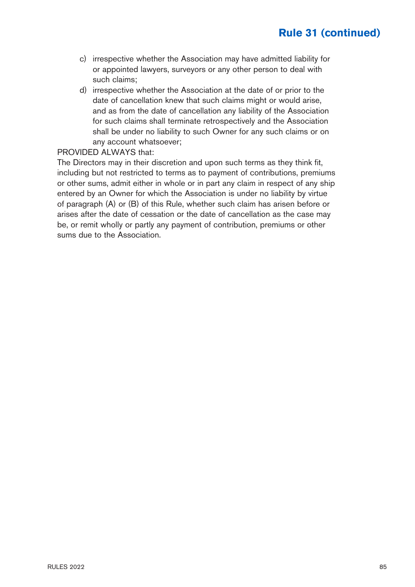## **Rule 31 (continued)**

- c) irrespective whether the Association may have admitted liability for or appointed lawyers, surveyors or any other person to deal with such claims;
- d) irrespective whether the Association at the date of or prior to the date of cancellation knew that such claims might or would arise, and as from the date of cancellation any liability of the Association for such claims shall terminate retrospectively and the Association shall be under no liability to such Owner for any such claims or on any account whatsoever;

#### PROVIDED ALWAYS that:

The Directors may in their discretion and upon such terms as they think fit, including but not restricted to terms as to payment of contributions, premiums or other sums, admit either in whole or in part any claim in respect of any ship entered by an Owner for which the Association is under no liability by virtue of paragraph (A) or (B) of this Rule, whether such claim has arisen before or arises after the date of cessation or the date of cancellation as the case may be, or remit wholly or partly any payment of contribution, premiums or other sums due to the Association.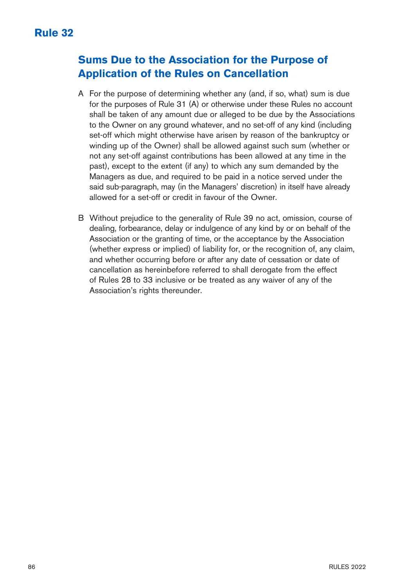## **Sums Due to the Association for the Purpose of Application of the Rules on Cancellation**

- A For the purpose of determining whether any (and, if so, what) sum is due for the purposes of Rule 31 (A) or otherwise under these Rules no account shall be taken of any amount due or alleged to be due by the Associations to the Owner on any ground whatever, and no set-off of any kind (including set-off which might otherwise have arisen by reason of the bankruptcy or winding up of the Owner) shall be allowed against such sum (whether or not any set-off against contributions has been allowed at any time in the past), except to the extent (if any) to which any sum demanded by the Managers as due, and required to be paid in a notice served under the said sub-paragraph, may (in the Managers' discretion) in itself have already allowed for a set-off or credit in favour of the Owner.
- B Without prejudice to the generality of Rule 39 no act, omission, course of dealing, forbearance, delay or indulgence of any kind by or on behalf of the Association or the granting of time, or the acceptance by the Association (whether express or implied) of liability for, or the recognition of, any claim, and whether occurring before or after any date of cessation or date of cancellation as hereinbefore referred to shall derogate from the effect of Rules 28 to 33 inclusive or be treated as any waiver of any of the Association's rights thereunder.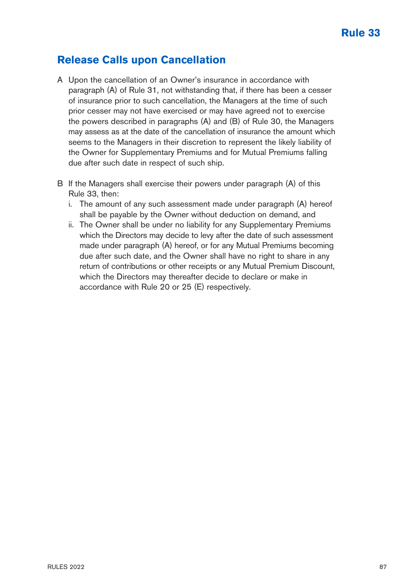### **Release Calls upon Cancellation**

- A Upon the cancellation of an Owner's insurance in accordance with paragraph (A) of Rule 31, not withstanding that, if there has been a cesser of insurance prior to such cancellation, the Managers at the time of such prior cesser may not have exercised or may have agreed not to exercise the powers described in paragraphs (A) and (B) of Rule 30, the Managers may assess as at the date of the cancellation of insurance the amount which seems to the Managers in their discretion to represent the likely liability of the Owner for Supplementary Premiums and for Mutual Premiums falling due after such date in respect of such ship.
- B If the Managers shall exercise their powers under paragraph (A) of this Rule 33, then:
	- i. The amount of any such assessment made under paragraph (A) hereof shall be payable by the Owner without deduction on demand, and
	- ii. The Owner shall be under no liability for any Supplementary Premiums which the Directors may decide to levy after the date of such assessment made under paragraph (A) hereof, or for any Mutual Premiums becoming due after such date, and the Owner shall have no right to share in any return of contributions or other receipts or any Mutual Premium Discount, which the Directors may thereafter decide to declare or make in accordance with Rule 20 or 25 (E) respectively.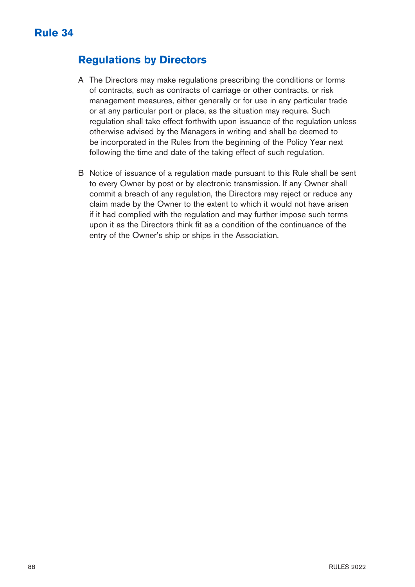## **Regulations by Directors**

- A The Directors may make regulations prescribing the conditions or forms of contracts, such as contracts of carriage or other contracts, or risk management measures, either generally or for use in any particular trade or at any particular port or place, as the situation may require. Such regulation shall take effect forthwith upon issuance of the regulation unless otherwise advised by the Managers in writing and shall be deemed to be incorporated in the Rules from the beginning of the Policy Year next following the time and date of the taking effect of such regulation.
- B Notice of issuance of a regulation made pursuant to this Rule shall be sent to every Owner by post or by electronic transmission. If any Owner shall commit a breach of any regulation, the Directors may reject or reduce any claim made by the Owner to the extent to which it would not have arisen if it had complied with the regulation and may further impose such terms upon it as the Directors think fit as a condition of the continuance of the entry of the Owner's ship or ships in the Association.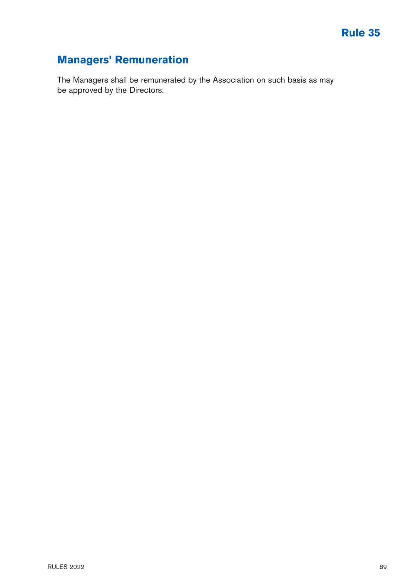## **Managers' Remuneration**

The Managers shall be remunerated by the Association on such basis as may be approved by the Directors.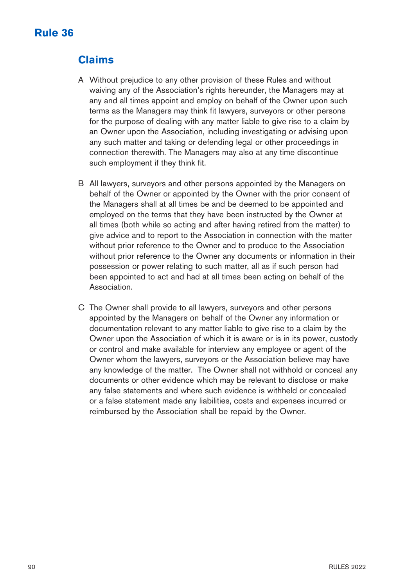## **Rule 36**

## **Claims**

- A Without prejudice to any other provision of these Rules and without waiving any of the Association's rights hereunder, the Managers may at any and all times appoint and employ on behalf of the Owner upon such terms as the Managers may think fit lawyers, surveyors or other persons for the purpose of dealing with any matter liable to give rise to a claim by an Owner upon the Association, including investigating or advising upon any such matter and taking or defending legal or other proceedings in connection therewith. The Managers may also at any time discontinue such employment if they think fit.
- B All lawyers, surveyors and other persons appointed by the Managers on behalf of the Owner or appointed by the Owner with the prior consent of the Managers shall at all times be and be deemed to be appointed and employed on the terms that they have been instructed by the Owner at all times (both while so acting and after having retired from the matter) to give advice and to report to the Association in connection with the matter without prior reference to the Owner and to produce to the Association without prior reference to the Owner any documents or information in their possession or power relating to such matter, all as if such person had been appointed to act and had at all times been acting on behalf of the Association.
- C The Owner shall provide to all lawyers, surveyors and other persons appointed by the Managers on behalf of the Owner any information or documentation relevant to any matter liable to give rise to a claim by the Owner upon the Association of which it is aware or is in its power, custody or control and make available for interview any employee or agent of the Owner whom the lawyers, surveyors or the Association believe may have any knowledge of the matter. The Owner shall not withhold or conceal any documents or other evidence which may be relevant to disclose or make any false statements and where such evidence is withheld or concealed or a false statement made any liabilities, costs and expenses incurred or reimbursed by the Association shall be repaid by the Owner.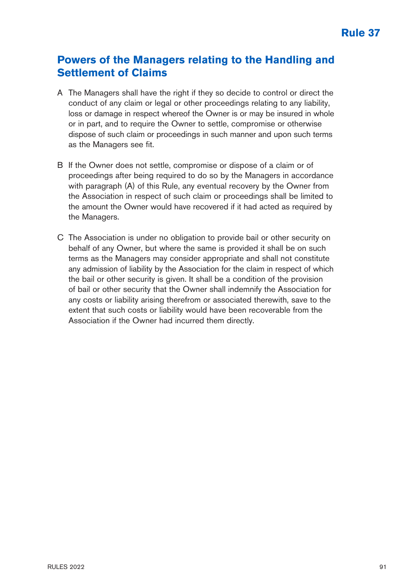#### **Powers of the Managers relating to the Handling and Settlement of Claims**

- A The Managers shall have the right if they so decide to control or direct the conduct of any claim or legal or other proceedings relating to any liability. loss or damage in respect whereof the Owner is or may be insured in whole or in part, and to require the Owner to settle, compromise or otherwise dispose of such claim or proceedings in such manner and upon such terms as the Managers see fit.
- B If the Owner does not settle, compromise or dispose of a claim or of proceedings after being required to do so by the Managers in accordance with paragraph (A) of this Rule, any eventual recovery by the Owner from the Association in respect of such claim or proceedings shall be limited to the amount the Owner would have recovered if it had acted as required by the Managers.
- C The Association is under no obligation to provide bail or other security on behalf of any Owner, but where the same is provided it shall be on such terms as the Managers may consider appropriate and shall not constitute any admission of liability by the Association for the claim in respect of which the bail or other security is given. It shall be a condition of the provision of bail or other security that the Owner shall indemnify the Association for any costs or liability arising therefrom or associated therewith, save to the extent that such costs or liability would have been recoverable from the Association if the Owner had incurred them directly.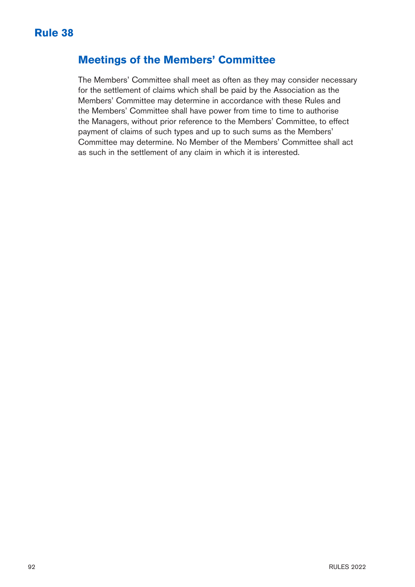#### **Meetings of the Members' Committee**

The Members' Committee shall meet as often as they may consider necessary for the settlement of claims which shall be paid by the Association as the Members' Committee may determine in accordance with these Rules and the Members' Committee shall have power from time to time to authorise the Managers, without prior reference to the Members' Committee, to effect payment of claims of such types and up to such sums as the Members' Committee may determine. No Member of the Members' Committee shall act as such in the settlement of any claim in which it is interested.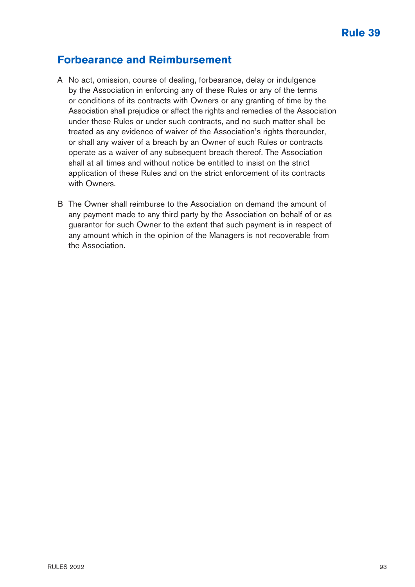#### **Forbearance and Reimbursement**

- A No act, omission, course of dealing, forbearance, delay or indulgence by the Association in enforcing any of these Rules or any of the terms or conditions of its contracts with Owners or any granting of time by the Association shall prejudice or affect the rights and remedies of the Association under these Rules or under such contracts, and no such matter shall be treated as any evidence of waiver of the Association's rights thereunder, or shall any waiver of a breach by an Owner of such Rules or contracts operate as a waiver of any subsequent breach thereof. The Association shall at all times and without notice be entitled to insist on the strict application of these Rules and on the strict enforcement of its contracts with Owners.
- B The Owner shall reimburse to the Association on demand the amount of any payment made to any third party by the Association on behalf of or as guarantor for such Owner to the extent that such payment is in respect of any amount which in the opinion of the Managers is not recoverable from the Association.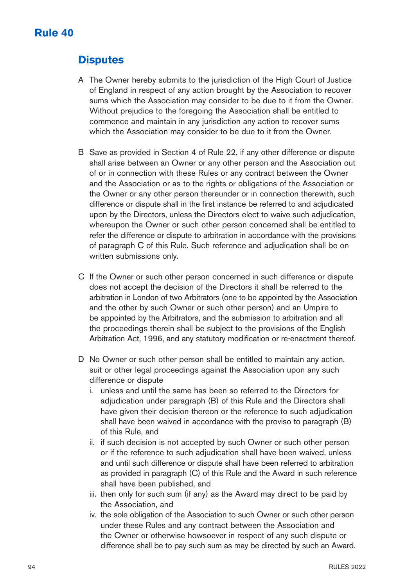#### **Rule 40**

#### **Disputes**

- A The Owner hereby submits to the jurisdiction of the High Court of Justice of England in respect of any action brought by the Association to recover sums which the Association may consider to be due to it from the Owner. Without prejudice to the foregoing the Association shall be entitled to commence and maintain in any jurisdiction any action to recover sums which the Association may consider to be due to it from the Owner.
- B Save as provided in Section 4 of Rule 22, if any other difference or dispute shall arise between an Owner or any other person and the Association out of or in connection with these Rules or any contract between the Owner and the Association or as to the rights or obligations of the Association or the Owner or any other person thereunder or in connection therewith, such difference or dispute shall in the first instance be referred to and adjudicated upon by the Directors, unless the Directors elect to waive such adjudication, whereupon the Owner or such other person concerned shall be entitled to refer the difference or dispute to arbitration in accordance with the provisions of paragraph C of this Rule. Such reference and adjudication shall be on written submissions only.
- C If the Owner or such other person concerned in such difference or dispute does not accept the decision of the Directors it shall be referred to the arbitration in London of two Arbitrators (one to be appointed by the Association and the other by such Owner or such other person) and an Umpire to be appointed by the Arbitrators, and the submission to arbitration and all the proceedings therein shall be subject to the provisions of the English Arbitration Act, 1996, and any statutory modification or re-enactment thereof.
- D No Owner or such other person shall be entitled to maintain any action, suit or other legal proceedings against the Association upon any such difference or dispute
	- i. unless and until the same has been so referred to the Directors for adjudication under paragraph (B) of this Rule and the Directors shall have given their decision thereon or the reference to such adjudication shall have been waived in accordance with the proviso to paragraph (B) of this Rule, and
	- ii. if such decision is not accepted by such Owner or such other person or if the reference to such adjudication shall have been waived, unless and until such difference or dispute shall have been referred to arbitration as provided in paragraph (C) of this Rule and the Award in such reference shall have been published, and
	- iii. then only for such sum (if any) as the Award may direct to be paid by the Association, and
	- iv. the sole obligation of the Association to such Owner or such other person under these Rules and any contract between the Association and the Owner or otherwise howsoever in respect of any such dispute or difference shall be to pay such sum as may be directed by such an Award.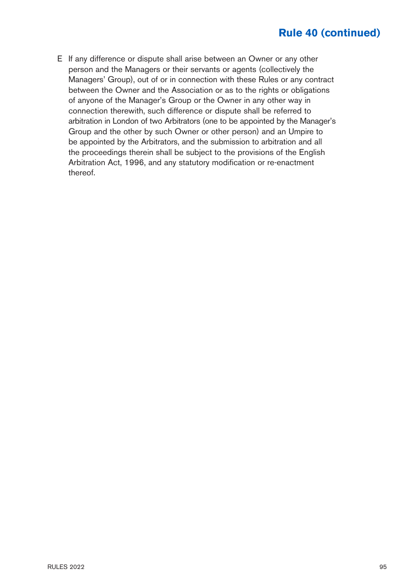E If any difference or dispute shall arise between an Owner or any other person and the Managers or their servants or agents (collectively the Managers' Group), out of or in connection with these Rules or any contract between the Owner and the Association or as to the rights or obligations of anyone of the Manager's Group or the Owner in any other way in connection therewith, such difference or dispute shall be referred to arbitration in London of two Arbitrators (one to be appointed by the Manager's Group and the other by such Owner or other person) and an Umpire to be appointed by the Arbitrators, and the submission to arbitration and all the proceedings therein shall be subject to the provisions of the English Arbitration Act, 1996, and any statutory modification or re-enactment thereof.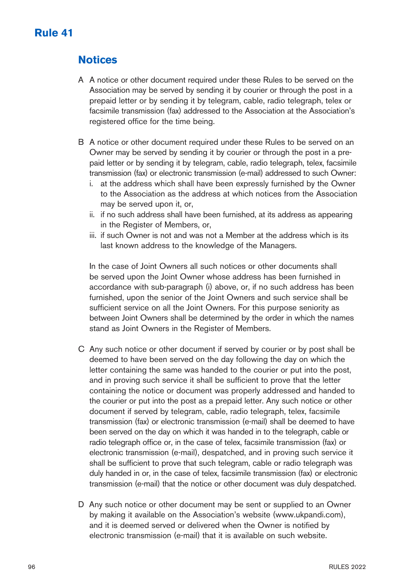## **Notices**

- A A notice or other document required under these Rules to be served on the Association may be served by sending it by courier or through the post in a prepaid letter or by sending it by telegram, cable, radio telegraph, telex or facsimile transmission (fax) addressed to the Association at the Association's registered office for the time being.
- B A notice or other document required under these Rules to be served on an Owner may be served by sending it by courier or through the post in a prepaid letter or by sending it by telegram, cable, radio telegraph, telex, facsimile transmission (fax) or electronic transmission (e-mail) addressed to such Owner:
	- i. at the address which shall have been expressly furnished by the Owner to the Association as the address at which notices from the Association may be served upon it, or,
	- ii. if no such address shall have been furnished, at its address as appearing in the Register of Members, or,
	- iii. if such Owner is not and was not a Member at the address which is its last known address to the knowledge of the Managers.

In the case of Joint Owners all such notices or other documents shall be served upon the Joint Owner whose address has been furnished in accordance with sub-paragraph (i) above, or, if no such address has been furnished, upon the senior of the Joint Owners and such service shall be sufficient service on all the Joint Owners. For this purpose seniority as between Joint Owners shall be determined by the order in which the names stand as Joint Owners in the Register of Members.

- C Any such notice or other document if served by courier or by post shall be deemed to have been served on the day following the day on which the letter containing the same was handed to the courier or put into the post, and in proving such service it shall be sufficient to prove that the letter containing the notice or document was properly addressed and handed to the courier or put into the post as a prepaid letter. Any such notice or other document if served by telegram, cable, radio telegraph, telex, facsimile transmission (fax) or electronic transmission (e-mail) shall be deemed to have been served on the day on which it was handed in to the telegraph, cable or radio telegraph office or, in the case of telex, facsimile transmission (fax) or electronic transmission (e-mail), despatched, and in proving such service it shall be sufficient to prove that such telegram, cable or radio telegraph was duly handed in or, in the case of telex, facsimile transmission (fax) or electronic transmission (e-mail) that the notice or other document was duly despatched.
- D Any such notice or other document may be sent or supplied to an Owner by making it available on the Association's website (www.ukpandi.com), and it is deemed served or delivered when the Owner is notified by electronic transmission (e-mail) that it is available on such website.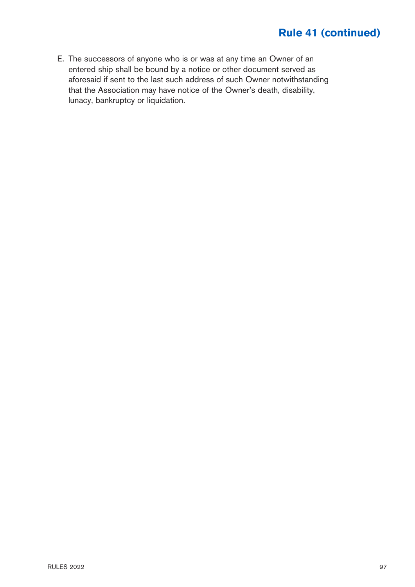E. The successors of anyone who is or was at any time an Owner of an entered ship shall be bound by a notice or other document served as aforesaid if sent to the last such address of such Owner notwithstanding that the Association may have notice of the Owner's death, disability, lunacy, bankruptcy or liquidation.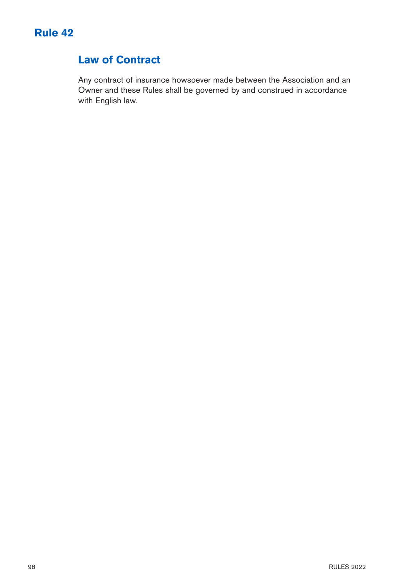

## **Law of Contract**

Any contract of insurance howsoever made between the Association and an Owner and these Rules shall be governed by and construed in accordance with English law.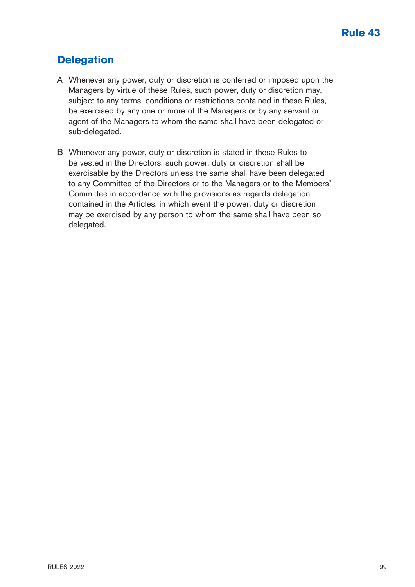## **Delegation**

- A Whenever any power, duty or discretion is conferred or imposed upon the Managers by virtue of these Rules, such power, duty or discretion may, subject to any terms, conditions or restrictions contained in these Rules, be exercised by any one or more of the Managers or by any servant or agent of the Managers to whom the same shall have been delegated or sub-delegated.
- B Whenever any power, duty or discretion is stated in these Rules to be vested in the Directors, such power, duty or discretion shall be exercisable by the Directors unless the same shall have been delegated to any Committee of the Directors or to the Managers or to the Members' Committee in accordance with the provisions as regards delegation contained in the Articles, in which event the power, duty or discretion may be exercised by any person to whom the same shall have been so delegated.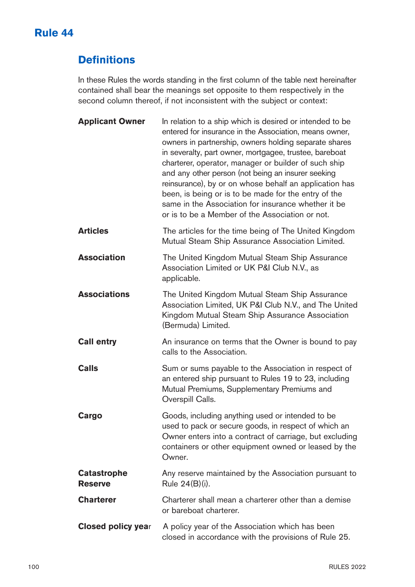## **Rule 44**

# **Definitions**

In these Rules the words standing in the first column of the table next hereinafter contained shall bear the meanings set opposite to them respectively in the second column thereof, if not inconsistent with the subject or context:

| <b>Applicant Owner</b>               | In relation to a ship which is desired or intended to be<br>entered for insurance in the Association, means owner,<br>owners in partnership, owners holding separate shares<br>in severalty, part owner, mortgagee, trustee, bareboat<br>charterer, operator, manager or builder of such ship<br>and any other person (not being an insurer seeking<br>reinsurance), by or on whose behalf an application has<br>been, is being or is to be made for the entry of the<br>same in the Association for insurance whether it be<br>or is to be a Member of the Association or not. |
|--------------------------------------|---------------------------------------------------------------------------------------------------------------------------------------------------------------------------------------------------------------------------------------------------------------------------------------------------------------------------------------------------------------------------------------------------------------------------------------------------------------------------------------------------------------------------------------------------------------------------------|
| <b>Articles</b>                      | The articles for the time being of The United Kingdom<br>Mutual Steam Ship Assurance Association Limited.                                                                                                                                                                                                                                                                                                                                                                                                                                                                       |
| <b>Association</b>                   | The United Kingdom Mutual Steam Ship Assurance<br>Association Limited or UK P&I Club N.V., as<br>applicable.                                                                                                                                                                                                                                                                                                                                                                                                                                                                    |
| <b>Associations</b>                  | The United Kingdom Mutual Steam Ship Assurance<br>Association Limited, UK P&I Club N.V., and The United<br>Kingdom Mutual Steam Ship Assurance Association<br>(Bermuda) Limited.                                                                                                                                                                                                                                                                                                                                                                                                |
| <b>Call entry</b>                    | An insurance on terms that the Owner is bound to pay<br>calls to the Association.                                                                                                                                                                                                                                                                                                                                                                                                                                                                                               |
| Calls                                | Sum or sums payable to the Association in respect of<br>an entered ship pursuant to Rules 19 to 23, including<br>Mutual Premiums, Supplementary Premiums and<br>Overspill Calls.                                                                                                                                                                                                                                                                                                                                                                                                |
| Cargo                                | Goods, including anything used or intended to be<br>used to pack or secure goods, in respect of which an<br>Owner enters into a contract of carriage, but excluding<br>containers or other equipment owned or leased by the<br>Owner.                                                                                                                                                                                                                                                                                                                                           |
| <b>Catastrophe</b><br><b>Reserve</b> | Any reserve maintained by the Association pursuant to<br>Rule 24(B)(i).                                                                                                                                                                                                                                                                                                                                                                                                                                                                                                         |
| <b>Charterer</b>                     | Charterer shall mean a charterer other than a demise<br>or bareboat charterer.                                                                                                                                                                                                                                                                                                                                                                                                                                                                                                  |
| <b>Closed policy year</b>            | A policy year of the Association which has been<br>closed in accordance with the provisions of Rule 25.                                                                                                                                                                                                                                                                                                                                                                                                                                                                         |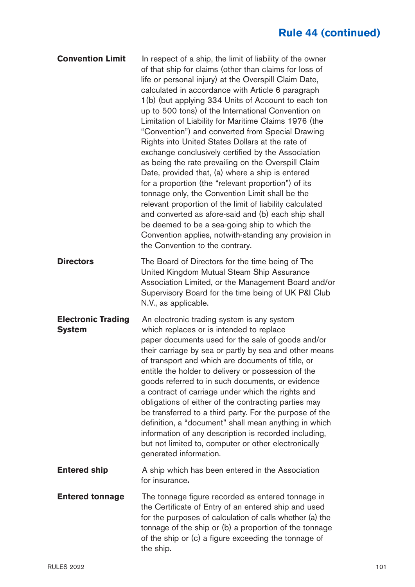| <b>Convention Limit</b>                    | In respect of a ship, the limit of liability of the owner<br>of that ship for claims (other than claims for loss of<br>life or personal injury) at the Overspill Claim Date,<br>calculated in accordance with Article 6 paragraph<br>1(b) (but applying 334 Units of Account to each ton<br>up to 500 tons) of the International Convention on<br>Limitation of Liability for Maritime Claims 1976 (the<br>"Convention") and converted from Special Drawing<br>Rights into United States Dollars at the rate of<br>exchange conclusively certified by the Association<br>as being the rate prevailing on the Overspill Claim<br>Date, provided that, (a) where a ship is entered<br>for a proportion (the "relevant proportion") of its<br>tonnage only, the Convention Limit shall be the<br>relevant proportion of the limit of liability calculated<br>and converted as afore-said and (b) each ship shall<br>be deemed to be a sea-going ship to which the<br>Convention applies, notwith-standing any provision in<br>the Convention to the contrary. |
|--------------------------------------------|------------------------------------------------------------------------------------------------------------------------------------------------------------------------------------------------------------------------------------------------------------------------------------------------------------------------------------------------------------------------------------------------------------------------------------------------------------------------------------------------------------------------------------------------------------------------------------------------------------------------------------------------------------------------------------------------------------------------------------------------------------------------------------------------------------------------------------------------------------------------------------------------------------------------------------------------------------------------------------------------------------------------------------------------------------|
| <b>Directors</b>                           | The Board of Directors for the time being of The<br>United Kingdom Mutual Steam Ship Assurance<br>Association Limited, or the Management Board and/or<br>Supervisory Board for the time being of UK P&I Club<br>N.V., as applicable.                                                                                                                                                                                                                                                                                                                                                                                                                                                                                                                                                                                                                                                                                                                                                                                                                       |
| <b>Electronic Trading</b><br><b>System</b> | An electronic trading system is any system<br>which replaces or is intended to replace<br>paper documents used for the sale of goods and/or<br>their carriage by sea or partly by sea and other means<br>of transport and which are documents of title, or<br>entitle the holder to delivery or possession of the<br>goods referred to in such documents, or evidence<br>a contract of carriage under which the rights and<br>obligations of either of the contracting parties may<br>be transferred to a third party. For the purpose of the<br>definition, a "document" shall mean anything in which<br>information of any description is recorded including,<br>but not limited to, computer or other electronically<br>generated information.                                                                                                                                                                                                                                                                                                          |
| <b>Entered ship</b>                        | A ship which has been entered in the Association<br>for insurance.                                                                                                                                                                                                                                                                                                                                                                                                                                                                                                                                                                                                                                                                                                                                                                                                                                                                                                                                                                                         |
| <b>Entered tonnage</b>                     | The tonnage figure recorded as entered tonnage in<br>the Certificate of Entry of an entered ship and used<br>for the purposes of calculation of calls whether (a) the<br>tonnage of the ship or (b) a proportion of the tonnage<br>of the ship or (c) a figure exceeding the tonnage of<br>the ship.                                                                                                                                                                                                                                                                                                                                                                                                                                                                                                                                                                                                                                                                                                                                                       |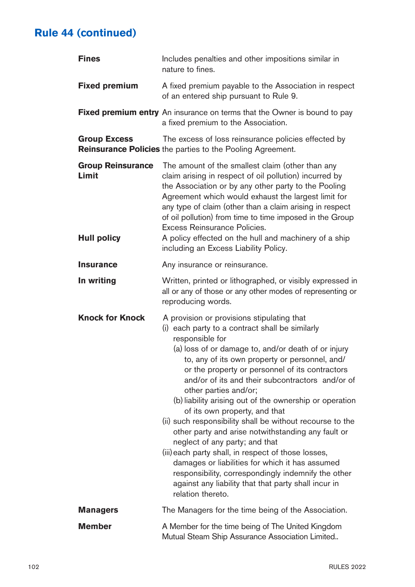| <b>Fines</b>                                            | Includes penalties and other impositions similar in<br>nature to fines.                                                                                                                                                                                                                                                                                                                                                                                                                                                                                                                                                                                                                                                                                                                                                                                  |  |
|---------------------------------------------------------|----------------------------------------------------------------------------------------------------------------------------------------------------------------------------------------------------------------------------------------------------------------------------------------------------------------------------------------------------------------------------------------------------------------------------------------------------------------------------------------------------------------------------------------------------------------------------------------------------------------------------------------------------------------------------------------------------------------------------------------------------------------------------------------------------------------------------------------------------------|--|
| <b>Fixed premium</b>                                    | A fixed premium payable to the Association in respect<br>of an entered ship pursuant to Rule 9.                                                                                                                                                                                                                                                                                                                                                                                                                                                                                                                                                                                                                                                                                                                                                          |  |
|                                                         | Fixed premium entry An insurance on terms that the Owner is bound to pay<br>a fixed premium to the Association.                                                                                                                                                                                                                                                                                                                                                                                                                                                                                                                                                                                                                                                                                                                                          |  |
| <b>Group Excess</b>                                     | The excess of loss reinsurance policies effected by<br>Reinsurance Policies the parties to the Pooling Agreement.                                                                                                                                                                                                                                                                                                                                                                                                                                                                                                                                                                                                                                                                                                                                        |  |
| <b>Group Reinsurance</b><br>Limit<br><b>Hull policy</b> | The amount of the smallest claim (other than any<br>claim arising in respect of oil pollution) incurred by<br>the Association or by any other party to the Pooling<br>Agreement which would exhaust the largest limit for<br>any type of claim (other than a claim arising in respect<br>of oil pollution) from time to time imposed in the Group<br>Excess Reinsurance Policies.<br>A policy effected on the hull and machinery of a ship<br>including an Excess Liability Policy.                                                                                                                                                                                                                                                                                                                                                                      |  |
| <b>Insurance</b>                                        | Any insurance or reinsurance.                                                                                                                                                                                                                                                                                                                                                                                                                                                                                                                                                                                                                                                                                                                                                                                                                            |  |
| In writing                                              | Written, printed or lithographed, or visibly expressed in<br>all or any of those or any other modes of representing or<br>reproducing words.                                                                                                                                                                                                                                                                                                                                                                                                                                                                                                                                                                                                                                                                                                             |  |
| <b>Knock for Knock</b>                                  | A provision or provisions stipulating that<br>(i) each party to a contract shall be similarly<br>responsible for<br>(a) loss of or damage to, and/or death of or injury<br>to, any of its own property or personnel, and/<br>or the property or personnel of its contractors<br>and/or of its and their subcontractors and/or of<br>other parties and/or;<br>(b) liability arising out of the ownership or operation<br>of its own property, and that<br>(ii) such responsibility shall be without recourse to the<br>other party and arise notwithstanding any fault or<br>neglect of any party; and that<br>(iii) each party shall, in respect of those losses,<br>damages or liabilities for which it has assumed<br>responsibility, correspondingly indemnify the other<br>against any liability that that party shall incur in<br>relation thereto. |  |
| <b>Managers</b>                                         | The Managers for the time being of the Association.                                                                                                                                                                                                                                                                                                                                                                                                                                                                                                                                                                                                                                                                                                                                                                                                      |  |
| <b>Member</b>                                           | A Member for the time being of The United Kingdom<br>Mutual Steam Ship Assurance Association Limited                                                                                                                                                                                                                                                                                                                                                                                                                                                                                                                                                                                                                                                                                                                                                     |  |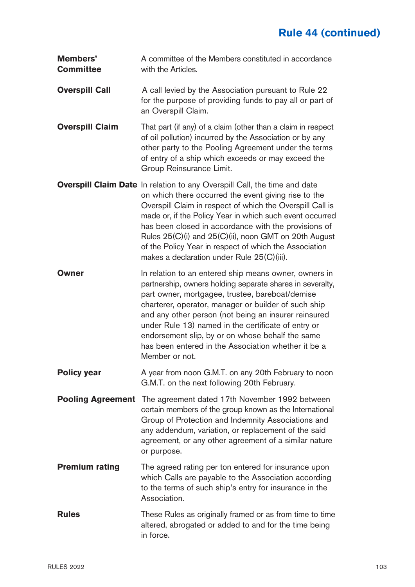| Members'<br><b>Committee</b> | A committee of the Members constituted in accordance<br>with the Articles.                                                                                                                                                                                                                                                                                                                                                                                                          |
|------------------------------|-------------------------------------------------------------------------------------------------------------------------------------------------------------------------------------------------------------------------------------------------------------------------------------------------------------------------------------------------------------------------------------------------------------------------------------------------------------------------------------|
| <b>Overspill Call</b>        | A call levied by the Association pursuant to Rule 22<br>for the purpose of providing funds to pay all or part of<br>an Overspill Claim.                                                                                                                                                                                                                                                                                                                                             |
| <b>Overspill Claim</b>       | That part (if any) of a claim (other than a claim in respect<br>of oil pollution) incurred by the Association or by any<br>other party to the Pooling Agreement under the terms<br>of entry of a ship which exceeds or may exceed the<br>Group Reinsurance Limit.                                                                                                                                                                                                                   |
|                              | Overspill Claim Date In relation to any Overspill Call, the time and date<br>on which there occurred the event giving rise to the<br>Overspill Claim in respect of which the Overspill Call is<br>made or, if the Policy Year in which such event occurred<br>has been closed in accordance with the provisions of<br>Rules 25(C)(i) and 25(C)(ii), noon GMT on 20th August<br>of the Policy Year in respect of which the Association<br>makes a declaration under Rule 25(C)(iii). |
| Owner                        | In relation to an entered ship means owner, owners in<br>partnership, owners holding separate shares in severalty,<br>part owner, mortgagee, trustee, bareboat/demise<br>charterer, operator, manager or builder of such ship<br>and any other person (not being an insurer reinsured<br>under Rule 13) named in the certificate of entry or<br>endorsement slip, by or on whose behalf the same<br>has been entered in the Association whether it be a<br>Member or not.           |
| <b>Policy year</b>           | A year from noon G.M.T. on any 20th February to noon<br>G.M.T. on the next following 20th February.                                                                                                                                                                                                                                                                                                                                                                                 |
| <b>Pooling Agreement</b>     | The agreement dated 17th November 1992 between<br>certain members of the group known as the International<br>Group of Protection and Indemnity Associations and<br>any addendum, variation, or replacement of the said<br>agreement, or any other agreement of a similar nature<br>or purpose.                                                                                                                                                                                      |
| <b>Premium rating</b>        | The agreed rating per ton entered for insurance upon<br>which Calls are payable to the Association according<br>to the terms of such ship's entry for insurance in the<br>Association.                                                                                                                                                                                                                                                                                              |
| Rules                        | These Rules as originally framed or as from time to time<br>altered, abrogated or added to and for the time being<br>in force.                                                                                                                                                                                                                                                                                                                                                      |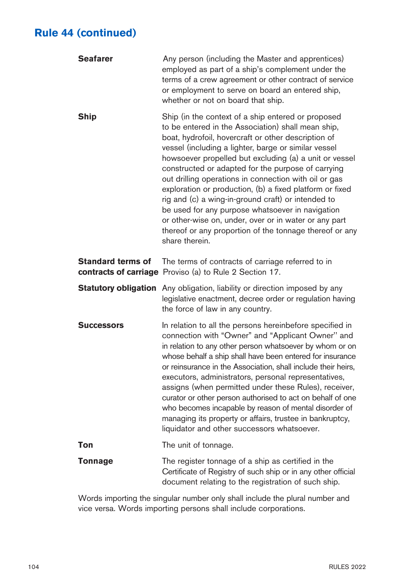| <b>Seafarer</b>   | Any person (including the Master and apprentices)<br>employed as part of a ship's complement under the<br>terms of a crew agreement or other contract of service<br>or employment to serve on board an entered ship,<br>whether or not on board that ship.                                                                                                                                                                                                                                                                                                                                                                                                                                                   |
|-------------------|--------------------------------------------------------------------------------------------------------------------------------------------------------------------------------------------------------------------------------------------------------------------------------------------------------------------------------------------------------------------------------------------------------------------------------------------------------------------------------------------------------------------------------------------------------------------------------------------------------------------------------------------------------------------------------------------------------------|
| Ship              | Ship (in the context of a ship entered or proposed<br>to be entered in the Association) shall mean ship,<br>boat, hydrofoil, hovercraft or other description of<br>vessel (including a lighter, barge or similar vessel<br>howsoever propelled but excluding (a) a unit or vessel<br>constructed or adapted for the purpose of carrying<br>out drilling operations in connection with oil or gas<br>exploration or production, (b) a fixed platform or fixed<br>rig and (c) a wing-in-ground craft) or intended to<br>be used for any purpose whatsoever in navigation<br>or other-wise on, under, over or in water or any part<br>thereof or any proportion of the tonnage thereof or any<br>share therein. |
| Standard terms of | The terms of contracts of carriage referred to in<br>contracts of carriage Proviso (a) to Rule 2 Section 17.                                                                                                                                                                                                                                                                                                                                                                                                                                                                                                                                                                                                 |
|                   | <b>Statutory obligation</b> Any obligation, liability or direction imposed by any<br>legislative enactment, decree order or regulation having<br>the force of law in any country.                                                                                                                                                                                                                                                                                                                                                                                                                                                                                                                            |
| <b>Successors</b> | In relation to all the persons hereinbefore specified in<br>connection with "Owner" and "Applicant Owner" and<br>in relation to any other person whatsoever by whom or on<br>whose behalf a ship shall have been entered for insurance<br>or reinsurance in the Association, shall include their heirs,<br>executors, administrators, personal representatives,<br>assigns (when permitted under these Rules), receiver,<br>curator or other person authorised to act on behalf of one<br>who becomes incapable by reason of mental disorder of<br>managing its property or affairs, trustee in bankruptcy,<br>liquidator and other successors whatsoever.                                                   |
| Ton               | The unit of tonnage.                                                                                                                                                                                                                                                                                                                                                                                                                                                                                                                                                                                                                                                                                         |
| Tonnage           | The register tonnage of a ship as certified in the<br>Certificate of Registry of such ship or in any other official<br>document relating to the registration of such ship.                                                                                                                                                                                                                                                                                                                                                                                                                                                                                                                                   |

Words importing the singular number only shall include the plural number and vice versa. Words importing persons shall include corporations.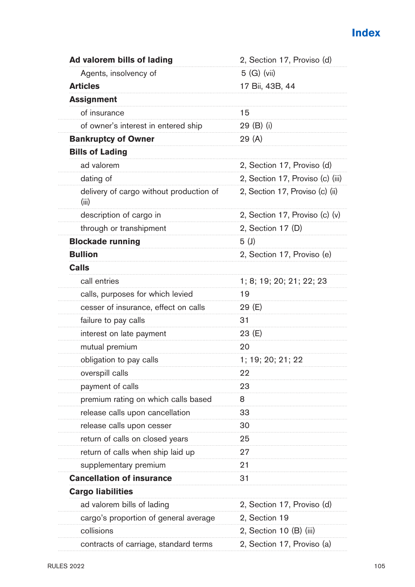| Ad valorem bills of lading                       | 2, Section 17, Proviso (d)       |
|--------------------------------------------------|----------------------------------|
| Agents, insolvency of                            | $5$ (G) (vii)                    |
| <b>Articles</b>                                  | 17 Bii, 43B, 44                  |
| <b>Assignment</b>                                |                                  |
| of insurance                                     | 15                               |
| of owner's interest in entered ship              | 29 (B) (i)                       |
| <b>Bankruptcy of Owner</b>                       | 29 (A)                           |
| <b>Bills of Lading</b>                           |                                  |
| ad valorem                                       | 2, Section 17, Proviso (d)       |
| dating of                                        | 2, Section 17, Proviso (c) (iii) |
| delivery of cargo without production of<br>(iii) | 2, Section 17, Proviso (c) (ii)  |
| description of cargo in                          | 2, Section 17, Proviso (c) (v)   |
| through or transhipment                          | 2, Section 17 (D)                |
| <b>Blockade running</b>                          | 5(J)                             |
| <b>Bullion</b>                                   | 2, Section 17, Proviso (e)       |
| <b>Calls</b>                                     |                                  |
| call entries                                     | 1; 8; 19; 20; 21; 22; 23         |
| calls, purposes for which levied                 | 19                               |
| cesser of insurance, effect on calls             | 29 (E)                           |
| failure to pay calls                             | 31                               |
| interest on late payment                         | 23 (E)                           |
| mutual premium                                   | 20                               |
| obligation to pay calls                          | 1; 19; 20; 21; 22                |
| overspill calls                                  | 22                               |
| payment of calls                                 | 23                               |
| premium rating on which calls based              | 8                                |
| release calls upon cancellation                  | 33                               |
| release calls upon cesser                        | 30                               |
| return of calls on closed years                  | 25                               |
| return of calls when ship laid up                | 27                               |
| supplementary premium                            | 21                               |
| <b>Cancellation of insurance</b>                 | 31                               |
| <b>Cargo liabilities</b>                         |                                  |
| ad valorem bills of lading                       | 2, Section 17, Proviso (d)       |
| cargo's proportion of general average            | 2, Section 19                    |
| collisions                                       | 2, Section 10 (B) (iii)          |
| contracts of carriage, standard terms            | 2, Section 17, Proviso (a)       |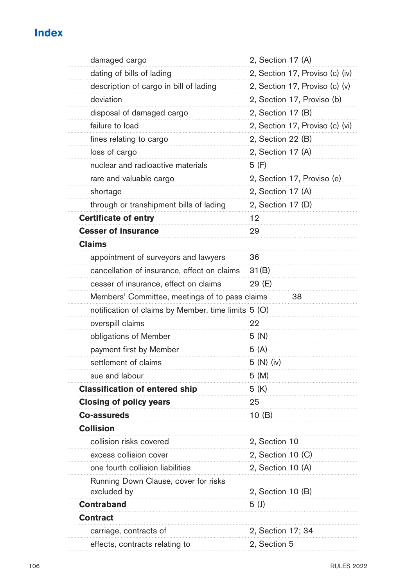## **Index**

| damaged cargo                                       | 2, Section 17 (A)               |
|-----------------------------------------------------|---------------------------------|
| dating of bills of lading                           | 2, Section 17, Proviso (c) (iv) |
| description of cargo in bill of lading              | 2, Section 17, Proviso (c) (v)  |
| deviation                                           | 2, Section 17, Proviso (b)      |
| disposal of damaged cargo                           | 2, Section 17 (B)               |
| failure to load                                     | 2, Section 17, Proviso (c) (vi) |
| fines relating to cargo                             | 2, Section 22 (B)               |
| loss of cargo                                       | 2, Section 17 (A)               |
| nuclear and radioactive materials                   | 5 (F)                           |
| rare and valuable cargo                             | 2, Section 17, Proviso (e)      |
| shortage                                            | 2, Section 17 (A)               |
| through or transhipment bills of lading             | 2, Section 17 (D)               |
| <b>Certificate of entry</b>                         | 12                              |
| <b>Cesser of insurance</b>                          | 29                              |
| <b>Claims</b>                                       |                                 |
| appointment of surveyors and lawyers                | 36                              |
| cancellation of insurance, effect on claims         | 31(B)                           |
| cesser of insurance, effect on claims               | 29 (E)                          |
| Members' Committee, meetings of to pass claims      | 38                              |
| notification of claims by Member, time limits 5 (O) |                                 |
| overspill claims                                    | 22                              |
| obligations of Member                               | 5 (N)                           |
| payment first by Member                             | 5(A)                            |
| settlement of claims                                | 5(N)(iv)                        |
| sue and labour                                      | 5 (M)                           |
| <b>Classification of entered ship</b>               | 5 (K)                           |
| <b>Closing of policy years</b>                      | 25                              |
| Co-assureds                                         | 10 (B)                          |
| Collision                                           |                                 |
| collision risks covered                             | 2, Section 10                   |
| excess collision cover                              | 2, Section 10 (C)               |
| one fourth collision liabilities                    | 2, Section 10 (A)               |
| Running Down Clause, cover for risks<br>excluded by | 2, Section 10 (B)               |
| Contraband                                          | 5 <sup>(J)</sup>                |
| <b>Contract</b>                                     |                                 |
| carriage, contracts of                              | 2, Section 17; 34               |
| effects, contracts relating to                      | 2, Section 5                    |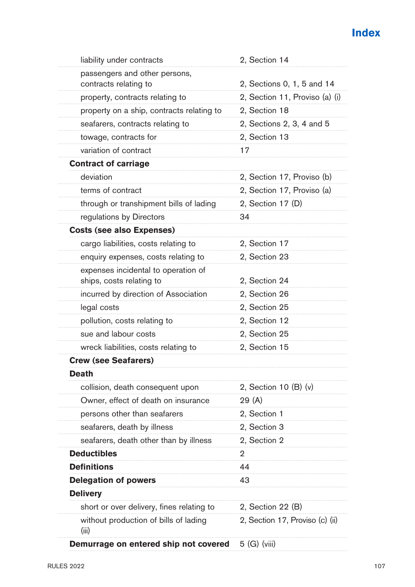# **Index**

| 2, Sections 0, 1, 5 and 14<br>2, Section 11, Proviso (a) (i)<br>2, Section 18<br>2, Sections 2, 3, 4 and 5<br>2, Section 13<br>17<br>2, Section 17, Proviso (b)<br>2, Section 17, Proviso (a) |
|-----------------------------------------------------------------------------------------------------------------------------------------------------------------------------------------------|
|                                                                                                                                                                                               |
|                                                                                                                                                                                               |
|                                                                                                                                                                                               |
|                                                                                                                                                                                               |
|                                                                                                                                                                                               |
|                                                                                                                                                                                               |
|                                                                                                                                                                                               |
|                                                                                                                                                                                               |
|                                                                                                                                                                                               |
|                                                                                                                                                                                               |
| 2, Section 17 (D)                                                                                                                                                                             |
| 34                                                                                                                                                                                            |
|                                                                                                                                                                                               |
| 2, Section 17                                                                                                                                                                                 |
| 2, Section 23                                                                                                                                                                                 |
|                                                                                                                                                                                               |
| 2, Section 24                                                                                                                                                                                 |
| 2. Section 26                                                                                                                                                                                 |
| 2, Section 25                                                                                                                                                                                 |
| 2, Section 12                                                                                                                                                                                 |
| 2, Section 25                                                                                                                                                                                 |
| 2, Section 15                                                                                                                                                                                 |
|                                                                                                                                                                                               |
|                                                                                                                                                                                               |
| 2, Section 10 (B) (v)                                                                                                                                                                         |
| 29 (A)                                                                                                                                                                                        |
| 2, Section 1                                                                                                                                                                                  |
| 2, Section 3                                                                                                                                                                                  |
| 2, Section 2                                                                                                                                                                                  |
| 2                                                                                                                                                                                             |
| 44                                                                                                                                                                                            |
| 43                                                                                                                                                                                            |
|                                                                                                                                                                                               |
| 2, Section 22 (B)                                                                                                                                                                             |
| 2, Section 17, Proviso (c) (ii)                                                                                                                                                               |
| 5 (G) (viii)                                                                                                                                                                                  |
|                                                                                                                                                                                               |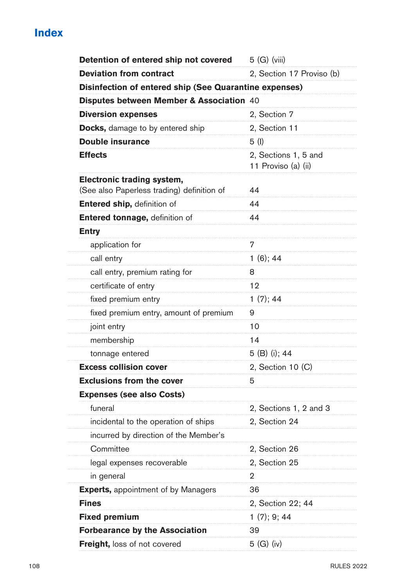## **Index**

| Detention of entered ship not covered                                    | 5 (G) (viii)                                |
|--------------------------------------------------------------------------|---------------------------------------------|
| <b>Deviation from contract</b>                                           | 2, Section 17 Proviso (b)                   |
| Disinfection of entered ship (See Quarantine expenses)                   |                                             |
| Disputes between Member & Association 40                                 |                                             |
| <b>Diversion expenses</b>                                                | 2, Section 7                                |
| Docks, damage to by entered ship                                         | 2, Section 11                               |
| Double insurance                                                         | 5 (I)                                       |
| <b>Effects</b>                                                           | 2, Sections 1, 5 and<br>11 Proviso (a) (ii) |
| Electronic trading system,<br>(See also Paperless trading) definition of | 44                                          |
| Entered ship, definition of                                              | 44                                          |
| Entered tonnage, definition of                                           | 44                                          |
| <b>Entry</b>                                                             |                                             |
| application for                                                          | 7                                           |
| call entry                                                               | $1(6)$ ; 44                                 |
| call entry, premium rating for                                           | 8                                           |
| certificate of entry                                                     | 12                                          |
| fixed premium entry                                                      | 1(7); 44                                    |
| fixed premium entry, amount of premium                                   | 9                                           |
| joint entry                                                              | 10                                          |
| membership                                                               | 14                                          |
| tonnage entered                                                          | 5 (B) (i); 44                               |
| <b>Excess collision cover</b>                                            | 2, Section 10 (C)                           |
| <b>Exclusions from the cover</b>                                         | 5                                           |
| <b>Expenses (see also Costs)</b>                                         |                                             |
| funeral                                                                  | 2, Sections 1, 2 and 3                      |
| incidental to the operation of ships                                     | 2, Section 24                               |
| incurred by direction of the Member's                                    |                                             |
| Committee                                                                | 2, Section 26                               |
| legal expenses recoverable                                               | 2, Section 25                               |
| in general                                                               | 2                                           |
| <b>Experts, appointment of by Managers</b>                               | 36                                          |
| <b>Fines</b>                                                             | 2, Section 22; 44                           |
| <b>Fixed premium</b>                                                     | 1(7); 9; 44                                 |
| <b>Forbearance by the Association</b>                                    | 39                                          |
| Freight, loss of not covered                                             | 5 (G) (iv)                                  |
|                                                                          |                                             |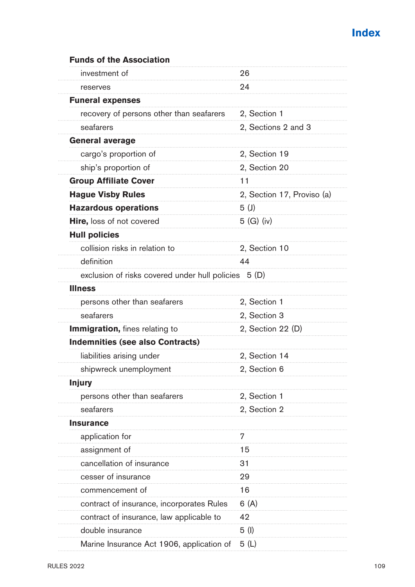| <b>Funds of the Association</b>                      |                            |
|------------------------------------------------------|----------------------------|
| investment of                                        | 26                         |
| reserves                                             | 24                         |
| <b>Funeral expenses</b>                              |                            |
| recovery of persons other than seafarers             | 2, Section 1               |
| seafarers                                            | 2, Sections 2 and 3        |
| General average                                      |                            |
| cargo's proportion of                                | 2, Section 19              |
| ship's proportion of                                 | 2, Section 20              |
| <b>Group Affiliate Cover</b>                         | 11                         |
| <b>Hague Visby Rules</b>                             | 2, Section 17, Proviso (a) |
| <b>Hazardous operations</b>                          | 5(1)                       |
| <b>Hire, loss of not covered</b>                     | 5 (G) (iv)                 |
| <b>Hull policies</b>                                 |                            |
| collision risks in relation to                       | 2, Section 10              |
| definition                                           | 44                         |
| exclusion of risks covered under hull policies 5 (D) |                            |
| Illness                                              |                            |
| persons other than seafarers                         | 2, Section 1               |
| seafarers                                            | 2, Section 3               |
| <b>Immigration, fines relating to</b>                | 2, Section 22 (D)          |
| <b>Indemnities (see also Contracts)</b>              |                            |
| liabilities arising under                            | 2, Section 14              |
| shipwreck unemployment                               | 2, Section 6               |
| <b>Injury</b>                                        |                            |
| persons other than seafarers                         | 2, Section 1               |
| seafarers                                            | 2, Section 2               |
| <b>Insurance</b>                                     |                            |
| application for                                      | 7                          |
| assignment of                                        | 15                         |
| cancellation of insurance                            | 31                         |
| cesser of insurance                                  | 29                         |
| commencement of                                      | 16                         |
| contract of insurance, incorporates Rules            | 6(A)                       |
| contract of insurance, law applicable to             | 42                         |
| double insurance                                     | 5(1)                       |
| Marine Insurance Act 1906, application of            | 5 (L)                      |
|                                                      |                            |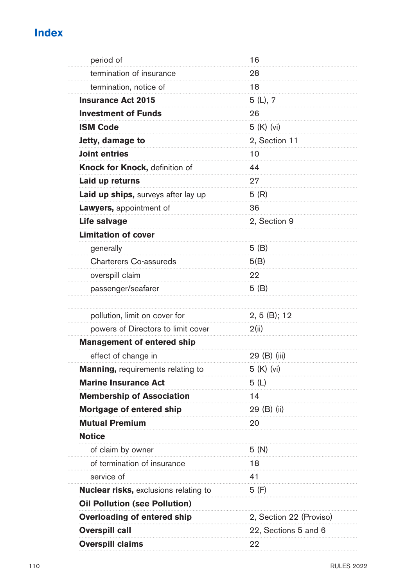| period of                                  | 16                      |
|--------------------------------------------|-------------------------|
| termination of insurance                   | 28                      |
| termination, notice of                     | 18                      |
| <b>Insurance Act 2015</b>                  | 5(L), 7                 |
| <b>Investment of Funds</b>                 | 26                      |
| <b>ISM Code</b>                            | 5 (K) (vi)              |
| Jetty, damage to                           | 2, Section 11           |
| <b>Joint entries</b>                       | 10                      |
| Knock for Knock, definition of             | 44                      |
| Laid up returns                            | 27                      |
| <b>Laid up ships, surveys after lay up</b> | 5(R)                    |
| <b>Lawyers, appointment of</b>             | 36                      |
| Life salvage                               | 2, Section 9            |
| <b>Limitation of cover</b>                 |                         |
| generally                                  | 5 (B)                   |
| Charterers Co-assureds                     | 5(B)                    |
| overspill claim                            | 22                      |
| passenger/seafarer                         | 5(B)                    |
|                                            |                         |
| pollution, limit on cover for              | $2, 5$ (B); 12          |
| powers of Directors to limit cover         | 2(ii)                   |
| <b>Management of entered ship</b>          |                         |
| effect of change in                        | 29 (B) (iii)            |
| <b>Manning, requirements relating to</b>   | 5 (K) (vi)              |
| <b>Marine Insurance Act</b>                | 5 (L)                   |
| <b>Membership of Association</b>           | 14                      |
| Mortgage of entered ship                   | 29 (B) (ii)             |
| <b>Mutual Premium</b>                      | 20                      |
| <b>Notice</b>                              |                         |
| of claim by owner                          | 5 (N)                   |
| of termination of insurance                | 18                      |
| service of                                 | 41                      |
| Nuclear risks, exclusions relating to      | 5 (F)                   |
| <b>Oil Pollution (see Pollution)</b>       |                         |
| Overloading of entered ship                | 2, Section 22 (Proviso) |
| <b>Overspill call</b>                      | 22, Sections 5 and 6    |
| <b>Overspill claims</b>                    | 22                      |
|                                            |                         |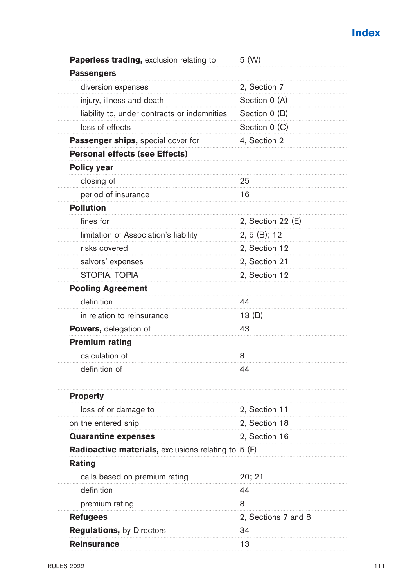| Paperless trading, exclusion relating to            | 5 (W)               |
|-----------------------------------------------------|---------------------|
| <b>Passengers</b>                                   |                     |
| diversion expenses                                  | 2, Section 7        |
| injury, illness and death                           | Section 0 (A)       |
| liability to, under contracts or indemnities        | Section 0 (B)       |
| loss of effects                                     | Section 0 (C)       |
| <b>Passenger ships, special cover for</b>           | 4, Section 2        |
| <b>Personal effects (see Effects)</b>               |                     |
| <b>Policy year</b>                                  |                     |
| closing of                                          | 25                  |
| period of insurance                                 | 16                  |
| <b>Pollution</b>                                    |                     |
| fines for                                           | 2, Section 22 (E)   |
| limitation of Association's liability               | 2, 5(B); 12         |
| risks covered                                       | 2, Section 12       |
| salvors' expenses                                   | 2, Section 21       |
| STOPIA, TOPIA                                       | 2, Section 12       |
| <b>Pooling Agreement</b>                            |                     |
| definition                                          | 44                  |
| in relation to reinsurance                          | 13 (B)              |
| <b>Powers, delegation of</b>                        | 43                  |
| <b>Premium rating</b>                               |                     |
| calculation of                                      | 8                   |
| definition of                                       | 44                  |
|                                                     |                     |
| <b>Property</b>                                     |                     |
| loss of or damage to                                | 2, Section 11       |
| on the entered ship                                 | 2, Section 18       |
| <b>Quarantine expenses</b>                          | 2, Section 16       |
| Radioactive materials, exclusions relating to 5 (F) |                     |
| Rating                                              |                     |
| calls based on premium rating                       | 20; 21              |
| definition                                          | 44                  |
| premium rating                                      | 8                   |
| <b>Refugees</b>                                     | 2, Sections 7 and 8 |
| <b>Regulations, by Directors</b>                    | 34                  |
| <b>Reinsurance</b>                                  | 13                  |
|                                                     |                     |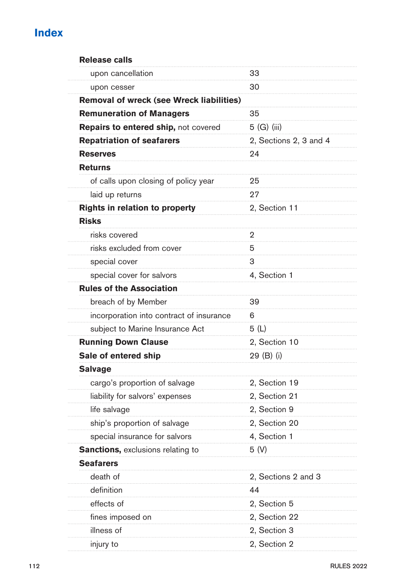| <b>Release calls</b>                     |                        |
|------------------------------------------|------------------------|
| upon cancellation                        | 33                     |
| upon cesser                              | 30                     |
| Removal of wreck (see Wreck liabilities) |                        |
| <b>Remuneration of Managers</b>          | 35                     |
| Repairs to entered ship, not covered     | 5 (G) (iii)            |
| <b>Repatriation of seafarers</b>         | 2, Sections 2, 3 and 4 |
| <b>Reserves</b>                          | 24                     |
| <b>Returns</b>                           |                        |
| of calls upon closing of policy year     | 25                     |
| laid up returns                          | 27                     |
| Rights in relation to property           | 2, Section 11          |
| <b>Risks</b>                             |                        |
| risks covered                            | 2                      |
| risks excluded from cover                | 5                      |
| special cover                            | 3                      |
| special cover for salvors                | 4, Section 1           |
| <b>Rules of the Association</b>          |                        |
| breach of by Member                      | 39                     |
| incorporation into contract of insurance | 6                      |
| subject to Marine Insurance Act          | 5 (L)                  |
| <b>Running Down Clause</b>               | 2, Section 10          |
| Sale of entered ship                     | 29 (B) (i)             |
| <b>Salvage</b>                           |                        |
| cargo's proportion of salvage            | 2, Section 19          |
| liability for salvors' expenses          | 2, Section 21          |
| life salvage                             | 2, Section 9           |
| ship's proportion of salvage             | 2, Section 20          |
| special insurance for salvors            | 4, Section 1           |
| <b>Sanctions, exclusions relating to</b> | 5 (V)                  |
| <b>Seafarers</b>                         |                        |
| death of                                 | 2, Sections 2 and 3    |
| definition                               | 44                     |
| effects of                               | 2, Section 5           |
| fines imposed on                         | 2, Section 22          |
| illness of                               | 2, Section 3           |
| injury to                                | 2, Section 2           |
|                                          |                        |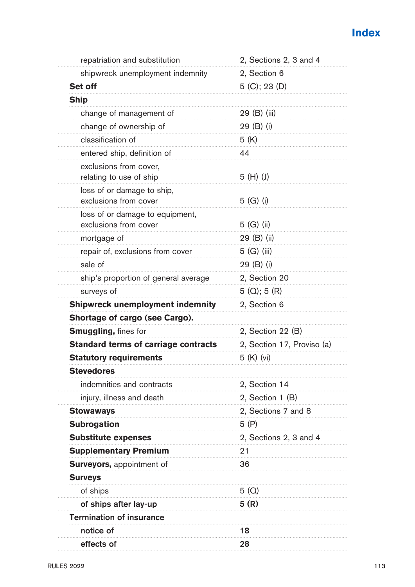| repatriation and substitution                            | 2, Sections 2, 3 and 4     |
|----------------------------------------------------------|----------------------------|
| shipwreck unemployment indemnity                         | 2, Section 6               |
| Set off                                                  | 5 (C); 23 (D)              |
| <b>Ship</b>                                              |                            |
| change of management of                                  | 29 (B) (iii)               |
| change of ownership of                                   | 29 (B) (i)                 |
| classification of                                        | 5 (K)                      |
| entered ship, definition of                              | 44                         |
| exclusions from cover,<br>relating to use of ship        | $5(H)$ (J)                 |
| loss of or damage to ship,<br>exclusions from cover      | 5 (G) (i)                  |
| loss of or damage to equipment,<br>exclusions from cover | 5 (G) (ii)                 |
| mortgage of                                              | 29 (B) (ii)                |
| repair of, exclusions from cover                         | 5 (G) (iii)                |
| sale of                                                  | 29 (B) (i)                 |
| ship's proportion of general average                     | 2, Section 20              |
| surveys of                                               | $5(Q)$ ; 5 $(R)$           |
| <b>Shipwreck unemployment indemnity</b>                  | 2, Section 6               |
| Shortage of cargo (see Cargo).                           |                            |
| Smuggling, fines for                                     | 2, Section 22 (B)          |
| <b>Standard terms of carriage contracts</b>              | 2, Section 17, Proviso (a) |
| <b>Statutory requirements</b>                            | 5 (K) (vi)                 |
| <b>Stevedores</b>                                        |                            |
| indemnities and contracts                                | 2, Section 14              |
| injury, illness and death                                | 2, Section 1 (B)           |
| <b>Stowaways</b>                                         | 2, Sections 7 and 8        |
| <b>Subrogation</b>                                       | 5 (P)                      |
| <b>Substitute expenses</b>                               | 2, Sections 2, 3 and 4     |
| <b>Supplementary Premium</b>                             | 21                         |
| <b>Surveyors, appointment of</b>                         | 36                         |
| <b>Surveys</b>                                           |                            |
| of ships                                                 | 5(Q)                       |
| of ships after lay-up                                    | 5(R)                       |
| <b>Termination of insurance</b>                          |                            |
| notice of                                                | 18                         |
| effects of                                               | 28                         |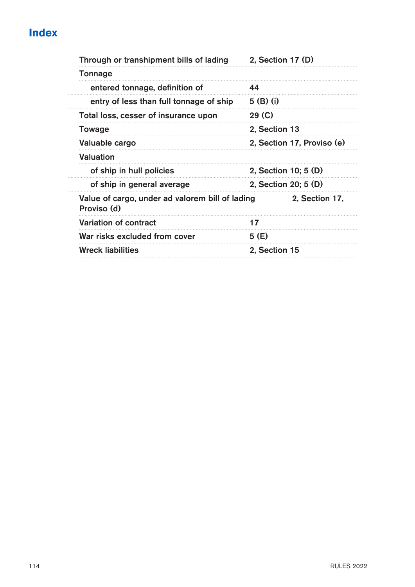| Through or transhipment bills of lading                        | 2, Section 17 (D)          |
|----------------------------------------------------------------|----------------------------|
| Tonnage                                                        |                            |
| entered tonnage, definition of                                 | 44                         |
| entry of less than full tonnage of ship                        | $5$ (B) (i)                |
| Total loss, cesser of insurance upon                           | 29 <sub>(C)</sub>          |
| Towage                                                         | 2, Section 13              |
| Valuable cargo                                                 | 2, Section 17, Proviso (e) |
| Valuation                                                      |                            |
| of ship in hull policies                                       | 2, Section 10; 5 (D)       |
| of ship in general average                                     | 2, Section 20; 5 (D)       |
| Value of cargo, under ad valorem bill of lading<br>Proviso (d) | 2, Section 17,             |
| Variation of contract                                          | 17                         |
| War risks excluded from cover                                  | 5 (E)                      |
| <b>Wreck liabilities</b>                                       | 2, Section 15              |
|                                                                |                            |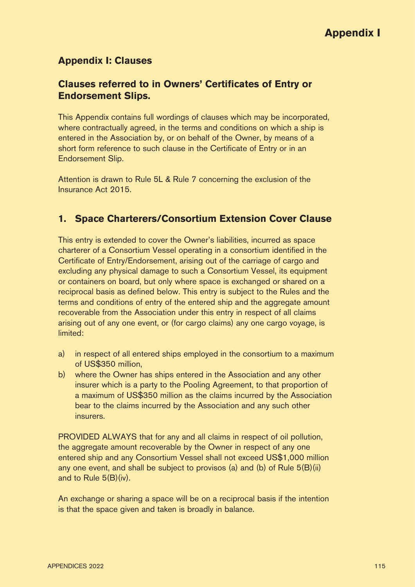### **Appendix I: Clauses**

### **Clauses referred to in Owners' Certificates of Entry or Endorsement Slips.**

This Appendix contains full wordings of clauses which may be incorporated, where contractually agreed, in the terms and conditions on which a ship is entered in the Association by, or on behalf of the Owner, by means of a short form reference to such clause in the Certificate of Entry or in an Endorsement Slip.

Attention is drawn to Rule 5L & Rule 7 concerning the exclusion of the Insurance Act 2015.

### **1. Space Charterers/Consortium Extension Cover Clause**

This entry is extended to cover the Owner's liabilities, incurred as space charterer of a Consortium Vessel operating in a consortium identified in the Certificate of Entry/Endorsement, arising out of the carriage of cargo and excluding any physical damage to such a Consortium Vessel, its equipment or containers on board, but only where space is exchanged or shared on a reciprocal basis as defined below. This entry is subject to the Rules and the terms and conditions of entry of the entered ship and the aggregate amount recoverable from the Association under this entry in respect of all claims arising out of any one event, or (for cargo claims) any one cargo voyage, is limited:

- a) in respect of all entered ships employed in the consortium to a maximum of US\$350 million,
- b) where the Owner has ships entered in the Association and any other insurer which is a party to the Pooling Agreement, to that proportion of a maximum of US\$350 million as the claims incurred by the Association bear to the claims incurred by the Association and any such other insurers.

PROVIDED ALWAYS that for any and all claims in respect of oil pollution, the aggregate amount recoverable by the Owner in respect of any one entered ship and any Consortium Vessel shall not exceed US\$1,000 million any one event, and shall be subject to provisos (a) and (b) of Rule 5(B)(ii) and to Rule 5(B)(iv).

An exchange or sharing a space will be on a reciprocal basis if the intention is that the space given and taken is broadly in balance.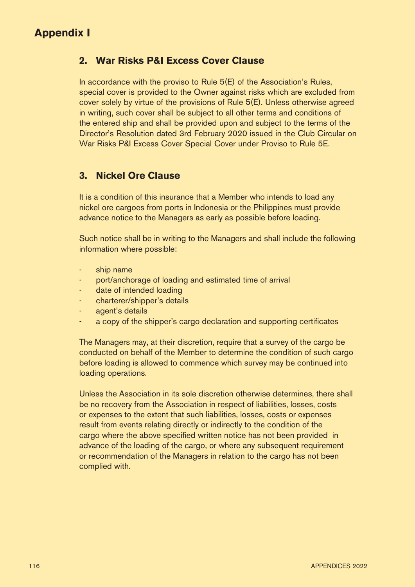### **2. War Risks P&I Excess Cover Clause**

In accordance with the proviso to Rule 5(E) of the Association's Rules, special cover is provided to the Owner against risks which are excluded from cover solely by virtue of the provisions of Rule 5(E). Unless otherwise agreed in writing, such cover shall be subject to all other terms and conditions of the entered ship and shall be provided upon and subject to the terms of the Director's Resolution dated 3rd February 2020 issued in the Club Circular on War Risks P&I Excess Cover Special Cover under Proviso to Rule 5E.

### **3. Nickel Ore Clause**

It is a condition of this insurance that a Member who intends to load any nickel ore cargoes from ports in Indonesia or the Philippines must provide advance notice to the Managers as early as possible before loading.

Such notice shall be in writing to the Managers and shall include the following information where possible:

- ship name
- port/anchorage of loading and estimated time of arrival
- date of intended loading
- charterer/shipper's details
- agent's details
- a copy of the shipper's cargo declaration and supporting certificates

The Managers may, at their discretion, require that a survey of the cargo be conducted on behalf of the Member to determine the condition of such cargo before loading is allowed to commence which survey may be continued into loading operations.

Unless the Association in its sole discretion otherwise determines, there shall be no recovery from the Association in respect of liabilities, losses, costs or expenses to the extent that such liabilities, losses, costs or expenses result from events relating directly or indirectly to the condition of the cargo where the above specified written notice has not been provided in advance of the loading of the cargo, or where any subsequent requirement or recommendation of the Managers in relation to the cargo has not been complied with.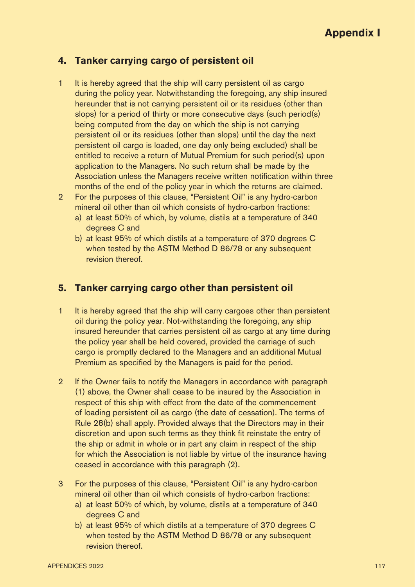### **4. Tanker carrying cargo of persistent oil**

- 1 It is hereby agreed that the ship will carry persistent oil as cargo during the policy year. Notwithstanding the foregoing, any ship insured hereunder that is not carrying persistent oil or its residues (other than slops) for a period of thirty or more consecutive days (such period(s) being computed from the day on which the ship is not carrying persistent oil or its residues (other than slops) until the day the next persistent oil cargo is loaded, one day only being excluded) shall be entitled to receive a return of Mutual Premium for such period(s) upon application to the Managers. No such return shall be made by the Association unless the Managers receive written notification within three months of the end of the policy year in which the returns are claimed.
- 2 For the purposes of this clause, "Persistent Oil" is any hydro-carbon mineral oil other than oil which consists of hydro-carbon fractions:
	- a) at least 50% of which, by volume, distils at a temperature of 340 degrees C and
	- b) at least 95% of which distils at a temperature of 370 degrees C when tested by the ASTM Method D 86/78 or any subsequent revision thereof.

### **5. Tanker carrying cargo other than persistent oil**

- 1 It is hereby agreed that the ship will carry cargoes other than persistent oil during the policy year. Not-withstanding the foregoing, any ship insured hereunder that carries persistent oil as cargo at any time during the policy year shall be held covered, provided the carriage of such cargo is promptly declared to the Managers and an additional Mutual Premium as specified by the Managers is paid for the period.
- 2 If the Owner fails to notify the Managers in accordance with paragraph (1) above, the Owner shall cease to be insured by the Association in respect of this ship with effect from the date of the commencement of loading persistent oil as cargo (the date of cessation). The terms of Rule 28(b) shall apply. Provided always that the Directors may in their discretion and upon such terms as they think fit reinstate the entry of the ship or admit in whole or in part any claim in respect of the ship for which the Association is not liable by virtue of the insurance having ceased in accordance with this paragraph (2).
- 3 For the purposes of this clause, "Persistent Oil" is any hydro-carbon mineral oil other than oil which consists of hydro-carbon fractions:
	- a) at least 50% of which, by volume, distils at a temperature of 340 degrees C and
	- b) at least 95% of which distils at a temperature of 370 degrees C when tested by the ASTM Method D 86/78 or any subsequent revision thereof.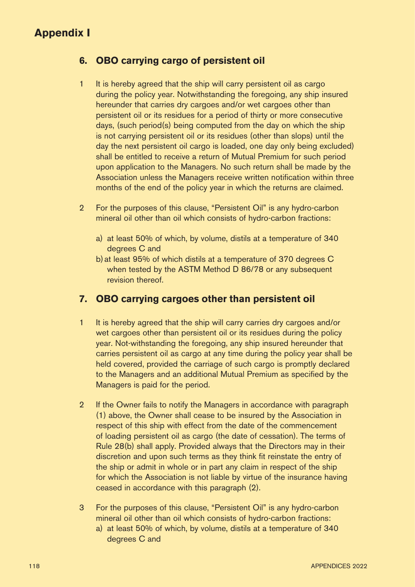### **6. OBO carrying cargo of persistent oil**

- 1 It is hereby agreed that the ship will carry persistent oil as cargo during the policy year. Notwithstanding the foregoing, any ship insured hereunder that carries dry cargoes and/or wet cargoes other than persistent oil or its residues for a period of thirty or more consecutive days, (such period(s) being computed from the day on which the ship is not carrying persistent oil or its residues (other than slops) until the day the next persistent oil cargo is loaded, one day only being excluded) shall be entitled to receive a return of Mutual Premium for such period upon application to the Managers. No such return shall be made by the Association unless the Managers receive written notification within three months of the end of the policy year in which the returns are claimed.
- 2 For the purposes of this clause, "Persistent Oil" is any hydro-carbon mineral oil other than oil which consists of hydro-carbon fractions:
	- a) at least 50% of which, by volume, distils at a temperature of 340 degrees C and
	- b)at least 95% of which distils at a temperature of 370 degrees C when tested by the ASTM Method D 86/78 or any subsequent revision thereof.

### **7. OBO carrying cargoes other than persistent oil**

- 1 It is hereby agreed that the ship will carry carries dry cargoes and/or wet cargoes other than persistent oil or its residues during the policy year. Not-withstanding the foregoing, any ship insured hereunder that carries persistent oil as cargo at any time during the policy year shall be held covered, provided the carriage of such cargo is promptly declared to the Managers and an additional Mutual Premium as specified by the Managers is paid for the period.
- 2 If the Owner fails to notify the Managers in accordance with paragraph (1) above, the Owner shall cease to be insured by the Association in respect of this ship with effect from the date of the commencement of loading persistent oil as cargo (the date of cessation). The terms of Rule 28(b) shall apply. Provided always that the Directors may in their discretion and upon such terms as they think fit reinstate the entry of the ship or admit in whole or in part any claim in respect of the ship for which the Association is not liable by virtue of the insurance having ceased in accordance with this paragraph (2).
- 3 For the purposes of this clause, "Persistent Oil" is any hydro-carbon mineral oil other than oil which consists of hydro-carbon fractions:
	- a) at least 50% of which, by volume, distils at a temperature of 340 degrees C and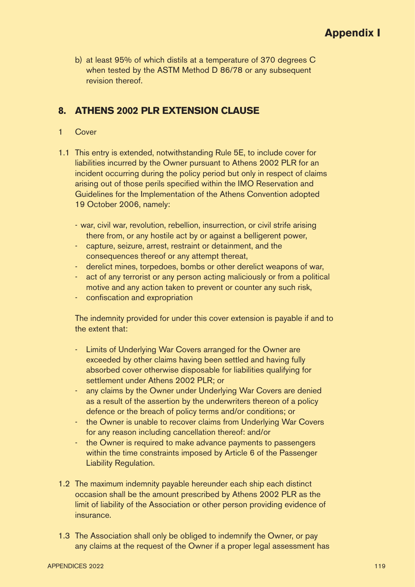b) at least 95% of which distils at a temperature of 370 degrees C when tested by the ASTM Method D 86/78 or any subsequent revision thereof.

### **8. ATHENS 2002 PLR EXTENSION CLAUSE**

- 1 Cover
- 1.1 This entry is extended, notwithstanding Rule 5E, to include cover for liabilities incurred by the Owner pursuant to Athens 2002 PLR for an incident occurring during the policy period but only in respect of claims arising out of those perils specified within the IMO Reservation and Guidelines for the Implementation of the Athens Convention adopted 19 October 2006, namely:
	- war, civil war, revolution, rebellion, insurrection, or civil strife arising there from, or any hostile act by or against a belligerent power,
	- capture, seizure, arrest, restraint or detainment, and the consequences thereof or any attempt thereat,
	- derelict mines, torpedoes, bombs or other derelict weapons of war,
	- act of any terrorist or any person acting maliciously or from a political motive and any action taken to prevent or counter any such risk,
	- confiscation and expropriation

The indemnity provided for under this cover extension is payable if and to the extent that:

- Limits of Underlying War Covers arranged for the Owner are exceeded by other claims having been settled and having fully absorbed cover otherwise disposable for liabilities qualifying for settlement under Athens 2002 PLR; or
- any claims by the Owner under Underlying War Covers are denied as a result of the assertion by the underwriters thereon of a policy defence or the breach of policy terms and/or conditions; or
- the Owner is unable to recover claims from Underlying War Covers for any reason including cancellation thereof: and/or
- the Owner is required to make advance payments to passengers within the time constraints imposed by Article 6 of the Passenger Liability Regulation.
- 1.2 The maximum indemnity payable hereunder each ship each distinct occasion shall be the amount prescribed by Athens 2002 PLR as the limit of liability of the Association or other person providing evidence of insurance.
- 1.3 The Association shall only be obliged to indemnify the Owner, or pay any claims at the request of the Owner if a proper legal assessment has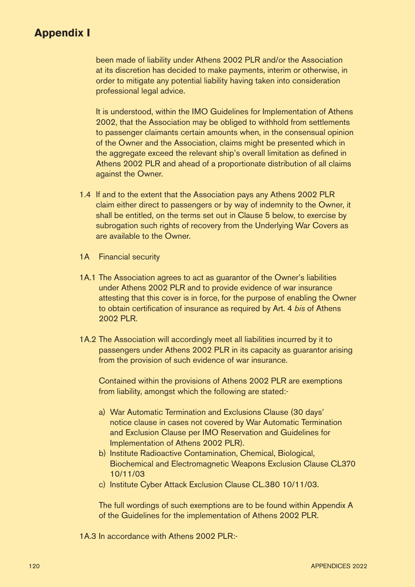been made of liability under Athens 2002 PLR and/or the Association at its discretion has decided to make payments, interim or otherwise, in order to mitigate any potential liability having taken into consideration professional legal advice.

It is understood, within the IMO Guidelines for Implementation of Athens 2002, that the Association may be obliged to withhold from settlements to passenger claimants certain amounts when, in the consensual opinion of the Owner and the Association, claims might be presented which in the aggregate exceed the relevant ship's overall limitation as defined in Athens 2002 PLR and ahead of a proportionate distribution of all claims against the Owner.

- 1.4 If and to the extent that the Association pays any Athens 2002 PLR claim either direct to passengers or by way of indemnity to the Owner, it shall be entitled, on the terms set out in Clause 5 below, to exercise by subrogation such rights of recovery from the Underlying War Covers as are available to the Owner.
- 1A Financial security
- 1A.1 The Association agrees to act as guarantor of the Owner's liabilities under Athens 2002 PLR and to provide evidence of war insurance attesting that this cover is in force, for the purpose of enabling the Owner to obtain certification of insurance as required by Art. 4 bis of Athens 2002 PLR.
- 1A.2 The Association will accordingly meet all liabilities incurred by it to passengers under Athens 2002 PLR in its capacity as guarantor arising from the provision of such evidence of war insurance.

Contained within the provisions of Athens 2002 PLR are exemptions from liability, amongst which the following are stated:-

- a) War Automatic Termination and Exclusions Clause (30 days' notice clause in cases not covered by War Automatic Termination and Exclusion Clause per IMO Reservation and Guidelines for Implementation of Athens 2002 PLR).
- b) Institute Radioactive Contamination, Chemical, Biological, Biochemical and Electromagnetic Weapons Exclusion Clause CL370 10/11/03
- c) Institute Cyber Attack Exclusion Clause CL.380 10/11/03.

The full wordings of such exemptions are to be found within Appendix A of the Guidelines for the implementation of Athens 2002 PLR.

1A.3 In accordance with Athens 2002 PLR:-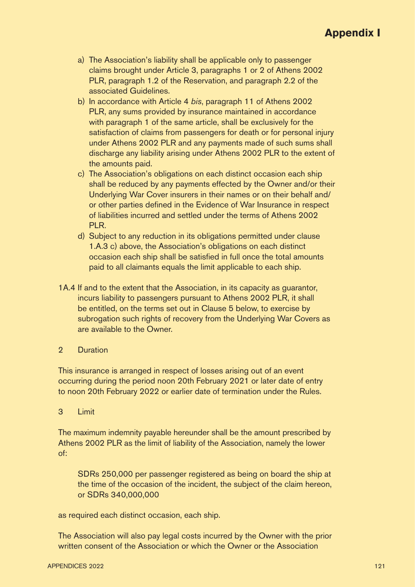- a) The Association's liability shall be applicable only to passenger claims brought under Article 3, paragraphs 1 or 2 of Athens 2002 PLR, paragraph 1.2 of the Reservation, and paragraph 2.2 of the associated Guidelines.
- b) In accordance with Article 4 bis, paragraph 11 of Athens 2002 PLR, any sums provided by insurance maintained in accordance with paragraph 1 of the same article, shall be exclusively for the satisfaction of claims from passengers for death or for personal injury under Athens 2002 PLR and any payments made of such sums shall discharge any liability arising under Athens 2002 PLR to the extent of the amounts paid.
- c) The Association's obligations on each distinct occasion each ship shall be reduced by any payments effected by the Owner and/or their Underlying War Cover insurers in their names or on their behalf and/ or other parties defined in the Evidence of War Insurance in respect of liabilities incurred and settled under the terms of Athens 2002 PLR.
- d) Subject to any reduction in its obligations permitted under clause 1.A.3 c) above, the Association's obligations on each distinct occasion each ship shall be satisfied in full once the total amounts paid to all claimants equals the limit applicable to each ship.
- 1A.4 If and to the extent that the Association, in its capacity as guarantor, incurs liability to passengers pursuant to Athens 2002 PLR, it shall be entitled, on the terms set out in Clause 5 below, to exercise by subrogation such rights of recovery from the Underlying War Covers as are available to the Owner.
- 2 Duration

This insurance is arranged in respect of losses arising out of an event occurring during the period noon 20th February 2021 or later date of entry to noon 20th February 2022 or earlier date of termination under the Rules.

3 Limit

The maximum indemnity payable hereunder shall be the amount prescribed by Athens 2002 PLR as the limit of liability of the Association, namely the lower of:

SDRs 250,000 per passenger registered as being on board the ship at the time of the occasion of the incident, the subject of the claim hereon, or SDRs 340,000,000

as required each distinct occasion, each ship.

The Association will also pay legal costs incurred by the Owner with the prior written consent of the Association or which the Owner or the Association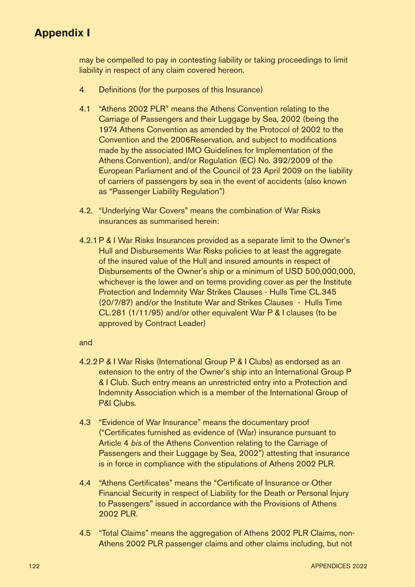may be compelled to pay in contesting liability or taking proceedings to limit liability in respect of any claim covered hereon.

- 4 Definitions (for the purposes of this Insurance)
- 4.1 "Athens 2002 PLR" means the Athens Convention relating to the Carriage of Passengers and their Luggage by Sea, 2002 (being the 1974 Athens Convention as amended by the Protocol of 2002 to the Convention and the 2006Reservation, and subject to modifications made by the associated IMO Guidelines for Implementation of the Athens Convention), and/or Regulation (EC) No. 392/2009 of the European Parliament and of the Council of 23 April 2009 on the liability of carriers of passengers by sea in the event of accidents (also known as "Passenger Liability Regulation")
- 4.2. "Underlying War Covers" means the combination of War Risks insurances as summarised herein:
- 4.2.1P & I War Risks Insurances provided as a separate limit to the Owner's Hull and Disbursements War Risks policies to at least the aggregate of the insured value of the Hull and insured amounts in respect of Disbursements of the Owner's ship or a minimum of USD 500,000,000, whichever is the lower and on terms providing cover as per the Institute Protection and Indemnity War Strikes Clauses - Hulls Time CL.345 (20/7/87) and/or the Institute War and Strikes Clauses - Hulls Time CL.281 (1/11/95) and/or other equivalent War P & I clauses (to be approved by Contract Leader)

#### and

- 4.2.2P & I War Risks (International Group P & I Clubs) as endorsed as an extension to the entry of the Owner's ship into an International Group P & I Club. Such entry means an unrestricted entry into a Protection and Indemnity Association which is a member of the International Group of P&I Clubs.
- 4.3 "Evidence of War Insurance" means the documentary proof ("Certificates furnished as evidence of (War) insurance pursuant to Article 4 bis of the Athens Convention relating to the Carriage of Passengers and their Luggage by Sea, 2002") attesting that insurance is in force in compliance with the stipulations of Athens 2002 PLR.
- 4.4 "Athens Certificates" means the "Certificate of Insurance or Other Financial Security in respect of Liability for the Death or Personal Injury to Passengers" issued in accordance with the Provisions of Athens 2002 PLR.
- 4.5 "Total Claims" means the aggregation of Athens 2002 PLR Claims, non-Athens 2002 PLR passenger claims and other claims including, but not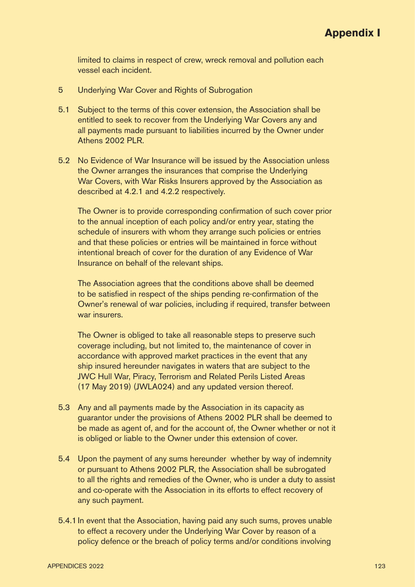limited to claims in respect of crew, wreck removal and pollution each vessel each incident.

- 5 Underlying War Cover and Rights of Subrogation
- 5.1 Subject to the terms of this cover extension, the Association shall be entitled to seek to recover from the Underlying War Covers any and all payments made pursuant to liabilities incurred by the Owner under Athens 2002 PLR.
- 5.2 No Evidence of War Insurance will be issued by the Association unless the Owner arranges the insurances that comprise the Underlying War Covers, with War Risks Insurers approved by the Association as described at 4.2.1 and 4.2.2 respectively.

The Owner is to provide corresponding confirmation of such cover prior to the annual inception of each policy and/or entry year, stating the schedule of insurers with whom they arrange such policies or entries and that these policies or entries will be maintained in force without intentional breach of cover for the duration of any Evidence of War Insurance on behalf of the relevant ships.

The Association agrees that the conditions above shall be deemed to be satisfied in respect of the ships pending re-confirmation of the Owner's renewal of war policies, including if required, transfer between war insurers.

The Owner is obliged to take all reasonable steps to preserve such coverage including, but not limited to, the maintenance of cover in accordance with approved market practices in the event that any ship insured hereunder navigates in waters that are subject to the JWC Hull War, Piracy, Terrorism and Related Perils Listed Areas (17 May 2019) (JWLA024) and any updated version thereof.

- 5.3 Any and all payments made by the Association in its capacity as guarantor under the provisions of Athens 2002 PLR shall be deemed to be made as agent of, and for the account of, the Owner whether or not it is obliged or liable to the Owner under this extension of cover.
- 5.4 Upon the payment of any sums hereunder whether by way of indemnity or pursuant to Athens 2002 PLR, the Association shall be subrogated to all the rights and remedies of the Owner, who is under a duty to assist and co-operate with the Association in its efforts to effect recovery of any such payment.
- 5.4.1In event that the Association, having paid any such sums, proves unable to effect a recovery under the Underlying War Cover by reason of a policy defence or the breach of policy terms and/or conditions involving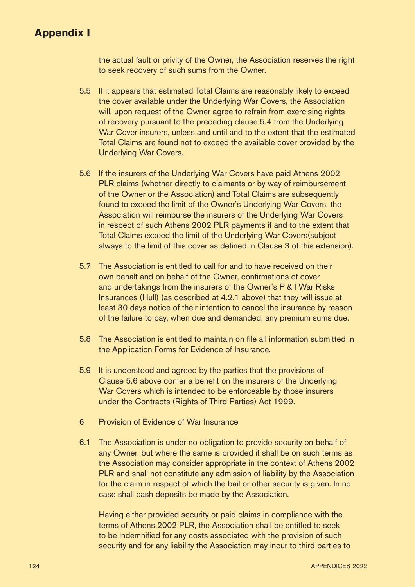the actual fault or privity of the Owner, the Association reserves the right to seek recovery of such sums from the Owner.

- 5.5 If it appears that estimated Total Claims are reasonably likely to exceed the cover available under the Underlying War Covers, the Association will, upon request of the Owner agree to refrain from exercising rights of recovery pursuant to the preceding clause 5.4 from the Underlying War Cover insurers, unless and until and to the extent that the estimated Total Claims are found not to exceed the available cover provided by the Underlying War Covers.
- 5.6 If the insurers of the Underlying War Covers have paid Athens 2002 PLR claims (whether directly to claimants or by way of reimbursement of the Owner or the Association) and Total Claims are subsequently found to exceed the limit of the Owner's Underlying War Covers, the Association will reimburse the insurers of the Underlying War Covers in respect of such Athens 2002 PLR payments if and to the extent that Total Claims exceed the limit of the Underlying War Covers(subject always to the limit of this cover as defined in Clause 3 of this extension).
- 5.7 The Association is entitled to call for and to have received on their own behalf and on behalf of the Owner, confirmations of cover and undertakings from the insurers of the Owner's P & I War Risks Insurances (Hull) (as described at 4.2.1 above) that they will issue at least 30 days notice of their intention to cancel the insurance by reason of the failure to pay, when due and demanded, any premium sums due.
- 5.8 The Association is entitled to maintain on file all information submitted in the Application Forms for Evidence of Insurance.
- 5.9 It is understood and agreed by the parties that the provisions of Clause 5.6 above confer a benefit on the insurers of the Underlying War Covers which is intended to be enforceable by those insurers under the Contracts (Rights of Third Parties) Act 1999.
- 6 Provision of Evidence of War Insurance
- 6.1 The Association is under no obligation to provide security on behalf of any Owner, but where the same is provided it shall be on such terms as the Association may consider appropriate in the context of Athens 2002 PLR and shall not constitute any admission of liability by the Association for the claim in respect of which the bail or other security is given. In no case shall cash deposits be made by the Association.

Having either provided security or paid claims in compliance with the terms of Athens 2002 PLR, the Association shall be entitled to seek to be indemnified for any costs associated with the provision of such security and for any liability the Association may incur to third parties to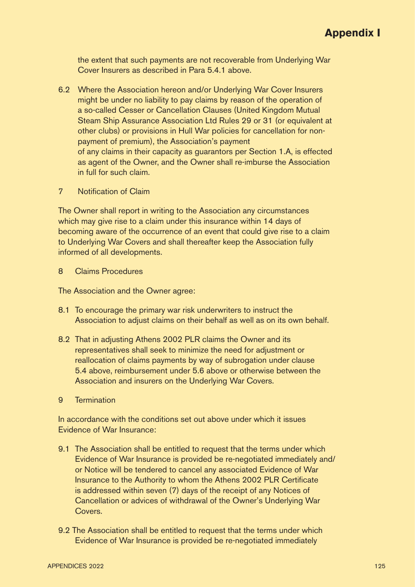the extent that such payments are not recoverable from Underlying War Cover Insurers as described in Para 5.4.1 above.

- 6.2 Where the Association hereon and/or Underlying War Cover Insurers might be under no liability to pay claims by reason of the operation of a so-called Cesser or Cancellation Clauses (United Kingdom Mutual Steam Ship Assurance Association Ltd Rules 29 or 31 (or equivalent at other clubs) or provisions in Hull War policies for cancellation for nonpayment of premium), the Association's payment of any claims in their capacity as guarantors per Section 1.A, is effected as agent of the Owner, and the Owner shall re-imburse the Association in full for such claim.
- 7 Notification of Claim

The Owner shall report in writing to the Association any circumstances which may give rise to a claim under this insurance within 14 days of becoming aware of the occurrence of an event that could give rise to a claim to Underlying War Covers and shall thereafter keep the Association fully informed of all developments.

8 Claims Procedures

The Association and the Owner agree:

- 8.1 To encourage the primary war risk underwriters to instruct the Association to adjust claims on their behalf as well as on its own behalf.
- 8.2 That in adjusting Athens 2002 PLR claims the Owner and its representatives shall seek to minimize the need for adjustment or reallocation of claims payments by way of subrogation under clause 5.4 above, reimbursement under 5.6 above or otherwise between the Association and insurers on the Underlying War Covers.
- 9 Termination

In accordance with the conditions set out above under which it issues Evidence of War Insurance:

- 9.1 The Association shall be entitled to request that the terms under which Evidence of War Insurance is provided be re-negotiated immediately and/ or Notice will be tendered to cancel any associated Evidence of War Insurance to the Authority to whom the Athens 2002 PLR Certificate is addressed within seven (7) days of the receipt of any Notices of Cancellation or advices of withdrawal of the Owner's Underlying War **Covers**
- 9.2 The Association shall be entitled to request that the terms under which Evidence of War Insurance is provided be re-negotiated immediately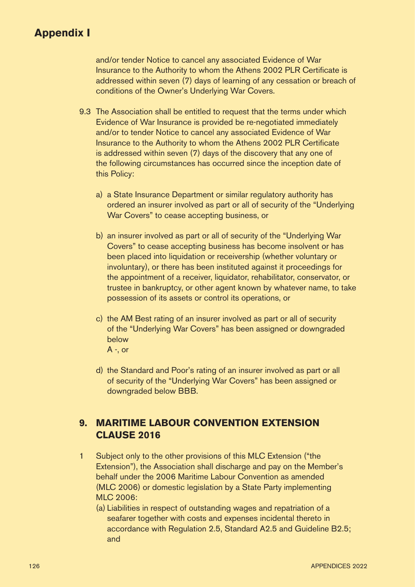and/or tender Notice to cancel any associated Evidence of War Insurance to the Authority to whom the Athens 2002 PLR Certificate is addressed within seven (7) days of learning of any cessation or breach of conditions of the Owner's Underlying War Covers.

- 9.3 The Association shall be entitled to request that the terms under which Evidence of War Insurance is provided be re-negotiated immediately and/or to tender Notice to cancel any associated Evidence of War Insurance to the Authority to whom the Athens 2002 PLR Certificate is addressed within seven (7) days of the discovery that any one of the following circumstances has occurred since the inception date of this Policy:
	- a) a State Insurance Department or similar regulatory authority has ordered an insurer involved as part or all of security of the "Underlying War Covers" to cease accepting business, or
	- b) an insurer involved as part or all of security of the "Underlying War Covers" to cease accepting business has become insolvent or has been placed into liquidation or receivership (whether voluntary or involuntary), or there has been instituted against it proceedings for the appointment of a receiver, liquidator, rehabilitator, conservator, or trustee in bankruptcy, or other agent known by whatever name, to take possession of its assets or control its operations, or
	- c) the AM Best rating of an insurer involved as part or all of security of the "Underlying War Covers" has been assigned or downgraded below  $A -$ , or
		-
	- d) the Standard and Poor's rating of an insurer involved as part or all of security of the "Underlying War Covers" has been assigned or downgraded below BBB.

## **9. MARITIME LABOUR CONVENTION EXTENSION CLAUSE 2016**

- 1 Subject only to the other provisions of this MLC Extension ("the Extension"), the Association shall discharge and pay on the Member's behalf under the 2006 Maritime Labour Convention as amended (MLC 2006) or domestic legislation by a State Party implementing MLC 2006:
	- (a) Liabilities in respect of outstanding wages and repatriation of a seafarer together with costs and expenses incidental thereto in accordance with Regulation 2.5, Standard A2.5 and Guideline B2.5; and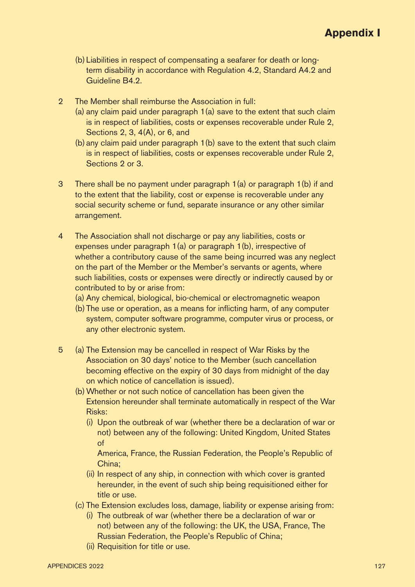- (b) Liabilities in respect of compensating a seafarer for death or longterm disability in accordance with Regulation 4.2, Standard A4.2 and Guideline B4.2.
- 2 The Member shall reimburse the Association in full:
	- (a) any claim paid under paragraph 1(a) save to the extent that such claim is in respect of liabilities, costs or expenses recoverable under Rule 2, Sections 2, 3, 4(A), or 6, and
	- (b) any claim paid under paragraph 1(b) save to the extent that such claim is in respect of liabilities, costs or expenses recoverable under Rule 2, Sections 2 or 3.
- 3 There shall be no payment under paragraph 1(a) or paragraph 1(b) if and to the extent that the liability, cost or expense is recoverable under any social security scheme or fund, separate insurance or any other similar arrangement.
- 4 The Association shall not discharge or pay any liabilities, costs or expenses under paragraph 1(a) or paragraph 1(b), irrespective of whether a contributory cause of the same being incurred was any neglect on the part of the Member or the Member's servants or agents, where such liabilities, costs or expenses were directly or indirectly caused by or contributed to by or arise from:
	- (a) Any chemical, biological, bio-chemical or electromagnetic weapon
	- (b) The use or operation, as a means for inflicting harm, of any computer system, computer software programme, computer virus or process, or any other electronic system.
- 5 (a) The Extension may be cancelled in respect of War Risks by the Association on 30 days' notice to the Member (such cancellation becoming effective on the expiry of 30 days from midnight of the day on which notice of cancellation is issued).
	- (b)Whether or not such notice of cancellation has been given the Extension hereunder shall terminate automatically in respect of the War Risks:
		- (i) Upon the outbreak of war (whether there be a declaration of war or not) between any of the following: United Kingdom, United States of

America, France, the Russian Federation, the People's Republic of China;

- (ii) In respect of any ship, in connection with which cover is granted hereunder, in the event of such ship being requisitioned either for title or use.
- (c) The Extension excludes loss, damage, liability or expense arising from:
	- (i) The outbreak of war (whether there be a declaration of war or not) between any of the following: the UK, the USA, France, The Russian Federation, the People's Republic of China;
	- (ii) Requisition for title or use.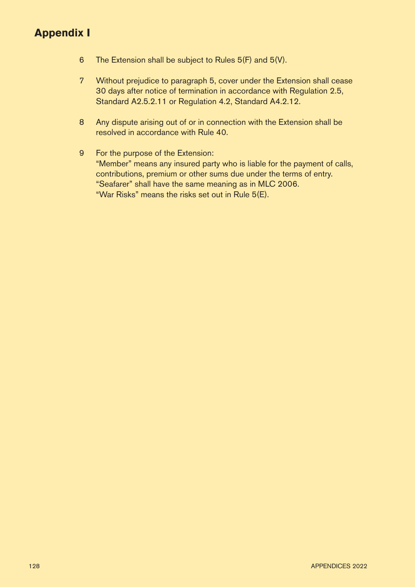- 6 The Extension shall be subject to Rules 5(F) and 5(V).
- 7 Without prejudice to paragraph 5, cover under the Extension shall cease 30 days after notice of termination in accordance with Regulation 2.5, Standard A2.5.2.11 or Regulation 4.2, Standard A4.2.12.
- 8 Any dispute arising out of or in connection with the Extension shall be resolved in accordance with Rule 40.
- 9 For the purpose of the Extension: "Member" means any insured party who is liable for the payment of calls, contributions, premium or other sums due under the terms of entry. "Seafarer" shall have the same meaning as in MLC 2006. "War Risks" means the risks set out in Rule 5(E).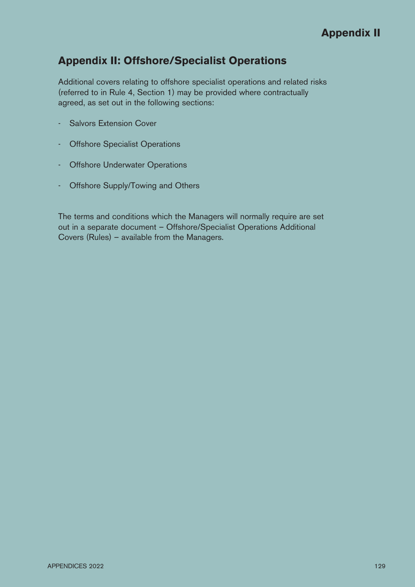## **Appendix II: Offshore/Specialist Operations**

Additional covers relating to offshore specialist operations and related risks (referred to in Rule 4, Section 1) may be provided where contractually agreed, as set out in the following sections:

- Salvors Extension Cover
- Offshore Specialist Operations
- Offshore Underwater Operations
- Offshore Supply/Towing and Others

The terms and conditions which the Managers will normally require are set out in a separate document – Offshore/Specialist Operations Additional Covers (Rules) – available from the Managers.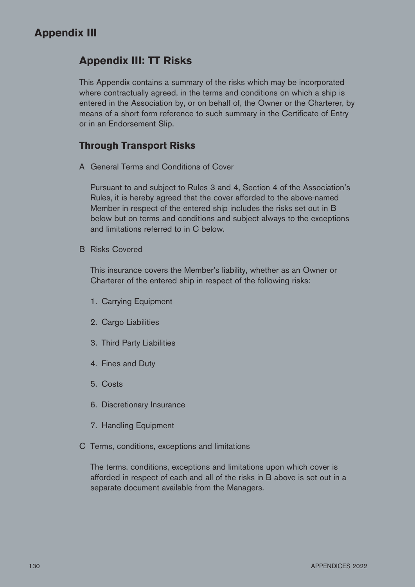## **Appendix III: TT Risks**

This Appendix contains a summary of the risks which may be incorporated where contractually agreed, in the terms and conditions on which a ship is entered in the Association by, or on behalf of, the Owner or the Charterer, by means of a short form reference to such summary in the Certificate of Entry or in an Endorsement Slip.

### **Through Transport Risks**

A General Terms and Conditions of Cover

Pursuant to and subject to Rules 3 and 4, Section 4 of the Association's Rules, it is hereby agreed that the cover afforded to the above-named Member in respect of the entered ship includes the risks set out in B below but on terms and conditions and subject always to the exceptions and limitations referred to in C below.

B Risks Covered

This insurance covers the Member's liability, whether as an Owner or Charterer of the entered ship in respect of the following risks:

- 1. Carrying Equipment
- 2. Cargo Liabilities
- 3. Third Party Liabilities
- 4. Fines and Duty
- 5. Costs
- 6. Discretionary Insurance
- 7. Handling Equipment
- C Terms, conditions, exceptions and limitations

The terms, conditions, exceptions and limitations upon which cover is afforded in respect of each and all of the risks in B above is set out in a separate document available from the Managers.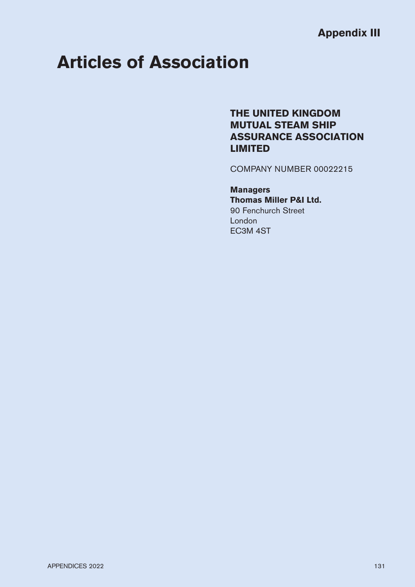# **Articles of Association**

## **THE UNITED KINGDOM MUTUAL STEAM SHIP ASSURANCE ASSOCIATION LIMITED**

COMPANY NUMBER 00022215

### **Managers Thomas Miller P&I Ltd.** 90 Fenchurch Street London

EC3M 4ST

APPENDICES 2022 131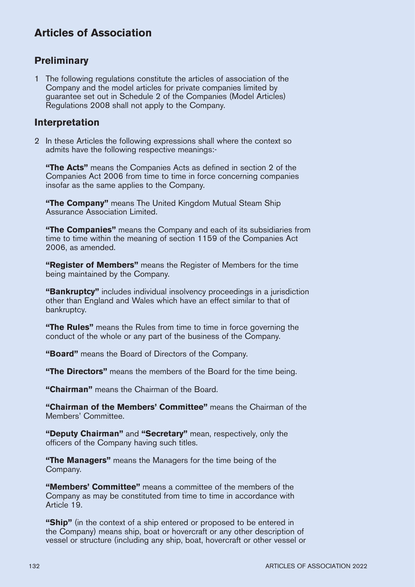### **Preliminary**

1 The following regulations constitute the articles of association of the Company and the model articles for private companies limited by guarantee set out in Schedule 2 of the Companies (Model Articles) Regulations 2008 shall not apply to the Company.

### **Interpretation**

2 In these Articles the following expressions shall where the context so admits have the following respective meanings:-

**"The Acts"** means the Companies Acts as defined in section 2 of the Companies Act 2006 from time to time in force concerning companies insofar as the same applies to the Company.

**"The Company"** means The United Kingdom Mutual Steam Ship Assurance Association Limited.

**"The Companies"** means the Company and each of its subsidiaries from time to time within the meaning of section 1159 of the Companies Act 2006, as amended.

**"Register of Members"** means the Register of Members for the time being maintained by the Company.

**"Bankruptcy"** includes individual insolvency proceedings in a jurisdiction other than England and Wales which have an effect similar to that of bankruptcy.

**"The Rules"** means the Rules from time to time in force governing the conduct of the whole or any part of the business of the Company.

**"Board"** means the Board of Directors of the Company.

**"The Directors"** means the members of the Board for the time being.

**"Chairman"** means the Chairman of the Board.

**"Chairman of the Members' Committee"** means the Chairman of the Members' Committee.

**"Deputy Chairman"** and **"Secretary"** mean, respectively, only the officers of the Company having such titles.

**"The Managers"** means the Managers for the time being of the Company.

**"Members' Committee"** means a committee of the members of the Company as may be constituted from time to time in accordance with Article 19.

**"Ship"** (in the context of a ship entered or proposed to be entered in the Company) means ship, boat or hovercraft or any other description of vessel or structure (including any ship, boat, hovercraft or other vessel or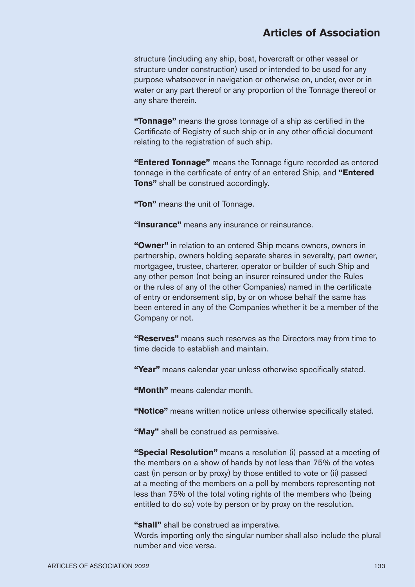structure (including any ship, boat, hovercraft or other vessel or structure under construction) used or intended to be used for any purpose whatsoever in navigation or otherwise on, under, over or in water or any part thereof or any proportion of the Tonnage thereof or any share therein.

**"Tonnage"** means the gross tonnage of a ship as certified in the Certificate of Registry of such ship or in any other official document relating to the registration of such ship.

**"Entered Tonnage"** means the Tonnage figure recorded as entered tonnage in the certificate of entry of an entered Ship, and **"Entered Tons"** shall be construed accordingly.

**"Ton"** means the unit of Tonnage.

**"Insurance"** means any insurance or reinsurance.

**"Owner"** in relation to an entered Ship means owners, owners in partnership, owners holding separate shares in severalty, part owner, mortgagee, trustee, charterer, operator or builder of such Ship and any other person (not being an insurer reinsured under the Rules or the rules of any of the other Companies) named in the certificate of entry or endorsement slip, by or on whose behalf the same has been entered in any of the Companies whether it be a member of the Company or not.

**"Reserves"** means such reserves as the Directors may from time to time decide to establish and maintain.

**"Year"** means calendar year unless otherwise specifically stated.

**"Month"** means calendar month.

**"Notice"** means written notice unless otherwise specifically stated.

**"May"** shall be construed as permissive.

**"Special Resolution"** means a resolution (i) passed at a meeting of the members on a show of hands by not less than 75% of the votes cast (in person or by proxy) by those entitled to vote or (ii) passed at a meeting of the members on a poll by members representing not less than 75% of the total voting rights of the members who (being entitled to do so) vote by person or by proxy on the resolution.

**"shall"** shall be construed as imperative.

Words importing only the singular number shall also include the plural number and vice versa.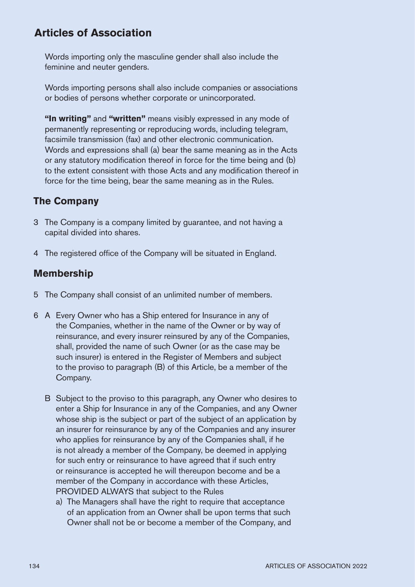Words importing only the masculine gender shall also include the feminine and neuter genders.

Words importing persons shall also include companies or associations or bodies of persons whether corporate or unincorporated.

**"In writing"** and **"written"** means visibly expressed in any mode of permanently representing or reproducing words, including telegram, facsimile transmission (fax) and other electronic communication. Words and expressions shall (a) bear the same meaning as in the Acts or any statutory modification thereof in force for the time being and (b) to the extent consistent with those Acts and any modification thereof in force for the time being, bear the same meaning as in the Rules.

### **The Company**

- 3 The Company is a company limited by guarantee, and not having a capital divided into shares.
- 4 The registered office of the Company will be situated in England.

### **Membership**

- 5 The Company shall consist of an unlimited number of members.
- 6 A Every Owner who has a Ship entered for Insurance in any of the Companies, whether in the name of the Owner or by way of reinsurance, and every insurer reinsured by any of the Companies, shall, provided the name of such Owner (or as the case may be such insurer) is entered in the Register of Members and subject to the proviso to paragraph (B) of this Article, be a member of the Company.
	- B Subject to the proviso to this paragraph, any Owner who desires to enter a Ship for Insurance in any of the Companies, and any Owner whose ship is the subject or part of the subject of an application by an insurer for reinsurance by any of the Companies and any insurer who applies for reinsurance by any of the Companies shall, if he is not already a member of the Company, be deemed in applying for such entry or reinsurance to have agreed that if such entry or reinsurance is accepted he will thereupon become and be a member of the Company in accordance with these Articles, PROVIDED ALWAYS that subject to the Rules
		- a) The Managers shall have the right to require that acceptance of an application from an Owner shall be upon terms that such Owner shall not be or become a member of the Company, and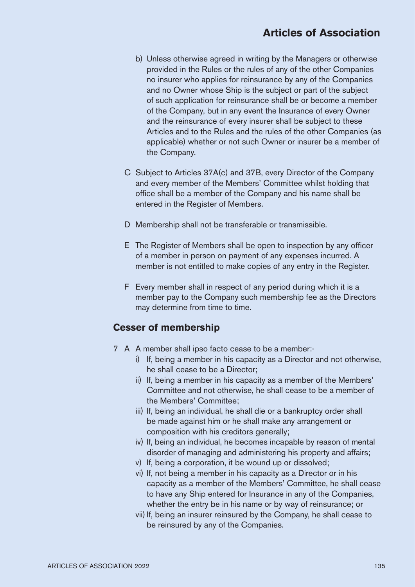- b) Unless otherwise agreed in writing by the Managers or otherwise provided in the Rules or the rules of any of the other Companies no insurer who applies for reinsurance by any of the Companies and no Owner whose Ship is the subject or part of the subject of such application for reinsurance shall be or become a member of the Company, but in any event the Insurance of every Owner and the reinsurance of every insurer shall be subject to these Articles and to the Rules and the rules of the other Companies (as applicable) whether or not such Owner or insurer be a member of the Company.
- C Subject to Articles 37A(c) and 37B, every Director of the Company and every member of the Members' Committee whilst holding that office shall be a member of the Company and his name shall be entered in the Register of Members.
- D Membership shall not be transferable or transmissible.
- E The Register of Members shall be open to inspection by any officer of a member in person on payment of any expenses incurred. A member is not entitled to make copies of any entry in the Register.
- F Every member shall in respect of any period during which it is a member pay to the Company such membership fee as the Directors may determine from time to time.

### **Cesser of membership**

- 7 A A member shall ipso facto cease to be a member:
	- i) If, being a member in his capacity as a Director and not otherwise, he shall cease to be a Director;
	- ii) If, being a member in his capacity as a member of the Members' Committee and not otherwise, he shall cease to be a member of the Members' Committee;
	- iii) If, being an individual, he shall die or a bankruptcy order shall be made against him or he shall make any arrangement or composition with his creditors generally;
	- iv) If, being an individual, he becomes incapable by reason of mental disorder of managing and administering his property and affairs;
	- v) If, being a corporation, it be wound up or dissolved;
	- vi) If, not being a member in his capacity as a Director or in his capacity as a member of the Members' Committee, he shall cease to have any Ship entered for Insurance in any of the Companies, whether the entry be in his name or by way of reinsurance; or
	- vii) If, being an insurer reinsured by the Company, he shall cease to be reinsured by any of the Companies.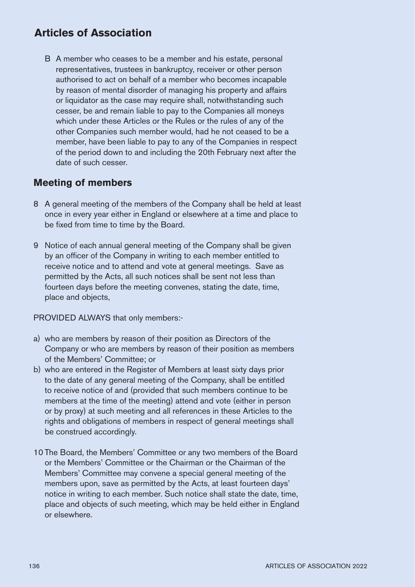B A member who ceases to be a member and his estate, personal representatives, trustees in bankruptcy, receiver or other person authorised to act on behalf of a member who becomes incapable by reason of mental disorder of managing his property and affairs or liquidator as the case may require shall, notwithstanding such cesser, be and remain liable to pay to the Companies all moneys which under these Articles or the Rules or the rules of any of the other Companies such member would, had he not ceased to be a member, have been liable to pay to any of the Companies in respect of the period down to and including the 20th February next after the date of such cesser.

### **Meeting of members**

- 8 A general meeting of the members of the Company shall be held at least once in every year either in England or elsewhere at a time and place to be fixed from time to time by the Board.
- 9 Notice of each annual general meeting of the Company shall be given by an officer of the Company in writing to each member entitled to receive notice and to attend and vote at general meetings. Save as permitted by the Acts, all such notices shall be sent not less than fourteen days before the meeting convenes, stating the date, time, place and objects,

PROVIDED ALWAYS that only members:-

- a) who are members by reason of their position as Directors of the Company or who are members by reason of their position as members of the Members' Committee; or
- b) who are entered in the Register of Members at least sixty days prior to the date of any general meeting of the Company, shall be entitled to receive notice of and (provided that such members continue to be members at the time of the meeting) attend and vote (either in person or by proxy) at such meeting and all references in these Articles to the rights and obligations of members in respect of general meetings shall be construed accordingly.
- 10 The Board, the Members' Committee or any two members of the Board or the Members' Committee or the Chairman or the Chairman of the Members' Committee may convene a special general meeting of the members upon, save as permitted by the Acts, at least fourteen days' notice in writing to each member. Such notice shall state the date, time, place and objects of such meeting, which may be held either in England or elsewhere.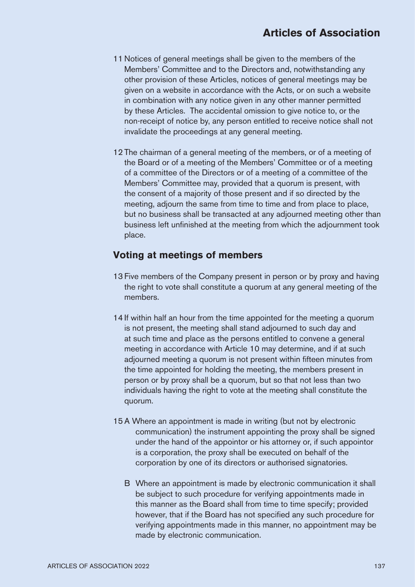- 11 Notices of general meetings shall be given to the members of the Members' Committee and to the Directors and, notwithstanding any other provision of these Articles, notices of general meetings may be given on a website in accordance with the Acts, or on such a website in combination with any notice given in any other manner permitted by these Articles. The accidental omission to give notice to, or the non-receipt of notice by, any person entitled to receive notice shall not invalidate the proceedings at any general meeting.
- 12 The chairman of a general meeting of the members, or of a meeting of the Board or of a meeting of the Members' Committee or of a meeting of a committee of the Directors or of a meeting of a committee of the Members' Committee may, provided that a quorum is present, with the consent of a majority of those present and if so directed by the meeting, adjourn the same from time to time and from place to place, but no business shall be transacted at any adjourned meeting other than business left unfinished at the meeting from which the adjournment took place.

### **Voting at meetings of members**

- 13 Five members of the Company present in person or by proxy and having the right to vote shall constitute a quorum at any general meeting of the members.
- 14 If within half an hour from the time appointed for the meeting a quorum is not present, the meeting shall stand adjourned to such day and at such time and place as the persons entitled to convene a general meeting in accordance with Article 10 may determine, and if at such adjourned meeting a quorum is not present within fifteen minutes from the time appointed for holding the meeting, the members present in person or by proxy shall be a quorum, but so that not less than two individuals having the right to vote at the meeting shall constitute the quorum.
- 15 A Where an appointment is made in writing (but not by electronic communication) the instrument appointing the proxy shall be signed under the hand of the appointor or his attorney or, if such appointor is a corporation, the proxy shall be executed on behalf of the corporation by one of its directors or authorised signatories.
	- B Where an appointment is made by electronic communication it shall be subject to such procedure for verifying appointments made in this manner as the Board shall from time to time specify; provided however, that if the Board has not specified any such procedure for verifying appointments made in this manner, no appointment may be made by electronic communication.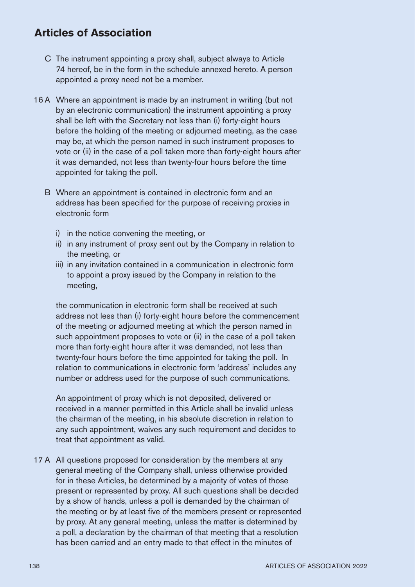- C The instrument appointing a proxy shall, subject always to Article 74 hereof, be in the form in the schedule annexed hereto. A person appointed a proxy need not be a member.
- 16 A Where an appointment is made by an instrument in writing (but not by an electronic communication) the instrument appointing a proxy shall be left with the Secretary not less than (i) forty-eight hours before the holding of the meeting or adjourned meeting, as the case may be, at which the person named in such instrument proposes to vote or (ii) in the case of a poll taken more than forty-eight hours after it was demanded, not less than twenty-four hours before the time appointed for taking the poll.
	- B Where an appointment is contained in electronic form and an address has been specified for the purpose of receiving proxies in electronic form
		- i) in the notice convening the meeting, or
		- ii) in any instrument of proxy sent out by the Company in relation to the meeting, or
		- iii) in any invitation contained in a communication in electronic form to appoint a proxy issued by the Company in relation to the meeting,

the communication in electronic form shall be received at such address not less than (i) forty-eight hours before the commencement of the meeting or adjourned meeting at which the person named in such appointment proposes to vote or (ii) in the case of a poll taken more than forty-eight hours after it was demanded, not less than twenty-four hours before the time appointed for taking the poll. In relation to communications in electronic form 'address' includes any number or address used for the purpose of such communications.

An appointment of proxy which is not deposited, delivered or received in a manner permitted in this Article shall be invalid unless the chairman of the meeting, in his absolute discretion in relation to any such appointment, waives any such requirement and decides to treat that appointment as valid.

17 A All questions proposed for consideration by the members at any general meeting of the Company shall, unless otherwise provided for in these Articles, be determined by a majority of votes of those present or represented by proxy. All such questions shall be decided by a show of hands, unless a poll is demanded by the chairman of the meeting or by at least five of the members present or represented by proxy. At any general meeting, unless the matter is determined by a poll, a declaration by the chairman of that meeting that a resolution has been carried and an entry made to that effect in the minutes of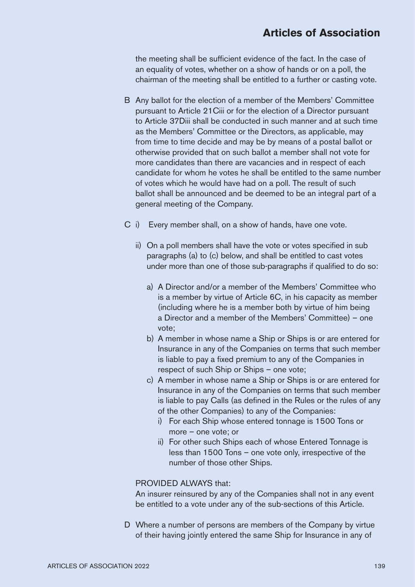the meeting shall be sufficient evidence of the fact. In the case of an equality of votes, whether on a show of hands or on a poll, the chairman of the meeting shall be entitled to a further or casting vote.

- B Any ballot for the election of a member of the Members' Committee pursuant to Article 21Ciii or for the election of a Director pursuant to Article 37Diii shall be conducted in such manner and at such time as the Members' Committee or the Directors, as applicable, may from time to time decide and may be by means of a postal ballot or otherwise provided that on such ballot a member shall not vote for more candidates than there are vacancies and in respect of each candidate for whom he votes he shall be entitled to the same number of votes which he would have had on a poll. The result of such ballot shall be announced and be deemed to be an integral part of a general meeting of the Company.
- C i) Every member shall, on a show of hands, have one vote.
	- ii) On a poll members shall have the vote or votes specified in sub paragraphs (a) to (c) below, and shall be entitled to cast votes under more than one of those sub-paragraphs if qualified to do so:
		- a) A Director and/or a member of the Members' Committee who is a member by virtue of Article 6C, in his capacity as member (including where he is a member both by virtue of him being a Director and a member of the Members' Committee) – one vote;
		- b) A member in whose name a Ship or Ships is or are entered for Insurance in any of the Companies on terms that such member is liable to pay a fixed premium to any of the Companies in respect of such Ship or Ships – one vote;
		- c) A member in whose name a Ship or Ships is or are entered for Insurance in any of the Companies on terms that such member is liable to pay Calls (as defined in the Rules or the rules of any of the other Companies) to any of the Companies:
			- i) For each Ship whose entered tonnage is 1500 Tons or more – one vote; or
			- ii) For other such Ships each of whose Entered Tonnage is less than 1500 Tons – one vote only, irrespective of the number of those other Ships.

### PROVIDED ALWAYS that:

An insurer reinsured by any of the Companies shall not in any event be entitled to a vote under any of the sub-sections of this Article.

D Where a number of persons are members of the Company by virtue of their having jointly entered the same Ship for Insurance in any of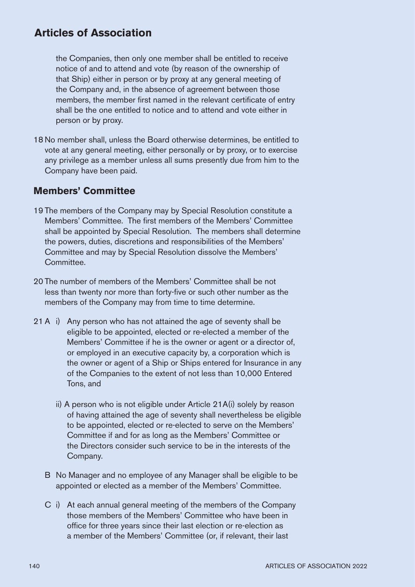the Companies, then only one member shall be entitled to receive notice of and to attend and vote (by reason of the ownership of that Ship) either in person or by proxy at any general meeting of the Company and, in the absence of agreement between those members, the member first named in the relevant certificate of entry shall be the one entitled to notice and to attend and vote either in person or by proxy.

18 No member shall, unless the Board otherwise determines, be entitled to vote at any general meeting, either personally or by proxy, or to exercise any privilege as a member unless all sums presently due from him to the Company have been paid.

### **Members' Committee**

- 19 The members of the Company may by Special Resolution constitute a Members' Committee. The first members of the Members' Committee shall be appointed by Special Resolution. The members shall determine the powers, duties, discretions and responsibilities of the Members' Committee and may by Special Resolution dissolve the Members' **Committee**
- 20 The number of members of the Members' Committee shall be not less than twenty nor more than forty-five or such other number as the members of the Company may from time to time determine.
- 21 A i) Any person who has not attained the age of seventy shall be eligible to be appointed, elected or re-elected a member of the Members' Committee if he is the owner or agent or a director of, or employed in an executive capacity by, a corporation which is the owner or agent of a Ship or Ships entered for Insurance in any of the Companies to the extent of not less than 10,000 Entered Tons, and
	- ii) A person who is not eligible under Article 21A(i) solely by reason of having attained the age of seventy shall nevertheless be eligible to be appointed, elected or re-elected to serve on the Members' Committee if and for as long as the Members' Committee or the Directors consider such service to be in the interests of the Company.
	- B No Manager and no employee of any Manager shall be eligible to be appointed or elected as a member of the Members' Committee.
	- C i) At each annual general meeting of the members of the Company those members of the Members' Committee who have been in office for three years since their last election or re-election as a member of the Members' Committee (or, if relevant, their last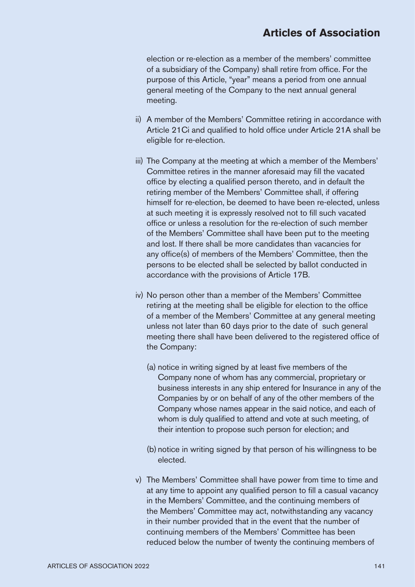election or re-election as a member of the members' committee of a subsidiary of the Company) shall retire from office. For the purpose of this Article, "year" means a period from one annual general meeting of the Company to the next annual general meeting.

- ii) A member of the Members' Committee retiring in accordance with Article 21Ci and qualified to hold office under Article 21A shall be eligible for re-election.
- iii) The Company at the meeting at which a member of the Members' Committee retires in the manner aforesaid may fill the vacated office by electing a qualified person thereto, and in default the retiring member of the Members' Committee shall, if offering himself for re-election, be deemed to have been re-elected, unless at such meeting it is expressly resolved not to fill such vacated office or unless a resolution for the re-election of such member of the Members' Committee shall have been put to the meeting and lost. If there shall be more candidates than vacancies for any office(s) of members of the Members' Committee, then the persons to be elected shall be selected by ballot conducted in accordance with the provisions of Article 17B.
- iv) No person other than a member of the Members' Committee retiring at the meeting shall be eligible for election to the office of a member of the Members' Committee at any general meeting unless not later than 60 days prior to the date of such general meeting there shall have been delivered to the registered office of the Company:
	- (a) notice in writing signed by at least five members of the Company none of whom has any commercial, proprietary or business interests in any ship entered for Insurance in any of the Companies by or on behalf of any of the other members of the Company whose names appear in the said notice, and each of whom is duly qualified to attend and vote at such meeting, of their intention to propose such person for election; and
	- (b) notice in writing signed by that person of his willingness to be elected.
- v) The Members' Committee shall have power from time to time and at any time to appoint any qualified person to fill a casual vacancy in the Members' Committee, and the continuing members of the Members' Committee may act, notwithstanding any vacancy in their number provided that in the event that the number of continuing members of the Members' Committee has been reduced below the number of twenty the continuing members of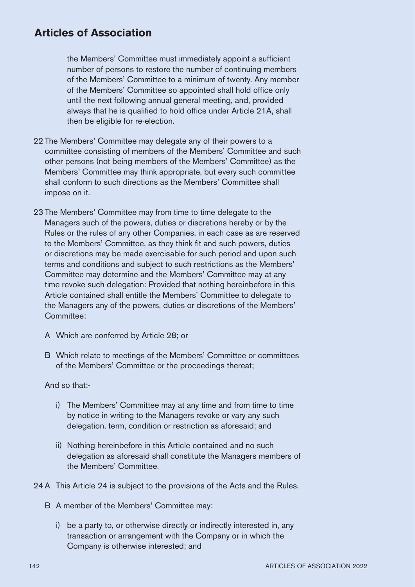the Members' Committee must immediately appoint a sufficient number of persons to restore the number of continuing members of the Members' Committee to a minimum of twenty. Any member of the Members' Committee so appointed shall hold office only until the next following annual general meeting, and, provided always that he is qualified to hold office under Article 21A, shall then be eligible for re-election.

- 22 The Members' Committee may delegate any of their powers to a committee consisting of members of the Members' Committee and such other persons (not being members of the Members' Committee) as the Members' Committee may think appropriate, but every such committee shall conform to such directions as the Members' Committee shall impose on it.
- 23 The Members' Committee may from time to time delegate to the Managers such of the powers, duties or discretions hereby or by the Rules or the rules of any other Companies, in each case as are reserved to the Members' Committee, as they think fit and such powers, duties or discretions may be made exercisable for such period and upon such terms and conditions and subject to such restrictions as the Members' Committee may determine and the Members' Committee may at any time revoke such delegation: Provided that nothing hereinbefore in this Article contained shall entitle the Members' Committee to delegate to the Managers any of the powers, duties or discretions of the Members' Committee:
	- A Which are conferred by Article 28; or
	- B Which relate to meetings of the Members' Committee or committees of the Members' Committee or the proceedings thereat;

And so that:-

- i) The Members' Committee may at any time and from time to time by notice in writing to the Managers revoke or vary any such delegation, term, condition or restriction as aforesaid; and
- ii) Nothing hereinbefore in this Article contained and no such delegation as aforesaid shall constitute the Managers members of the Members' Committee.
- 24 A This Article 24 is subject to the provisions of the Acts and the Rules.
	- B A member of the Members' Committee may:
		- i) be a party to, or otherwise directly or indirectly interested in, any transaction or arrangement with the Company or in which the Company is otherwise interested; and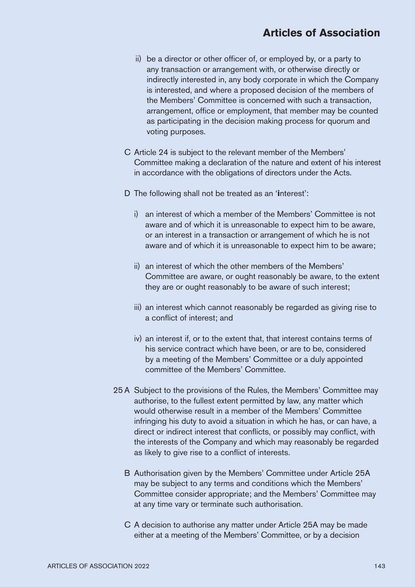- ii) be a director or other officer of, or employed by, or a party to any transaction or arrangement with, or otherwise directly or indirectly interested in, any body corporate in which the Company is interested, and where a proposed decision of the members of the Members' Committee is concerned with such a transaction, arrangement, office or employment, that member may be counted as participating in the decision making process for quorum and voting purposes.
- C Article 24 is subject to the relevant member of the Members' Committee making a declaration of the nature and extent of his interest in accordance with the obligations of directors under the Acts.
- D The following shall not be treated as an '**i**nterest':
	- i) an interest of which a member of the Members' Committee is not aware and of which it is unreasonable to expect him to be aware, or an interest in a transaction or arrangement of which he is not aware and of which it is unreasonable to expect him to be aware;
	- ii) an interest of which the other members of the Members' Committee are aware, or ought reasonably be aware, to the extent they are or ought reasonably to be aware of such interest;
	- iii) an interest which cannot reasonably be regarded as giving rise to a conflict of interest; and
	- iv) an interest if, or to the extent that, that interest contains terms of his service contract which have been, or are to be, considered by a meeting of the Members' Committee or a duly appointed committee of the Members' Committee.
- 25 A Subject to the provisions of the Rules, the Members' Committee may authorise, to the fullest extent permitted by law, any matter which would otherwise result in a member of the Members' Committee infringing his duty to avoid a situation in which he has, or can have, a direct or indirect interest that conflicts, or possibly may conflict, with the interests of the Company and which may reasonably be regarded as likely to give rise to a conflict of interests.
	- B Authorisation given by the Members' Committee under Article 25A may be subject to any terms and conditions which the Members' Committee consider appropriate; and the Members' Committee may at any time vary or terminate such authorisation.
	- C A decision to authorise any matter under Article 25A may be made either at a meeting of the Members' Committee, or by a decision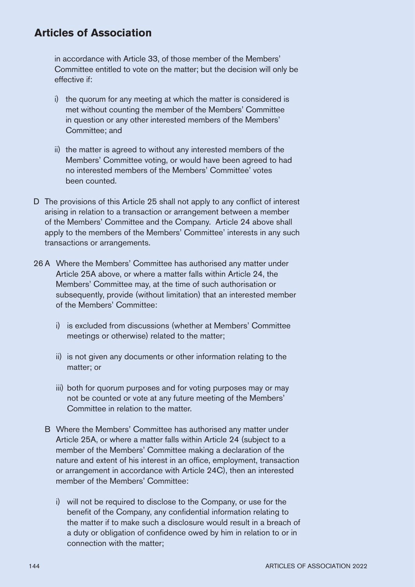in accordance with Article 33, of those member of the Members' Committee entitled to vote on the matter; but the decision will only be effective if:

- i) the quorum for any meeting at which the matter is considered is met without counting the member of the Members' Committee in question or any other interested members of the Members' Committee; and
- ii) the matter is agreed to without any interested members of the Members' Committee voting, or would have been agreed to had no interested members of the Members' Committee' votes been counted.
- D The provisions of this Article 25 shall not apply to any conflict of interest arising in relation to a transaction or arrangement between a member of the Members' Committee and the Company. Article 24 above shall apply to the members of the Members' Committee' interests in any such transactions or arrangements.
- 26 A Where the Members' Committee has authorised any matter under Article 25A above, or where a matter falls within Article 24, the Members' Committee may, at the time of such authorisation or subsequently, provide (without limitation) that an interested member of the Members' Committee:
	- i) is excluded from discussions (whether at Members' Committee meetings or otherwise) related to the matter;
	- ii) is not given any documents or other information relating to the matter; or
	- iii) both for quorum purposes and for voting purposes may or may not be counted or vote at any future meeting of the Members' Committee in relation to the matter.
	- B Where the Members' Committee has authorised any matter under Article 25A, or where a matter falls within Article 24 (subject to a member of the Members' Committee making a declaration of the nature and extent of his interest in an office, employment, transaction or arrangement in accordance with Article 24C), then an interested member of the Members' Committee:
		- i) will not be required to disclose to the Company, or use for the benefit of the Company, any confidential information relating to the matter if to make such a disclosure would result in a breach of a duty or obligation of confidence owed by him in relation to or in connection with the matter;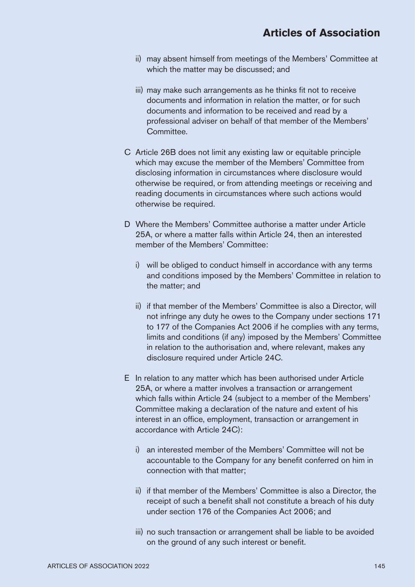- ii) may absent himself from meetings of the Members' Committee at which the matter may be discussed; and
- iii) may make such arrangements as he thinks fit not to receive documents and information in relation the matter, or for such documents and information to be received and read by a professional adviser on behalf of that member of the Members' Committee.
- C Article 26B does not limit any existing law or equitable principle which may excuse the member of the Members' Committee from disclosing information in circumstances where disclosure would otherwise be required, or from attending meetings or receiving and reading documents in circumstances where such actions would otherwise be required.
- D Where the Members' Committee authorise a matter under Article 25A, or where a matter falls within Article 24, then an interested member of the Members' Committee:
	- i) will be obliged to conduct himself in accordance with any terms and conditions imposed by the Members' Committee in relation to the matter; and
	- ii) if that member of the Members' Committee is also a Director, will not infringe any duty he owes to the Company under sections 171 to 177 of the Companies Act 2006 if he complies with any terms, limits and conditions (if any) imposed by the Members' Committee in relation to the authorisation and, where relevant, makes any disclosure required under Article 24C.
- E In relation to any matter which has been authorised under Article 25A, or where a matter involves a transaction or arrangement which falls within Article 24 (subject to a member of the Members' Committee making a declaration of the nature and extent of his interest in an office, employment, transaction or arrangement in accordance with Article 24C):
	- i) an interested member of the Members' Committee will not be accountable to the Company for any benefit conferred on him in connection with that matter;
	- ii) if that member of the Members' Committee is also a Director, the receipt of such a benefit shall not constitute a breach of his duty under section 176 of the Companies Act 2006; and
	- iii) no such transaction or arrangement shall be liable to be avoided on the ground of any such interest or benefit.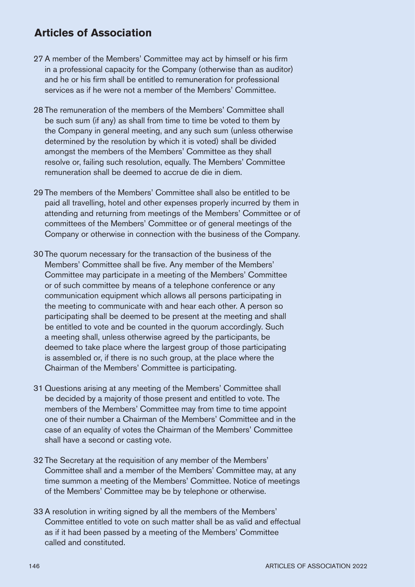- 27 A member of the Members' Committee may act by himself or his firm in a professional capacity for the Company (otherwise than as auditor) and he or his firm shall be entitled to remuneration for professional services as if he were not a member of the Members' Committee.
- 28 The remuneration of the members of the Members' Committee shall be such sum (if any) as shall from time to time be voted to them by the Company in general meeting, and any such sum (unless otherwise determined by the resolution by which it is voted) shall be divided amongst the members of the Members' Committee as they shall resolve or, failing such resolution, equally. The Members' Committee remuneration shall be deemed to accrue de die in diem.
- 29 The members of the Members' Committee shall also be entitled to be paid all travelling, hotel and other expenses properly incurred by them in attending and returning from meetings of the Members' Committee or of committees of the Members' Committee or of general meetings of the Company or otherwise in connection with the business of the Company.
- 30 The quorum necessary for the transaction of the business of the Members' Committee shall be five. Any member of the Members' Committee may participate in a meeting of the Members' Committee or of such committee by means of a telephone conference or any communication equipment which allows all persons participating in the meeting to communicate with and hear each other. A person so participating shall be deemed to be present at the meeting and shall be entitled to vote and be counted in the quorum accordingly. Such a meeting shall, unless otherwise agreed by the participants, be deemed to take place where the largest group of those participating is assembled or, if there is no such group, at the place where the Chairman of the Members' Committee is participating.
- 31 Questions arising at any meeting of the Members' Committee shall be decided by a majority of those present and entitled to vote. The members of the Members' Committee may from time to time appoint one of their number a Chairman of the Members' Committee and in the case of an equality of votes the Chairman of the Members' Committee shall have a second or casting vote.
- 32 The Secretary at the requisition of any member of the Members' Committee shall and a member of the Members' Committee may, at any time summon a meeting of the Members' Committee. Notice of meetings of the Members' Committee may be by telephone or otherwise.
- 33 A resolution in writing signed by all the members of the Members' Committee entitled to vote on such matter shall be as valid and effectual as if it had been passed by a meeting of the Members' Committee called and constituted.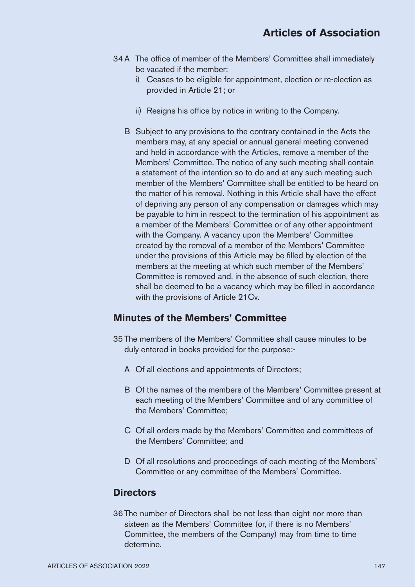- 34A The office of member of the Members' Committee shall immediately be vacated if the member:
	- i) Ceases to be eligible for appointment, election or re-election as provided in Article 21; or
	- ii) Resigns his office by notice in writing to the Company.
	- B Subject to any provisions to the contrary contained in the Acts the members may, at any special or annual general meeting convened and held in accordance with the Articles, remove a member of the Members' Committee. The notice of any such meeting shall contain a statement of the intention so to do and at any such meeting such member of the Members' Committee shall be entitled to be heard on the matter of his removal. Nothing in this Article shall have the effect of depriving any person of any compensation or damages which may be payable to him in respect to the termination of his appointment as a member of the Members' Committee or of any other appointment with the Company. A vacancy upon the Members' Committee created by the removal of a member of the Members' Committee under the provisions of this Article may be filled by election of the members at the meeting at which such member of the Members' Committee is removed and, in the absence of such election, there shall be deemed to be a vacancy which may be filled in accordance with the provisions of Article 21Cv.

## **Minutes of the Members' Committee**

- 35 The members of the Members' Committee shall cause minutes to be duly entered in books provided for the purpose:-
	- A Of all elections and appointments of Directors;
	- B Of the names of the members of the Members' Committee present at each meeting of the Members' Committee and of any committee of the Members' Committee;
	- C Of all orders made by the Members' Committee and committees of the Members' Committee; and
	- D Of all resolutions and proceedings of each meeting of the Members' Committee or any committee of the Members' Committee.

#### **Directors**

36 The number of Directors shall be not less than eight nor more than sixteen as the Members' Committee (or, if there is no Members' Committee, the members of the Company) may from time to time determine.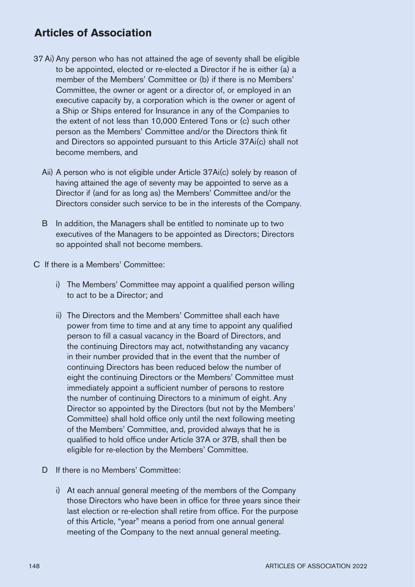- 37 Ai) Any person who has not attained the age of seventy shall be eligible to be appointed, elected or re-elected a Director if he is either (a) a member of the Members' Committee or (b) if there is no Members' Committee, the owner or agent or a director of, or employed in an executive capacity by, a corporation which is the owner or agent of a Ship or Ships entered for Insurance in any of the Companies to the extent of not less than 10,000 Entered Tons or (c) such other person as the Members' Committee and/or the Directors think fit and Directors so appointed pursuant to this Article 37Ai(c) shall not become members, and
	- Aii) A person who is not eligible under Article 37Ai(c) solely by reason of having attained the age of seventy may be appointed to serve as a Director if (and for as long as) the Members' Committee and/or the Directors consider such service to be in the interests of the Company.
	- B In addition, the Managers shall be entitled to nominate up to two executives of the Managers to be appointed as Directors; Directors so appointed shall not become members.
- C If there is a Members' Committee:
	- i) The Members' Committee may appoint a qualified person willing to act to be a Director; and
	- ii) The Directors and the Members' Committee shall each have power from time to time and at any time to appoint any qualified person to fill a casual vacancy in the Board of Directors, and the continuing Directors may act, notwithstanding any vacancy in their number provided that in the event that the number of continuing Directors has been reduced below the number of eight the continuing Directors or the Members' Committee must immediately appoint a sufficient number of persons to restore the number of continuing Directors to a minimum of eight. Any Director so appointed by the Directors (but not by the Members' Committee) shall hold office only until the next following meeting of the Members' Committee, and, provided always that he is qualified to hold office under Article 37A or 37B, shall then be eligible for re-election by the Members' Committee.
	- D If there is no Members' Committee:
		- i) At each annual general meeting of the members of the Company those Directors who have been in office for three years since their last election or re-election shall retire from office. For the purpose of this Article, "year" means a period from one annual general meeting of the Company to the next annual general meeting.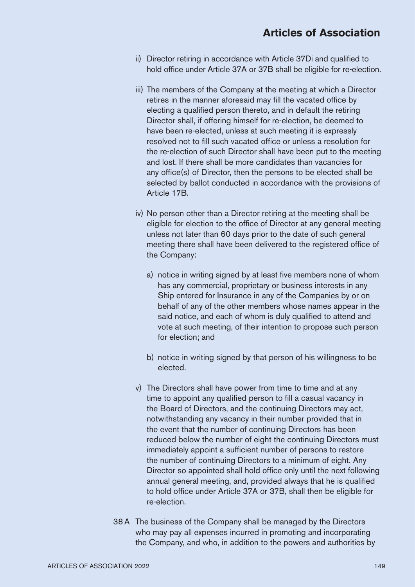- ii) Director retiring in accordance with Article 37Di and qualified to hold office under Article 37A or 37B shall be eligible for re-election.
- iii) The members of the Company at the meeting at which a Director retires in the manner aforesaid may fill the vacated office by electing a qualified person thereto, and in default the retiring Director shall, if offering himself for re-election, be deemed to have been re-elected, unless at such meeting it is expressly resolved not to fill such vacated office or unless a resolution for the re-election of such Director shall have been put to the meeting and lost. If there shall be more candidates than vacancies for any office(s) of Director, then the persons to be elected shall be selected by ballot conducted in accordance with the provisions of Article 17B.
- iv) No person other than a Director retiring at the meeting shall be eligible for election to the office of Director at any general meeting unless not later than 60 days prior to the date of such general meeting there shall have been delivered to the registered office of the Company:
	- a) notice in writing signed by at least five members none of whom has any commercial, proprietary or business interests in any Ship entered for Insurance in any of the Companies by or on behalf of any of the other members whose names appear in the said notice, and each of whom is duly qualified to attend and vote at such meeting, of their intention to propose such person for election; and
	- b) notice in writing signed by that person of his willingness to be elected.
- v) The Directors shall have power from time to time and at any time to appoint any qualified person to fill a casual vacancy in the Board of Directors, and the continuing Directors may act, notwithstanding any vacancy in their number provided that in the event that the number of continuing Directors has been reduced below the number of eight the continuing Directors must immediately appoint a sufficient number of persons to restore the number of continuing Directors to a minimum of eight. Any Director so appointed shall hold office only until the next following annual general meeting, and, provided always that he is qualified to hold office under Article 37A or 37B, shall then be eligible for re-election.
- 38A The business of the Company shall be managed by the Directors who may pay all expenses incurred in promoting and incorporating the Company, and who, in addition to the powers and authorities by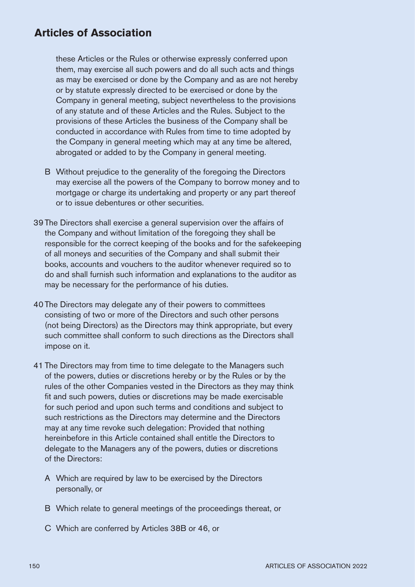these Articles or the Rules or otherwise expressly conferred upon them, may exercise all such powers and do all such acts and things as may be exercised or done by the Company and as are not hereby or by statute expressly directed to be exercised or done by the Company in general meeting, subject nevertheless to the provisions of any statute and of these Articles and the Rules. Subject to the provisions of these Articles the business of the Company shall be conducted in accordance with Rules from time to time adopted by the Company in general meeting which may at any time be altered, abrogated or added to by the Company in general meeting.

- B Without prejudice to the generality of the foregoing the Directors may exercise all the powers of the Company to borrow money and to mortgage or charge its undertaking and property or any part thereof or to issue debentures or other securities.
- 39 The Directors shall exercise a general supervision over the affairs of the Company and without limitation of the foregoing they shall be responsible for the correct keeping of the books and for the safekeeping of all moneys and securities of the Company and shall submit their books, accounts and vouchers to the auditor whenever required so to do and shall furnish such information and explanations to the auditor as may be necessary for the performance of his duties.
- 40 The Directors may delegate any of their powers to committees consisting of two or more of the Directors and such other persons (not being Directors) as the Directors may think appropriate, but every such committee shall conform to such directions as the Directors shall impose on it.
- 41 The Directors may from time to time delegate to the Managers such of the powers, duties or discretions hereby or by the Rules or by the rules of the other Companies vested in the Directors as they may think fit and such powers, duties or discretions may be made exercisable for such period and upon such terms and conditions and subject to such restrictions as the Directors may determine and the Directors may at any time revoke such delegation: Provided that nothing hereinbefore in this Article contained shall entitle the Directors to delegate to the Managers any of the powers, duties or discretions of the Directors:
	- A Which are required by law to be exercised by the Directors personally, or
	- B Which relate to general meetings of the proceedings thereat, or
	- C Which are conferred by Articles 38B or 46, or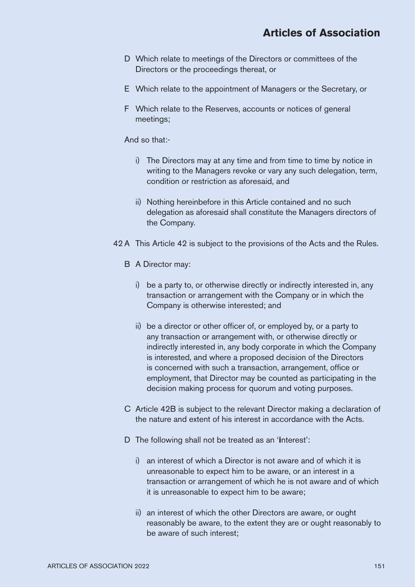- D Which relate to meetings of the Directors or committees of the Directors or the proceedings thereat, or
- E Which relate to the appointment of Managers or the Secretary, or
- F Which relate to the Reserves, accounts or notices of general meetings;

And so that:-

- i) The Directors may at any time and from time to time by notice in writing to the Managers revoke or vary any such delegation, term, condition or restriction as aforesaid, and
- ii) Nothing hereinbefore in this Article contained and no such delegation as aforesaid shall constitute the Managers directors of the Company.
- 42 A This Article 42 is subject to the provisions of the Acts and the Rules.
	- B A Director may:
		- i) be a party to, or otherwise directly or indirectly interested in, any transaction or arrangement with the Company or in which the Company is otherwise interested; and
		- ii) be a director or other officer of, or employed by, or a party to any transaction or arrangement with, or otherwise directly or indirectly interested in, any body corporate in which the Company is interested, and where a proposed decision of the Directors is concerned with such a transaction, arrangement, office or employment, that Director may be counted as participating in the decision making process for quorum and voting purposes.
	- C Article 42B is subject to the relevant Director making a declaration of the nature and extent of his interest in accordance with the Acts.
	- D The following shall not be treated as an '**i**nterest':
		- i) an interest of which a Director is not aware and of which it is unreasonable to expect him to be aware, or an interest in a transaction or arrangement of which he is not aware and of which it is unreasonable to expect him to be aware;
		- ii) an interest of which the other Directors are aware, or ought reasonably be aware, to the extent they are or ought reasonably to be aware of such interest;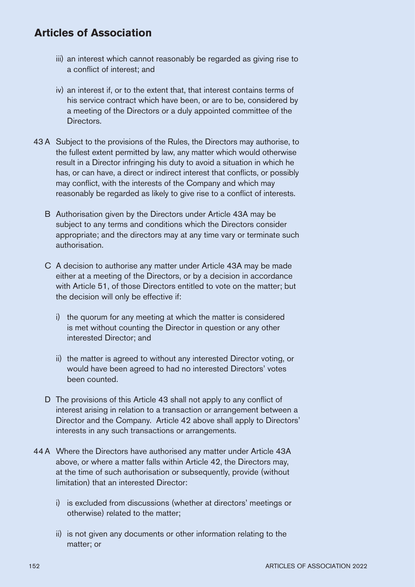- iii) an interest which cannot reasonably be regarded as giving rise to a conflict of interest; and
- iv) an interest if, or to the extent that, that interest contains terms of his service contract which have been, or are to be, considered by a meeting of the Directors or a duly appointed committee of the Directors.
- 43 A Subject to the provisions of the Rules, the Directors may authorise, to the fullest extent permitted by law, any matter which would otherwise result in a Director infringing his duty to avoid a situation in which he has, or can have, a direct or indirect interest that conflicts, or possibly may conflict, with the interests of the Company and which may reasonably be regarded as likely to give rise to a conflict of interests.
	- B Authorisation given by the Directors under Article 43A may be subject to any terms and conditions which the Directors consider appropriate; and the directors may at any time vary or terminate such authorisation.
	- C A decision to authorise any matter under Article 43A may be made either at a meeting of the Directors, or by a decision in accordance with Article 51, of those Directors entitled to vote on the matter; but the decision will only be effective if:
		- i) the quorum for any meeting at which the matter is considered is met without counting the Director in question or any other interested Director; and
		- ii) the matter is agreed to without any interested Director voting, or would have been agreed to had no interested Directors' votes been counted.
	- D The provisions of this Article 43 shall not apply to any conflict of interest arising in relation to a transaction or arrangement between a Director and the Company. Article 42 above shall apply to Directors' interests in any such transactions or arrangements.
- 44A Where the Directors have authorised any matter under Article 43A above, or where a matter falls within Article 42, the Directors may, at the time of such authorisation or subsequently, provide (without limitation) that an interested Director:
	- i) is excluded from discussions (whether at directors' meetings or otherwise) related to the matter;
	- ii) is not given any documents or other information relating to the matter; or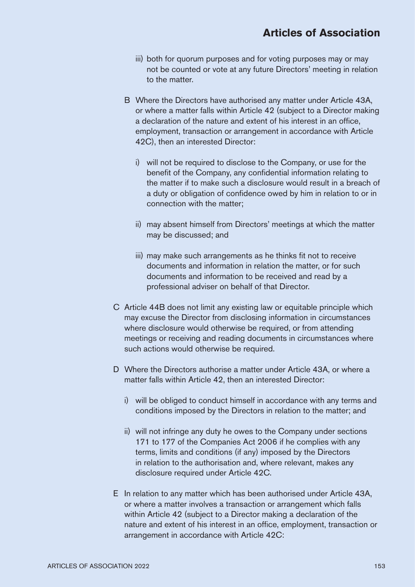- iii) both for quorum purposes and for voting purposes may or may not be counted or vote at any future Directors' meeting in relation to the matter.
- B Where the Directors have authorised any matter under Article 43A, or where a matter falls within Article 42 (subject to a Director making a declaration of the nature and extent of his interest in an office, employment, transaction or arrangement in accordance with Article 42C), then an interested Director:
	- i) will not be required to disclose to the Company, or use for the benefit of the Company, any confidential information relating to the matter if to make such a disclosure would result in a breach of a duty or obligation of confidence owed by him in relation to or in connection with the matter;
	- ii) may absent himself from Directors' meetings at which the matter may be discussed; and
	- iii) may make such arrangements as he thinks fit not to receive documents and information in relation the matter, or for such documents and information to be received and read by a professional adviser on behalf of that Director.
- C Article 44B does not limit any existing law or equitable principle which may excuse the Director from disclosing information in circumstances where disclosure would otherwise be required, or from attending meetings or receiving and reading documents in circumstances where such actions would otherwise be required.
- D Where the Directors authorise a matter under Article 43A, or where a matter falls within Article 42, then an interested Director:
	- i) will be obliged to conduct himself in accordance with any terms and conditions imposed by the Directors in relation to the matter; and
	- ii) will not infringe any duty he owes to the Company under sections 171 to 177 of the Companies Act 2006 if he complies with any terms, limits and conditions (if any) imposed by the Directors in relation to the authorisation and, where relevant, makes any disclosure required under Article 42C.
- E In relation to any matter which has been authorised under Article 43A, or where a matter involves a transaction or arrangement which falls within Article 42 (subject to a Director making a declaration of the nature and extent of his interest in an office, employment, transaction or arrangement in accordance with Article 42C: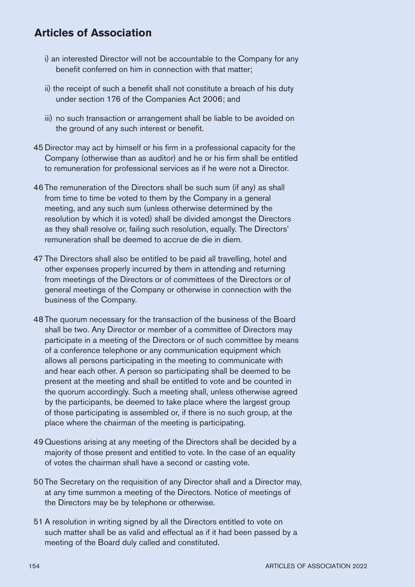- i) an interested Director will not be accountable to the Company for any benefit conferred on him in connection with that matter;
- ii) the receipt of such a benefit shall not constitute a breach of his duty under section 176 of the Companies Act 2006; and
- iii) no such transaction or arrangement shall be liable to be avoided on the ground of any such interest or benefit.
- 45 Director may act by himself or his firm in a professional capacity for the Company (otherwise than as auditor) and he or his firm shall be entitled to remuneration for professional services as if he were not a Director.
- 46 The remuneration of the Directors shall be such sum (if any) as shall from time to time be voted to them by the Company in a general meeting, and any such sum (unless otherwise determined by the resolution by which it is voted) shall be divided amongst the Directors as they shall resolve or, failing such resolution, equally. The Directors' remuneration shall be deemed to accrue de die in diem.
- 47 The Directors shall also be entitled to be paid all travelling, hotel and other expenses properly incurred by them in attending and returning from meetings of the Directors or of committees of the Directors or of general meetings of the Company or otherwise in connection with the business of the Company.
- 48 The quorum necessary for the transaction of the business of the Board shall be two. Any Director or member of a committee of Directors may participate in a meeting of the Directors or of such committee by means of a conference telephone or any communication equipment which allows all persons participating in the meeting to communicate with and hear each other. A person so participating shall be deemed to be present at the meeting and shall be entitled to vote and be counted in the quorum accordingly. Such a meeting shall, unless otherwise agreed by the participants, be deemed to take place where the largest group of those participating is assembled or, if there is no such group, at the place where the chairman of the meeting is participating.
- 49 Questions arising at any meeting of the Directors shall be decided by a majority of those present and entitled to vote. In the case of an equality of votes the chairman shall have a second or casting vote.
- 50 The Secretary on the requisition of any Director shall and a Director may, at any time summon a meeting of the Directors. Notice of meetings of the Directors may be by telephone or otherwise.
- 51 A resolution in writing signed by all the Directors entitled to vote on such matter shall be as valid and effectual as if it had been passed by a meeting of the Board duly called and constituted.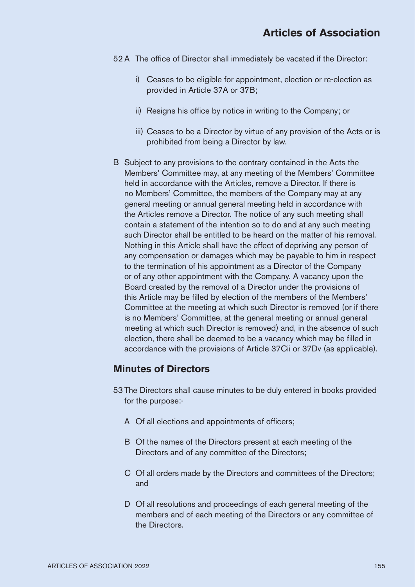- 52 A The office of Director shall immediately be vacated if the Director:
	- i) Ceases to be eligible for appointment, election or re-election as provided in Article 37A or 37B;
	- ii) Resigns his office by notice in writing to the Company; or
	- iii) Ceases to be a Director by virtue of any provision of the Acts or is prohibited from being a Director by law.
- B Subject to any provisions to the contrary contained in the Acts the Members' Committee may, at any meeting of the Members' Committee held in accordance with the Articles, remove a Director. If there is no Members' Committee, the members of the Company may at any general meeting or annual general meeting held in accordance with the Articles remove a Director. The notice of any such meeting shall contain a statement of the intention so to do and at any such meeting such Director shall be entitled to be heard on the matter of his removal. Nothing in this Article shall have the effect of depriving any person of any compensation or damages which may be payable to him in respect to the termination of his appointment as a Director of the Company or of any other appointment with the Company. A vacancy upon the Board created by the removal of a Director under the provisions of this Article may be filled by election of the members of the Members' Committee at the meeting at which such Director is removed (or if there is no Members' Committee, at the general meeting or annual general meeting at which such Director is removed) and, in the absence of such election, there shall be deemed to be a vacancy which may be filled in accordance with the provisions of Article 37Cii or 37Dv (as applicable).

#### **Minutes of Directors**

- 53 The Directors shall cause minutes to be duly entered in books provided for the purpose:-
	- A Of all elections and appointments of officers;
	- B Of the names of the Directors present at each meeting of the Directors and of any committee of the Directors;
	- C Of all orders made by the Directors and committees of the Directors; and
	- D Of all resolutions and proceedings of each general meeting of the members and of each meeting of the Directors or any committee of the Directors.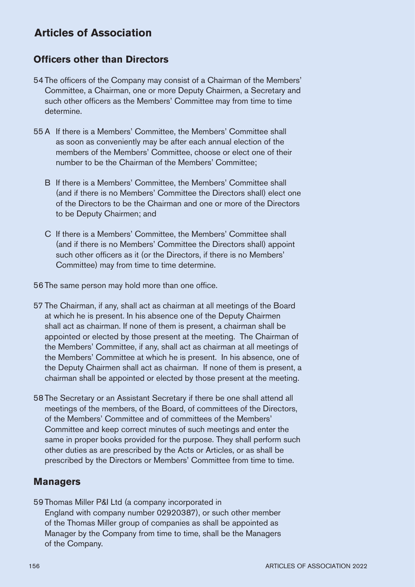## **Officers other than Directors**

- 54 The officers of the Company may consist of a Chairman of the Members' Committee, a Chairman, one or more Deputy Chairmen, a Secretary and such other officers as the Members' Committee may from time to time determine.
- 55 A If there is a Members' Committee, the Members' Committee shall as soon as conveniently may be after each annual election of the members of the Members' Committee, choose or elect one of their number to be the Chairman of the Members' Committee;
	- B If there is a Members' Committee, the Members' Committee shall (and if there is no Members' Committee the Directors shall) elect one of the Directors to be the Chairman and one or more of the Directors to be Deputy Chairmen; and
	- C If there is a Members' Committee, the Members' Committee shall (and if there is no Members' Committee the Directors shall) appoint such other officers as it (or the Directors, if there is no Members' Committee) may from time to time determine.

56 The same person may hold more than one office.

- 57 The Chairman, if any, shall act as chairman at all meetings of the Board at which he is present. In his absence one of the Deputy Chairmen shall act as chairman. If none of them is present, a chairman shall be appointed or elected by those present at the meeting. The Chairman of the Members' Committee, if any, shall act as chairman at all meetings of the Members' Committee at which he is present. In his absence, one of the Deputy Chairmen shall act as chairman. If none of them is present, a chairman shall be appointed or elected by those present at the meeting.
- 58 The Secretary or an Assistant Secretary if there be one shall attend all meetings of the members, of the Board, of committees of the Directors, of the Members' Committee and of committees of the Members' Committee and keep correct minutes of such meetings and enter the same in proper books provided for the purpose. They shall perform such other duties as are prescribed by the Acts or Articles, or as shall be prescribed by the Directors or Members' Committee from time to time.

## **Managers**

59 Thomas Miller P&I Ltd (a company incorporated in England with company number 02920387), or such other member of the Thomas Miller group of companies as shall be appointed as Manager by the Company from time to time, shall be the Managers of the Company.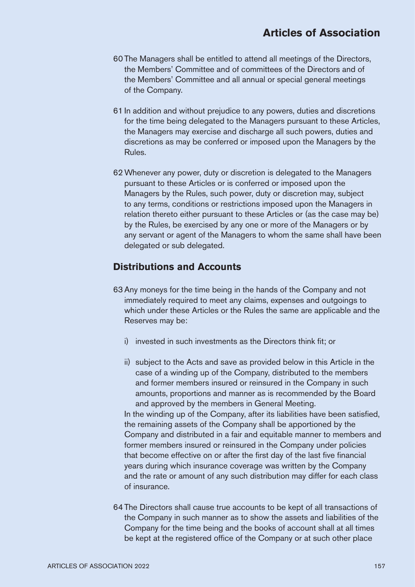- 60 The Managers shall be entitled to attend all meetings of the Directors, the Members' Committee and of committees of the Directors and of the Members' Committee and all annual or special general meetings of the Company.
- 61 In addition and without prejudice to any powers, duties and discretions for the time being delegated to the Managers pursuant to these Articles, the Managers may exercise and discharge all such powers, duties and discretions as may be conferred or imposed upon the Managers by the Rules.
- 62Whenever any power, duty or discretion is delegated to the Managers pursuant to these Articles or is conferred or imposed upon the Managers by the Rules, such power, duty or discretion may, subject to any terms, conditions or restrictions imposed upon the Managers in relation thereto either pursuant to these Articles or (as the case may be) by the Rules, be exercised by any one or more of the Managers or by any servant or agent of the Managers to whom the same shall have been delegated or sub delegated.

## **Distributions and Accounts**

- 63 Any moneys for the time being in the hands of the Company and not immediately required to meet any claims, expenses and outgoings to which under these Articles or the Rules the same are applicable and the Reserves may be:
	- i) invested in such investments as the Directors think fit; or
	- ii) subject to the Acts and save as provided below in this Article in the case of a winding up of the Company, distributed to the members and former members insured or reinsured in the Company in such amounts, proportions and manner as is recommended by the Board and approved by the members in General Meeting.

In the winding up of the Company, after its liabilities have been satisfied, the remaining assets of the Company shall be apportioned by the Company and distributed in a fair and equitable manner to members and former members insured or reinsured in the Company under policies that become effective on or after the first day of the last five financial years during which insurance coverage was written by the Company and the rate or amount of any such distribution may differ for each class of insurance.

64 The Directors shall cause true accounts to be kept of all transactions of the Company in such manner as to show the assets and liabilities of the Company for the time being and the books of account shall at all times be kept at the registered office of the Company or at such other place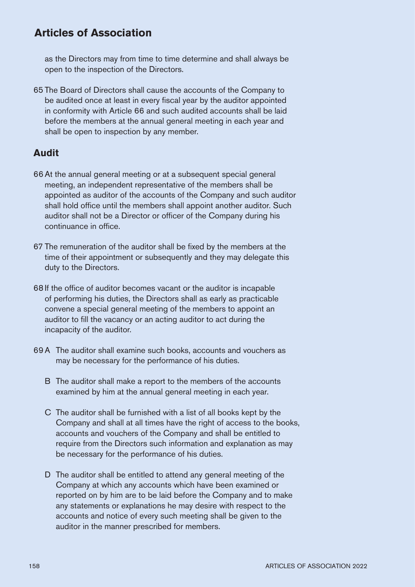as the Directors may from time to time determine and shall always be open to the inspection of the Directors.

65 The Board of Directors shall cause the accounts of the Company to be audited once at least in every fiscal year by the auditor appointed in conformity with Article 66 and such audited accounts shall be laid before the members at the annual general meeting in each year and shall be open to inspection by any member.

## **Audit**

- 66At the annual general meeting or at a subsequent special general meeting, an independent representative of the members shall be appointed as auditor of the accounts of the Company and such auditor shall hold office until the members shall appoint another auditor. Such auditor shall not be a Director or officer of the Company during his continuance in office.
- 67 The remuneration of the auditor shall be fixed by the members at the time of their appointment or subsequently and they may delegate this duty to the Directors.
- 68 If the office of auditor becomes vacant or the auditor is incapable of performing his duties, the Directors shall as early as practicable convene a special general meeting of the members to appoint an auditor to fill the vacancy or an acting auditor to act during the incapacity of the auditor.
- 69A The auditor shall examine such books, accounts and vouchers as may be necessary for the performance of his duties.
	- B The auditor shall make a report to the members of the accounts examined by him at the annual general meeting in each year.
	- C The auditor shall be furnished with a list of all books kept by the Company and shall at all times have the right of access to the books, accounts and vouchers of the Company and shall be entitled to require from the Directors such information and explanation as may be necessary for the performance of his duties.
	- D The auditor shall be entitled to attend any general meeting of the Company at which any accounts which have been examined or reported on by him are to be laid before the Company and to make any statements or explanations he may desire with respect to the accounts and notice of every such meeting shall be given to the auditor in the manner prescribed for members.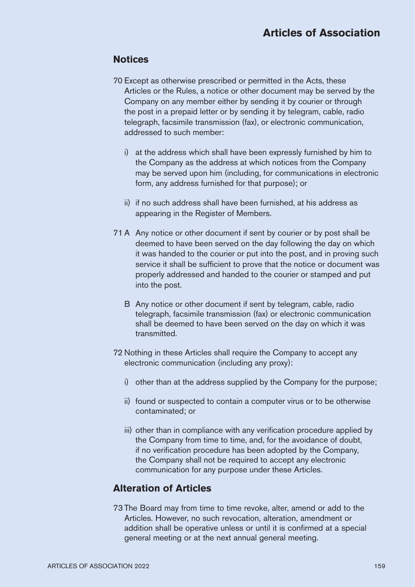## **Notices**

- 70 Except as otherwise prescribed or permitted in the Acts, these Articles or the Rules, a notice or other document may be served by the Company on any member either by sending it by courier or through the post in a prepaid letter or by sending it by telegram, cable, radio telegraph, facsimile transmission (fax), or electronic communication, addressed to such member:
	- i) at the address which shall have been expressly furnished by him to the Company as the address at which notices from the Company may be served upon him (including, for communications in electronic form, any address furnished for that purpose); or
	- ii) if no such address shall have been furnished, at his address as appearing in the Register of Members.
- 71 A Any notice or other document if sent by courier or by post shall be deemed to have been served on the day following the day on which it was handed to the courier or put into the post, and in proving such service it shall be sufficient to prove that the notice or document was properly addressed and handed to the courier or stamped and put into the post.
	- B Any notice or other document if sent by telegram, cable, radio telegraph, facsimile transmission (fax) or electronic communication shall be deemed to have been served on the day on which it was transmitted.
- 72 Nothing in these Articles shall require the Company to accept any electronic communication (including any proxy):
	- i) other than at the address supplied by the Company for the purpose;
	- ii) found or suspected to contain a computer virus or to be otherwise contaminated; or
	- iii) other than in compliance with any verification procedure applied by the Company from time to time, and, for the avoidance of doubt, if no verification procedure has been adopted by the Company, the Company shall not be required to accept any electronic communication for any purpose under these Articles.

## **Alteration of Articles**

73 The Board may from time to time revoke, alter, amend or add to the Articles. However, no such revocation, alteration, amendment or addition shall be operative unless or until it is confirmed at a special general meeting or at the next annual general meeting.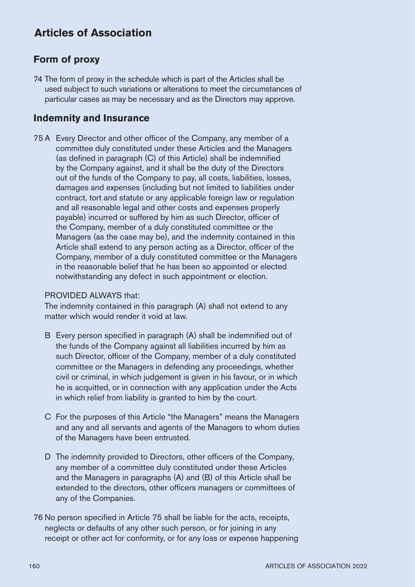## **Form of proxy**

74 The form of proxy in the schedule which is part of the Articles shall be used subject to such variations or alterations to meet the circumstances of particular cases as may be necessary and as the Directors may approve.

## **Indemnity and Insurance**

75 A Every Director and other officer of the Company, any member of a committee duly constituted under these Articles and the Managers (as defined in paragraph (C) of this Article) shall be indemnified by the Company against, and it shall be the duty of the Directors out of the funds of the Company to pay, all costs, liabilities, losses, damages and expenses (including but not limited to liabilities under contract, tort and statute or any applicable foreign law or regulation and all reasonable legal and other costs and expenses properly payable) incurred or suffered by him as such Director, officer of the Company, member of a duly constituted committee or the Managers (as the case may be), and the indemnity contained in this Article shall extend to any person acting as a Director, officer of the Company, member of a duly constituted committee or the Managers in the reasonable belief that he has been so appointed or elected notwithstanding any defect in such appointment or election.

#### PROVIDED ALWAYS that:

The indemnity contained in this paragraph (A) shall not extend to any matter which would render it void at law.

- B Every person specified in paragraph (A) shall be indemnified out of the funds of the Company against all liabilities incurred by him as such Director, officer of the Company, member of a duly constituted committee or the Managers in defending any proceedings, whether civil or criminal, in which judgement is given in his favour, or in which he is acquitted, or in connection with any application under the Acts in which relief from liability is granted to him by the court.
- C For the purposes of this Article "the Managers" means the Managers and any and all servants and agents of the Managers to whom duties of the Managers have been entrusted.
- D The indemnity provided to Directors, other officers of the Company, any member of a committee duly constituted under these Articles and the Managers in paragraphs (A) and (B) of this Article shall be extended to the directors, other officers managers or committees of any of the Companies.
- 76 No person specified in Article 75 shall be liable for the acts, receipts, neglects or defaults of any other such person, or for joining in any receipt or other act for conformity, or for any loss or expense happening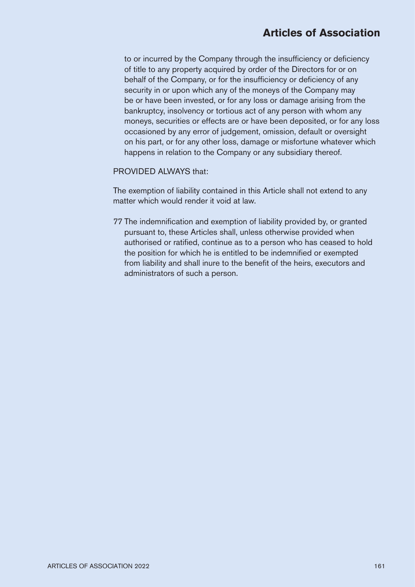to or incurred by the Company through the insufficiency or deficiency of title to any property acquired by order of the Directors for or on behalf of the Company, or for the insufficiency or deficiency of any security in or upon which any of the moneys of the Company may be or have been invested, or for any loss or damage arising from the bankruptcy, insolvency or tortious act of any person with whom any moneys, securities or effects are or have been deposited, or for any loss occasioned by any error of judgement, omission, default or oversight on his part, or for any other loss, damage or misfortune whatever which happens in relation to the Company or any subsidiary thereof.

#### PROVIDED ALWAYS that:

The exemption of liability contained in this Article shall not extend to any matter which would render it void at law.

77 The indemnification and exemption of liability provided by, or granted pursuant to, these Articles shall, unless otherwise provided when authorised or ratified, continue as to a person who has ceased to hold the position for which he is entitled to be indemnified or exempted from liability and shall inure to the benefit of the heirs, executors and administrators of such a person.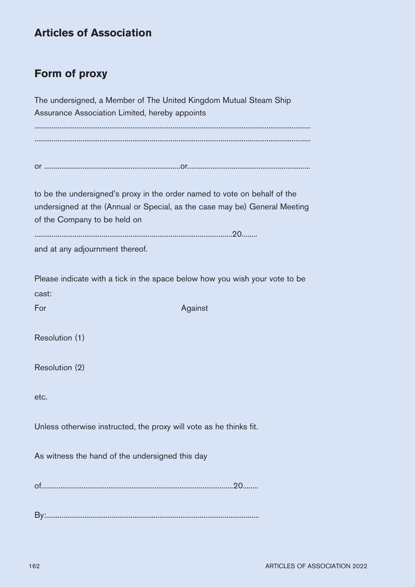# **Form of proxy**

The undersigned, a Member of The United Kingdom Mutual Steam Ship Assurance Association Limited, hereby appoints ................................................................................................................................................ ................................................................................................................................................ or .......................................................................or................................................................ to be the undersigned's proxy in the order named to vote on behalf of the undersigned at the (Annual or Special, as the case may be) General Meeting of the Company to be held on .......................................................................................................20........ and at any adjournment thereof. Please indicate with a tick in the space below how you wish your vote to be cast: For Against The Against The Against The Against The Against The Against The Against The Against The Against The Against The Against The Against The Against The Against The Against The Against The Against The Against The Ag Resolution (1) Resolution (2) etc. Unless otherwise instructed, the proxy will vote as he thinks fit. As witness the hand of the undersigned this day of....................................................................................................20........

By:...............................................................................................................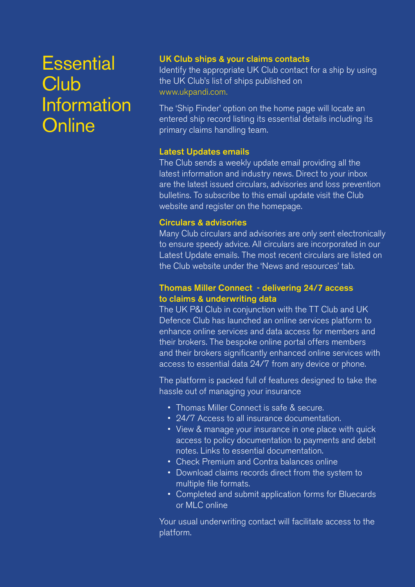# **Essential Club Information Online**

#### UK Club ships & your claims contacts

Identify the appropriate UK Club contact for a ship by using the UK Club's list of ships published on www.ukpandi.com.

The 'Ship Finder' option on the home page will locate an entered ship record listing its essential details including its primary claims handling team.

## Latest Updates emails

The Club sends a weekly update email providing all the latest information and industry news. Direct to your inbox are the latest issued circulars, advisories and loss prevention bulletins. To subscribe to this email update visit the Club website and register on the homepage.

## Circulars & advisories

Many Club circulars and advisories are only sent electronically to ensure speedy advice. All circulars are incorporated in our Latest Update emails. The most recent circulars are listed on the Club website under the 'News and resources' tab.

## Thomas Miller Connect - delivering 24/7 access to claims & underwriting data

The UK P&I Club in conjunction with the TT Club and UK Defence Club has launched an online services platform to enhance online services and data access for members and their brokers. The bespoke online portal offers members and their brokers significantly enhanced online services with access to essential data 24/7 from any device or phone.

The platform is packed full of features designed to take the hassle out of managing your insurance

- Thomas Miller Connect is safe & secure.
- 24/7 Access to all insurance documentation.
- View & manage your insurance in one place with quick access to policy documentation to payments and debit notes. Links to essential documentation.
- Check Premium and Contra balances online
- Download claims records direct from the system to multiple file formats.
- Completed and submit application forms for Bluecards or MLC online

Your usual underwriting contact will facilitate access to the platform.